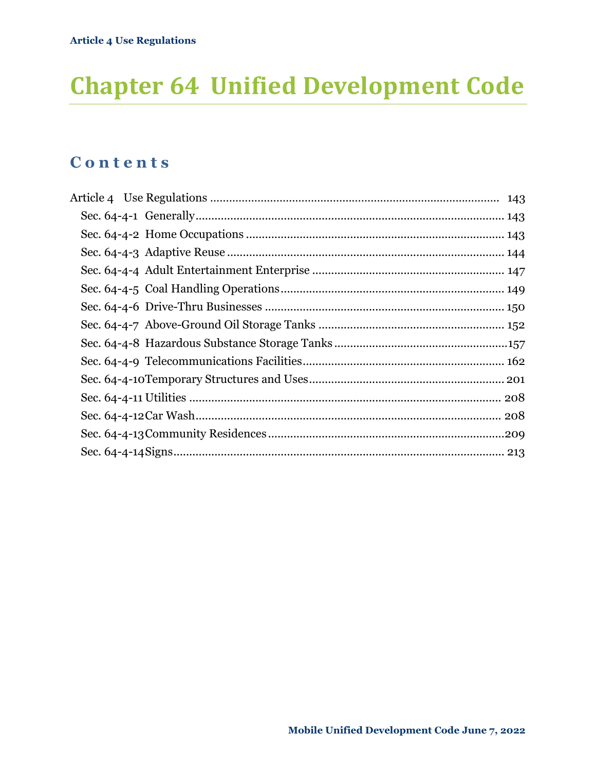# **Chapter 64 Unified Development Code**

# **C o n t e n t s**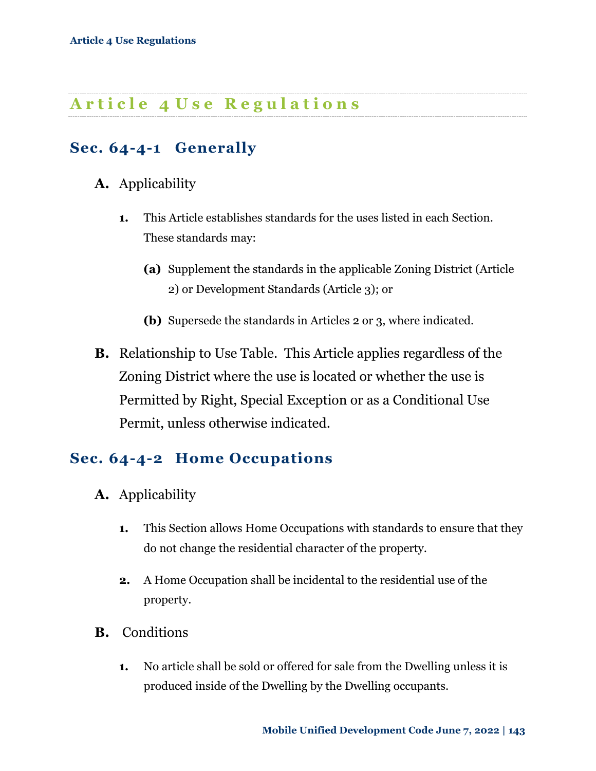# <span id="page-1-0"></span>**A r t i c l e 4 U s e R e g u l a t i o n s**

## <span id="page-1-1"></span>**Sec. 64-4-1 Generally**

### **A.** Applicability

- **1.** This Article establishes standards for the uses listed in each Section. These standards may:
	- **(a)** Supplement the standards in the applicable Zoning District (Article 2) or Development Standards (Article 3); or
	- **(b)** Supersede the standards in Articles 2 or 3, where indicated.
- **B.** Relationship to Use Table. This Article applies regardless of the Zoning District where the use is located or whether the use is Permitted by Right, Special Exception or as a Conditional Use Permit, unless otherwise indicated.

## <span id="page-1-2"></span>**Sec. 64-4-2 Home Occupations**

- **A.** Applicability
	- **1.** This Section allows Home Occupations with standards to ensure that they do not change the residential character of the property.
	- **2.** A Home Occupation shall be incidental to the residential use of the property.
- **B.** Conditions
	- **1.** No article shall be sold or offered for sale from the Dwelling unless it is produced inside of the Dwelling by the Dwelling occupants.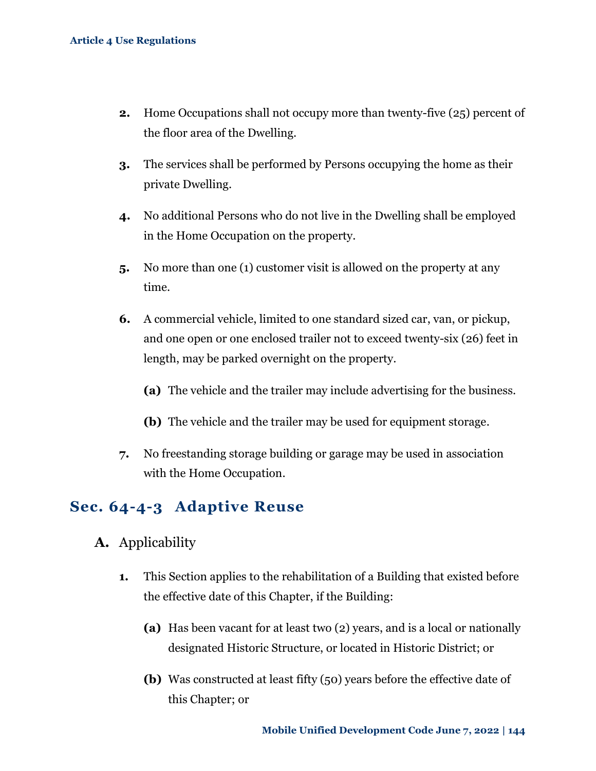- **2.** Home Occupations shall not occupy more than twenty-five (25) percent of the floor area of the Dwelling.
- **3.** The services shall be performed by Persons occupying the home as their private Dwelling.
- **4.** No additional Persons who do not live in the Dwelling shall be employed in the Home Occupation on the property.
- **5.** No more than one (1) customer visit is allowed on the property at any time.
- **6.** A commercial vehicle, limited to one standard sized car, van, or pickup, and one open or one enclosed trailer not to exceed twenty-six (26) feet in length, may be parked overnight on the property.
	- **(a)** The vehicle and the trailer may include advertising for the business.
	- **(b)** The vehicle and the trailer may be used for equipment storage.
- **7.** No freestanding storage building or garage may be used in association with the Home Occupation.

### <span id="page-2-0"></span>**Sec. 64-4-3 Adaptive Reuse**

- **A.** Applicability
	- **1.** This Section applies to the rehabilitation of a Building that existed before the effective date of this Chapter, if the Building:
		- **(a)** Has been vacant for at least two (2) years, and is a local or nationally designated Historic Structure, or located in Historic District; or
		- **(b)** Was constructed at least fifty (50) years before the effective date of this Chapter; or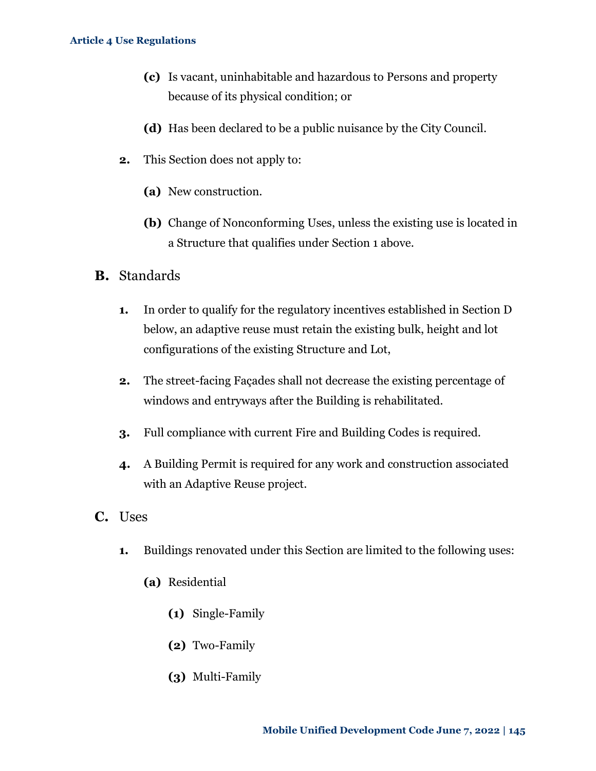- **(c)** Is vacant, uninhabitable and hazardous to Persons and property because of its physical condition; or
- **(d)** Has been declared to be a public nuisance by the City Council.
- **2.** This Section does not apply to:
	- **(a)** New construction.
	- **(b)** Change of Nonconforming Uses, unless the existing use is located in a Structure that qualifies under Section 1 above.
- **B.** Standards
	- **1.** In order to qualify for the regulatory incentives established in Section D below, an adaptive reuse must retain the existing bulk, height and lot configurations of the existing Structure and Lot,
	- **2.** The street-facing Façades shall not decrease the existing percentage of windows and entryways after the Building is rehabilitated.
	- **3.** Full compliance with current Fire and Building Codes is required.
	- **4.** A Building Permit is required for any work and construction associated with an Adaptive Reuse project.
- **C.** Uses
	- **1.** Buildings renovated under this Section are limited to the following uses:
		- **(a)** Residential
			- **(1)** Single-Family
			- **(2)** Two-Family
			- **(3)** Multi-Family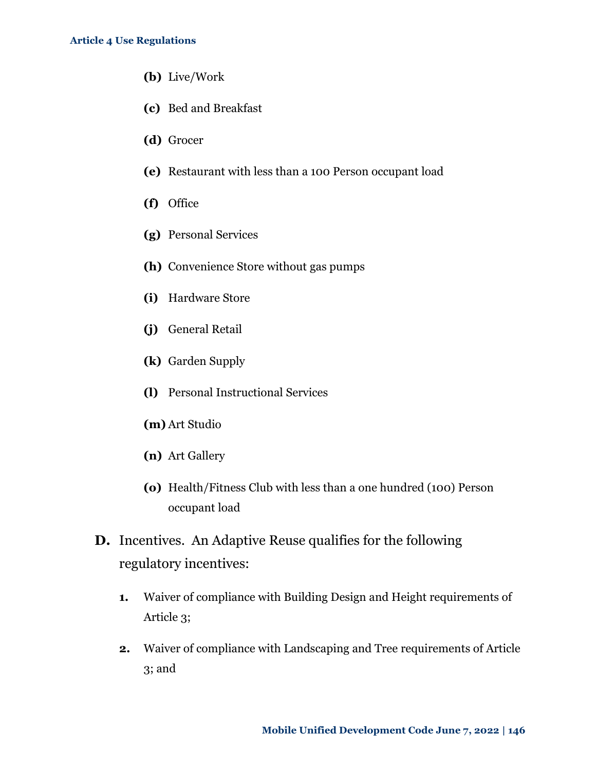- **(b)** Live/Work
- **(c)** Bed and Breakfast
- **(d)** Grocer
- **(e)** Restaurant with less than a 100 Person occupant load
- **(f)** Office
- **(g)** Personal Services
- **(h)** Convenience Store without gas pumps
- **(i)** Hardware Store
- **(j)** General Retail
- **(k)** Garden Supply
- **(l)** Personal Instructional Services
- **(m)** Art Studio
- **(n)** Art Gallery
- **(o)** Health/Fitness Club with less than a one hundred (100) Person occupant load
- **D.** Incentives. An Adaptive Reuse qualifies for the following regulatory incentives:
	- **1.** Waiver of compliance with Building Design and Height requirements of Article 3;
	- **2.** Waiver of compliance with Landscaping and Tree requirements of Article 3; and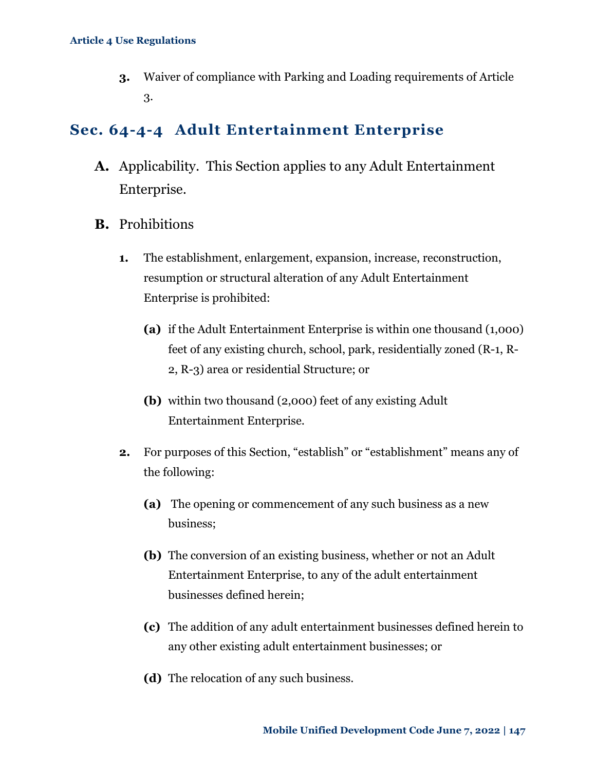**3.** Waiver of compliance with Parking and Loading requirements of Article 3.

# <span id="page-5-0"></span>**Sec. 64-4-4 Adult Entertainment Enterprise**

- **A.** Applicability. This Section applies to any Adult Entertainment Enterprise.
- **B.** Prohibitions
	- **1.** The establishment, enlargement, expansion, increase, reconstruction, resumption or structural alteration of any Adult Entertainment Enterprise is prohibited:
		- **(a)** if the Adult Entertainment Enterprise is within one thousand (1,000) feet of any existing church, school, park, residentially zoned (R-1, R-2, R-3) area or residential Structure; or
		- **(b)** within two thousand (2,000) feet of any existing Adult Entertainment Enterprise.
	- **2.** For purposes of this Section, "establish" or "establishment" means any of the following:
		- **(a)** The opening or commencement of any such business as a new business;
		- **(b)** The conversion of an existing business, whether or not an Adult Entertainment Enterprise, to any of the adult entertainment businesses defined herein;
		- **(c)** The addition of any adult entertainment businesses defined herein to any other existing adult entertainment businesses; or
		- **(d)** The relocation of any such business.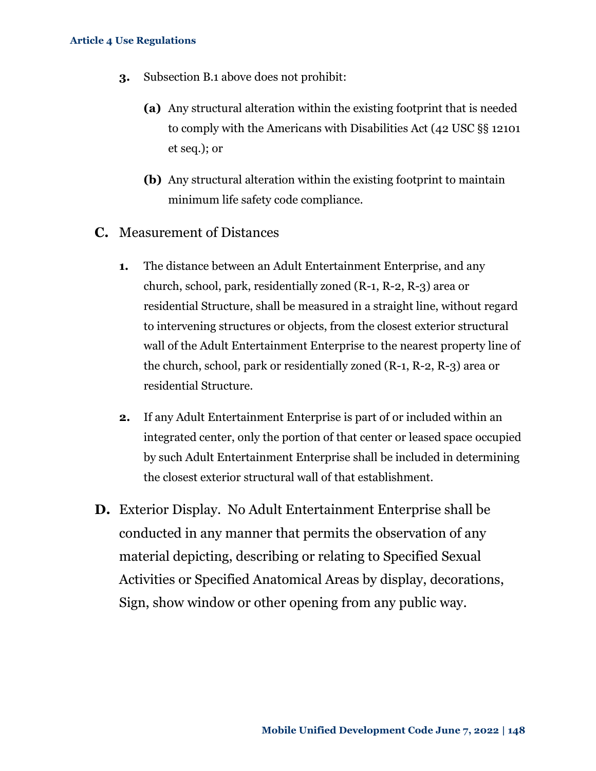- **3.** Subsection B.1 above does not prohibit:
	- **(a)** Any structural alteration within the existing footprint that is needed to comply with the Americans with Disabilities Act (42 USC §§ 12101 et seq.); or
	- **(b)** Any structural alteration within the existing footprint to maintain minimum life safety code compliance.
- **C.** Measurement of Distances
	- **1.** The distance between an Adult Entertainment Enterprise, and any church, school, park, residentially zoned (R-1, R-2, R-3) area or residential Structure, shall be measured in a straight line, without regard to intervening structures or objects, from the closest exterior structural wall of the Adult Entertainment Enterprise to the nearest property line of the church, school, park or residentially zoned (R-1, R-2, R-3) area or residential Structure.
	- **2.** If any Adult Entertainment Enterprise is part of or included within an integrated center, only the portion of that center or leased space occupied by such Adult Entertainment Enterprise shall be included in determining the closest exterior structural wall of that establishment.
- **D.** Exterior Display. No Adult Entertainment Enterprise shall be conducted in any manner that permits the observation of any material depicting, describing or relating to Specified Sexual Activities or Specified Anatomical Areas by display, decorations, Sign, show window or other opening from any public way.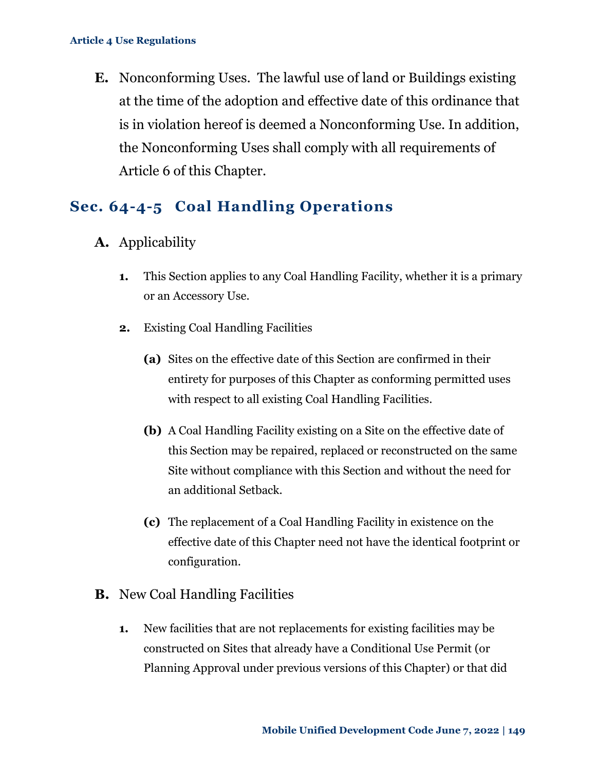**E.** Nonconforming Uses. The lawful use of land or Buildings existing at the time of the adoption and effective date of this ordinance that is in violation hereof is deemed a Nonconforming Use. In addition, the Nonconforming Uses shall comply with all requirements of Article 6 of this Chapter.

### <span id="page-7-0"></span>**Sec. 64-4-5 Coal Handling Operations**

- **A.** Applicability
	- **1.** This Section applies to any Coal Handling Facility, whether it is a primary or an Accessory Use.
	- **2.** Existing Coal Handling Facilities
		- **(a)** Sites on the effective date of this Section are confirmed in their entirety for purposes of this Chapter as conforming permitted uses with respect to all existing Coal Handling Facilities.
		- **(b)** A Coal Handling Facility existing on a Site on the effective date of this Section may be repaired, replaced or reconstructed on the same Site without compliance with this Section and without the need for an additional Setback.
		- **(c)** The replacement of a Coal Handling Facility in existence on the effective date of this Chapter need not have the identical footprint or configuration.
- **B.** New Coal Handling Facilities
	- **1.** New facilities that are not replacements for existing facilities may be constructed on Sites that already have a Conditional Use Permit (or Planning Approval under previous versions of this Chapter) or that did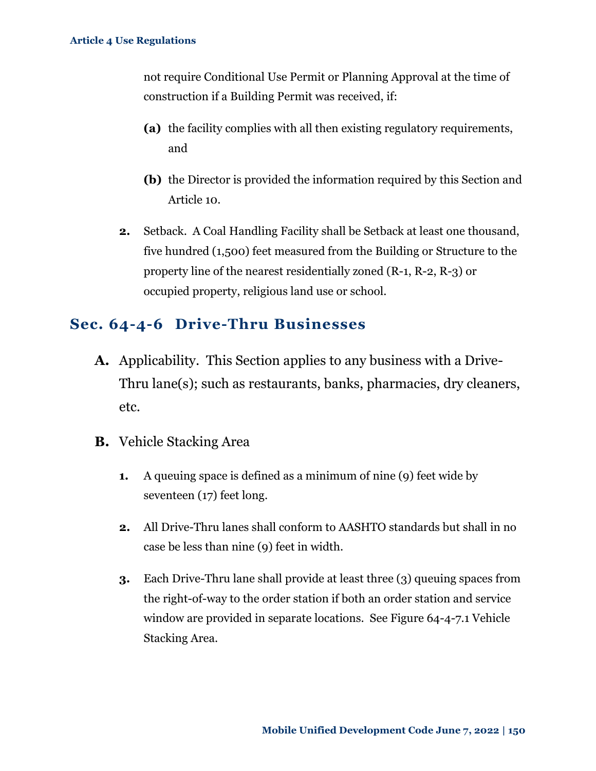not require Conditional Use Permit or Planning Approval at the time of construction if a Building Permit was received, if:

- **(a)** the facility complies with all then existing regulatory requirements, and
- **(b)** the Director is provided the information required by this Section and Article 10.
- **2.** Setback. A Coal Handling Facility shall be Setback at least one thousand, five hundred (1,500) feet measured from the Building or Structure to the property line of the nearest residentially zoned (R-1, R-2, R-3) or occupied property, religious land use or school.

### <span id="page-8-0"></span>**Sec. 64-4-6 Drive-Thru Businesses**

- **A.** Applicability. This Section applies to any business with a Drive-Thru lane(s); such as restaurants, banks, pharmacies, dry cleaners, etc.
- **B.** Vehicle Stacking Area
	- **1.** A queuing space is defined as a minimum of nine (9) feet wide by seventeen (17) feet long.
	- **2.** All Drive-Thru lanes shall conform to AASHTO standards but shall in no case be less than nine (9) feet in width.
	- **3.** Each Drive-Thru lane shall provide at least three (3) queuing spaces from the right-of-way to the order station if both an order station and service window are provided in separate locations. See Figure 64-4-7.1 Vehicle Stacking Area.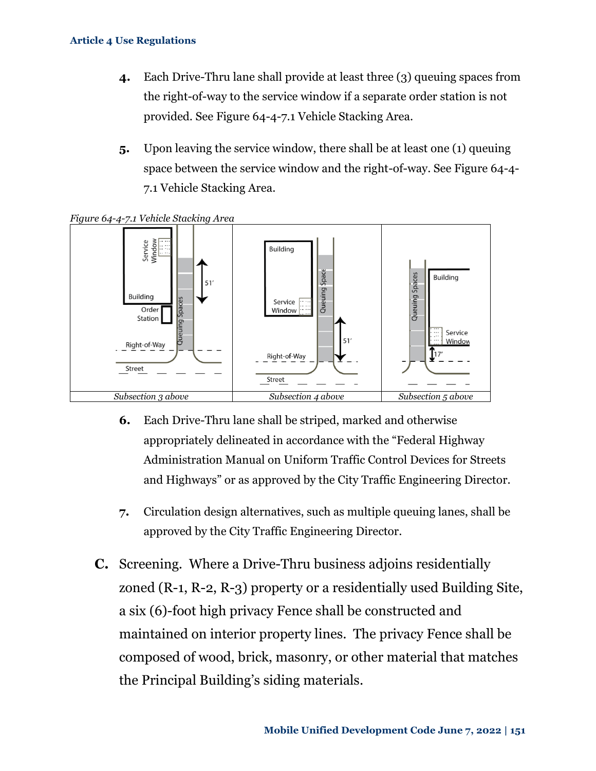- **4.** Each Drive-Thru lane shall provide at least three (3) queuing spaces from the right-of-way to the service window if a separate order station is not provided. See Figure 64-4-7.1 Vehicle Stacking Area.
- **5.** Upon leaving the service window, there shall be at least one (1) queuing space between the service window and the right-of-way. See Figure 64-4- 7.1 Vehicle Stacking Area.



*Figure 64-4-7.1 Vehicle Stacking Area*

- **6.** Each Drive-Thru lane shall be striped, marked and otherwise appropriately delineated in accordance with the "Federal Highway Administration Manual on Uniform Traffic Control Devices for Streets and Highways" or as approved by the City Traffic Engineering Director.
- **7.** Circulation design alternatives, such as multiple queuing lanes, shall be approved by the City Traffic Engineering Director.
- **C.** Screening. Where a Drive-Thru business adjoins residentially zoned (R-1, R-2, R-3) property or a residentially used Building Site, a six (6)-foot high privacy Fence shall be constructed and maintained on interior property lines. The privacy Fence shall be composed of wood, brick, masonry, or other material that matches the Principal Building's siding materials.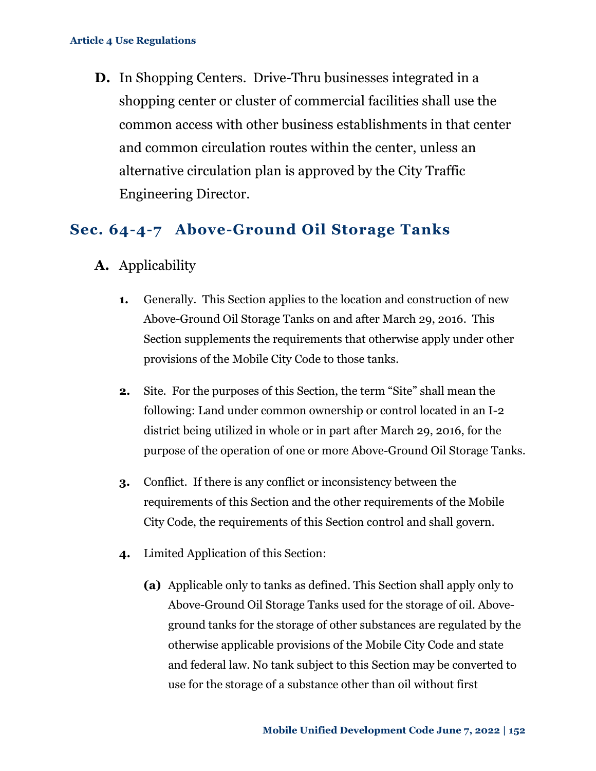**D.** In Shopping Centers. Drive-Thru businesses integrated in a shopping center or cluster of commercial facilities shall use the common access with other business establishments in that center and common circulation routes within the center, unless an alternative circulation plan is approved by the City Traffic Engineering Director.

### <span id="page-10-0"></span>**Sec. 64-4-7 Above-Ground Oil Storage Tanks**

- **A.** Applicability
	- **1.** Generally.This Section applies to the location and construction of new Above-Ground Oil Storage Tanks on and after March 29, 2016. This Section supplements the requirements that otherwise apply under other provisions of the Mobile City Code to those tanks.
	- **2.** Site. For the purposes of this Section, the term "Site" shall mean the following: Land under common ownership or control located in an I-2 district being utilized in whole or in part after March 29, 2016, for the purpose of the operation of one or more Above-Ground Oil Storage Tanks.
	- **3.** Conflict. If there is any conflict or inconsistency between the requirements of this Section and the other requirements of the Mobile City Code, the requirements of this Section control and shall govern.
	- **4.** Limited Application of this Section:
		- **(a)** Applicable only to tanks as defined. This Section shall apply only to Above-Ground Oil Storage Tanks used for the storage of oil. Aboveground tanks for the storage of other substances are regulated by the otherwise applicable provisions of the Mobile City Code and state and federal law. No tank subject to this Section may be converted to use for the storage of a substance other than oil without first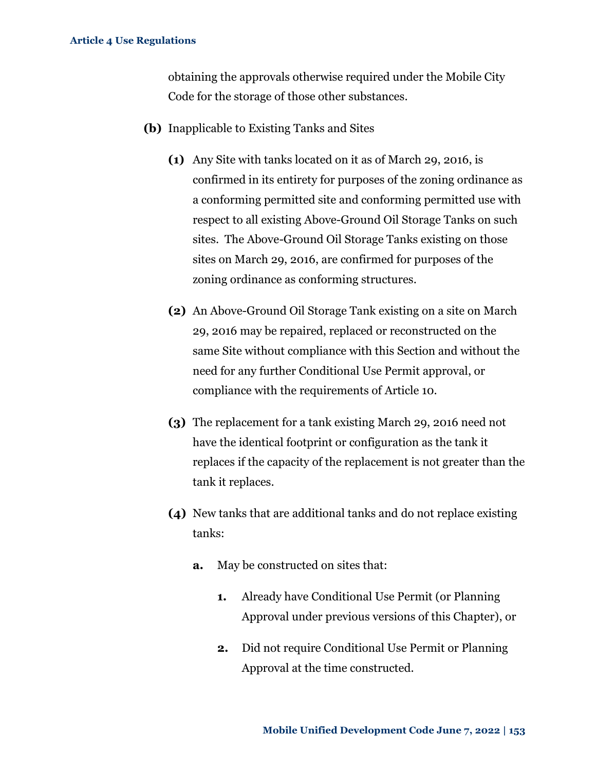obtaining the approvals otherwise required under the Mobile City Code for the storage of those other substances.

- **(b)** Inapplicable to Existing Tanks and Sites
	- **(1)** Any Site with tanks located on it as of March 29, 2016, is confirmed in its entirety for purposes of the zoning ordinance as a conforming permitted site and conforming permitted use with respect to all existing Above-Ground Oil Storage Tanks on such sites. The Above-Ground Oil Storage Tanks existing on those sites on March 29, 2016, are confirmed for purposes of the zoning ordinance as conforming structures.
	- **(2)** An Above-Ground Oil Storage Tank existing on a site on March 29, 2016 may be repaired, replaced or reconstructed on the same Site without compliance with this Section and without the need for any further Conditional Use Permit approval, or compliance with the requirements of Article 10.
	- **(3)** The replacement for a tank existing March 29, 2016 need not have the identical footprint or configuration as the tank it replaces if the capacity of the replacement is not greater than the tank it replaces.
	- **(4)** New tanks that are additional tanks and do not replace existing tanks:
		- **a.** May be constructed on sites that:
			- **1.** Already have Conditional Use Permit (or Planning Approval under previous versions of this Chapter), or
			- **2.** Did not require Conditional Use Permit or Planning Approval at the time constructed.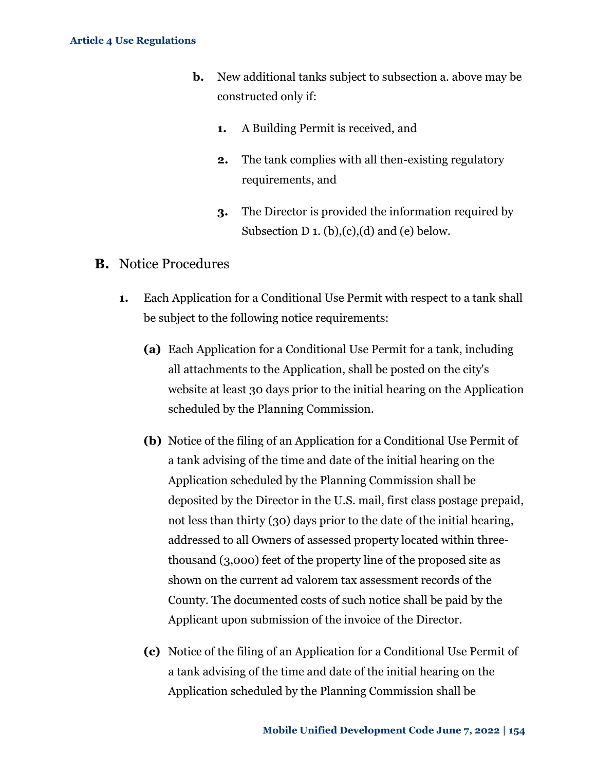- **b.** New additional tanks subject to subsection a. above may be constructed only if:
	- **1.** A Building Permit is received, and
	- **2.** The tank complies with all then-existing regulatory requirements, and
	- **3.** The Director is provided the information required by Subsection  $D_1$ . (b), (c), (d) and (e) below.

### **B.** Notice Procedures

- **1.** Each Application for a Conditional Use Permit with respect to a tank shall be subject to the following notice requirements:
	- **(a)** Each Application for a Conditional Use Permit for a tank, including all attachments to the Application, shall be posted on the city's website at least 30 days prior to the initial hearing on the Application scheduled by the Planning Commission.
	- **(b)** Notice of the filing of an Application for a Conditional Use Permit of a tank advising of the time and date of the initial hearing on the Application scheduled by the Planning Commission shall be deposited by the Director in the U.S. mail, first class postage prepaid, not less than thirty (30) days prior to the date of the initial hearing, addressed to all Owners of assessed property located within threethousand (3,000) feet of the property line of the proposed site as shown on the current ad valorem tax assessment records of the County. The documented costs of such notice shall be paid by the Applicant upon submission of the invoice of the Director.
	- **(c)** Notice of the filing of an Application for a Conditional Use Permit of a tank advising of the time and date of the initial hearing on the Application scheduled by the Planning Commission shall be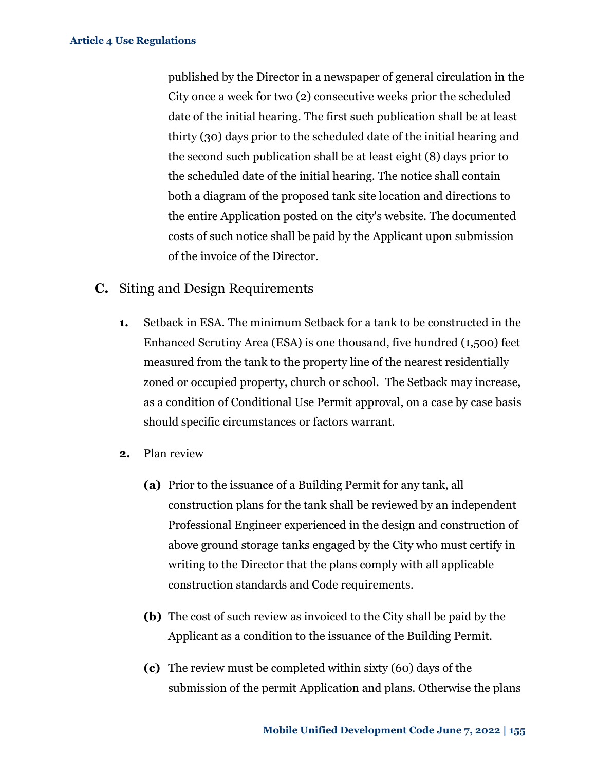published by the Director in a newspaper of general circulation in the City once a week for two (2) consecutive weeks prior the scheduled date of the initial hearing. The first such publication shall be at least thirty (30) days prior to the scheduled date of the initial hearing and the second such publication shall be at least eight (8) days prior to the scheduled date of the initial hearing. The notice shall contain both a diagram of the proposed tank site location and directions to the entire Application posted on the city's website. The documented costs of such notice shall be paid by the Applicant upon submission of the invoice of the Director.

### **C.** Siting and Design Requirements

- **1.** Setback in ESA. The minimum Setback for a tank to be constructed in the Enhanced Scrutiny Area (ESA) is one thousand, five hundred (1,500) feet measured from the tank to the property line of the nearest residentially zoned or occupied property, church or school. The Setback may increase, as a condition of Conditional Use Permit approval, on a case by case basis should specific circumstances or factors warrant.
- **2.** Plan review
	- **(a)** Prior to the issuance of a Building Permit for any tank, all construction plans for the tank shall be reviewed by an independent Professional Engineer experienced in the design and construction of above ground storage tanks engaged by the City who must certify in writing to the Director that the plans comply with all applicable construction standards and Code requirements.
	- **(b)** The cost of such review as invoiced to the City shall be paid by the Applicant as a condition to the issuance of the Building Permit.
	- **(c)** The review must be completed within sixty (60) days of the submission of the permit Application and plans. Otherwise the plans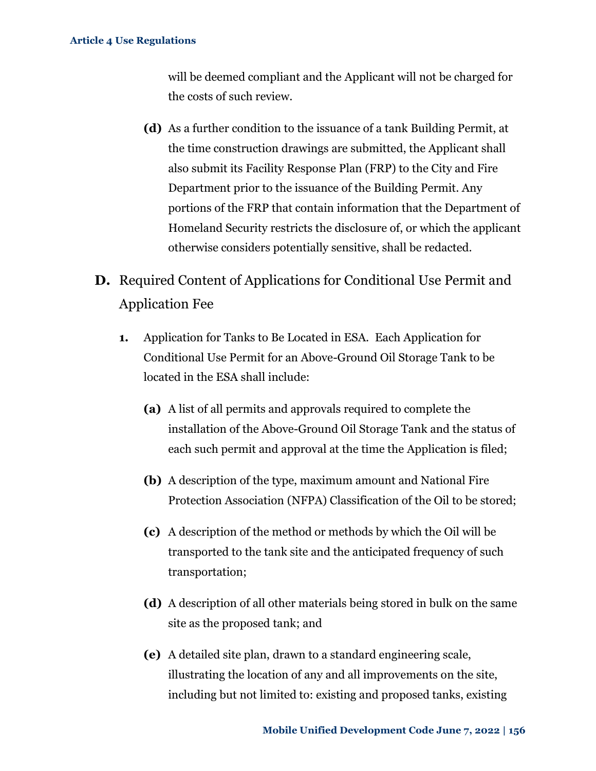will be deemed compliant and the Applicant will not be charged for the costs of such review.

- **(d)** As a further condition to the issuance of a tank Building Permit, at the time construction drawings are submitted, the Applicant shall also submit its Facility Response Plan (FRP) to the City and Fire Department prior to the issuance of the Building Permit. Any portions of the FRP that contain information that the Department of Homeland Security restricts the disclosure of, or which the applicant otherwise considers potentially sensitive, shall be redacted.
- **D.** Required Content of Applications for Conditional Use Permit and Application Fee
	- **1.** Application for Tanks to Be Located in ESA. Each Application for Conditional Use Permit for an Above-Ground Oil Storage Tank to be located in the ESA shall include:
		- **(a)** A list of all permits and approvals required to complete the installation of the Above-Ground Oil Storage Tank and the status of each such permit and approval at the time the Application is filed;
		- **(b)** A description of the type, maximum amount and National Fire Protection Association (NFPA) Classification of the Oil to be stored;
		- **(c)** A description of the method or methods by which the Oil will be transported to the tank site and the anticipated frequency of such transportation;
		- **(d)** A description of all other materials being stored in bulk on the same site as the proposed tank; and
		- **(e)** A detailed site plan, drawn to a standard engineering scale, illustrating the location of any and all improvements on the site, including but not limited to: existing and proposed tanks, existing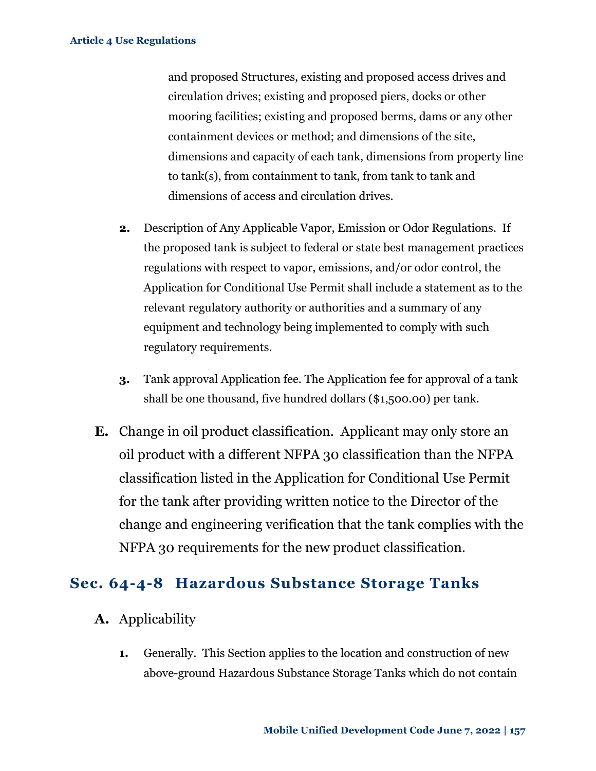and proposed Structures, existing and proposed access drives and circulation drives; existing and proposed piers, docks or other mooring facilities; existing and proposed berms, dams or any other containment devices or method; and dimensions of the site, dimensions and capacity of each tank, dimensions from property line to tank(s), from containment to tank, from tank to tank and dimensions of access and circulation drives.

- **2.** Description of Any Applicable Vapor, Emission or Odor Regulations. If the proposed tank is subject to federal or state best management practices regulations with respect to vapor, emissions, and/or odor control, the Application for Conditional Use Permit shall include a statement as to the relevant regulatory authority or authorities and a summary of any equipment and technology being implemented to comply with such regulatory requirements.
- **3.** Tank approval Application fee. The Application fee for approval of a tank shall be one thousand, five hundred dollars (\$1,500.00) per tank.
- **E.** Change in oil product classification. Applicant may only store an oil product with a different NFPA 30 classification than the NFPA classification listed in the Application for Conditional Use Permit for the tank after providing written notice to the Director of the change and engineering verification that the tank complies with the NFPA 30 requirements for the new product classification.

### <span id="page-15-0"></span>**Sec. 64-4-8 Hazardous Substance Storage Tanks**

- **A.** Applicability
	- **1.** Generally.This Section applies to the location and construction of new above-ground Hazardous Substance Storage Tanks which do not contain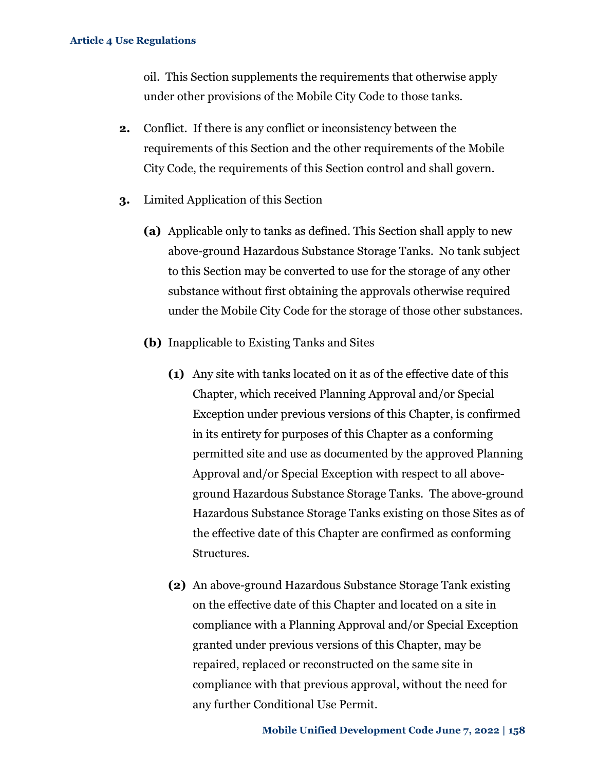oil. This Section supplements the requirements that otherwise apply under other provisions of the Mobile City Code to those tanks.

- **2.** Conflict. If there is any conflict or inconsistency between the requirements of this Section and the other requirements of the Mobile City Code, the requirements of this Section control and shall govern.
- **3.** Limited Application of this Section
	- **(a)** Applicable only to tanks as defined. This Section shall apply to new above-ground Hazardous Substance Storage Tanks. No tank subject to this Section may be converted to use for the storage of any other substance without first obtaining the approvals otherwise required under the Mobile City Code for the storage of those other substances.
	- **(b)** Inapplicable to Existing Tanks and Sites
		- **(1)** Any site with tanks located on it as of the effective date of this Chapter, which received Planning Approval and/or Special Exception under previous versions of this Chapter, is confirmed in its entirety for purposes of this Chapter as a conforming permitted site and use as documented by the approved Planning Approval and/or Special Exception with respect to all aboveground Hazardous Substance Storage Tanks. The above-ground Hazardous Substance Storage Tanks existing on those Sites as of the effective date of this Chapter are confirmed as conforming Structures.
		- **(2)** An above-ground Hazardous Substance Storage Tank existing on the effective date of this Chapter and located on a site in compliance with a Planning Approval and/or Special Exception granted under previous versions of this Chapter, may be repaired, replaced or reconstructed on the same site in compliance with that previous approval, without the need for any further Conditional Use Permit.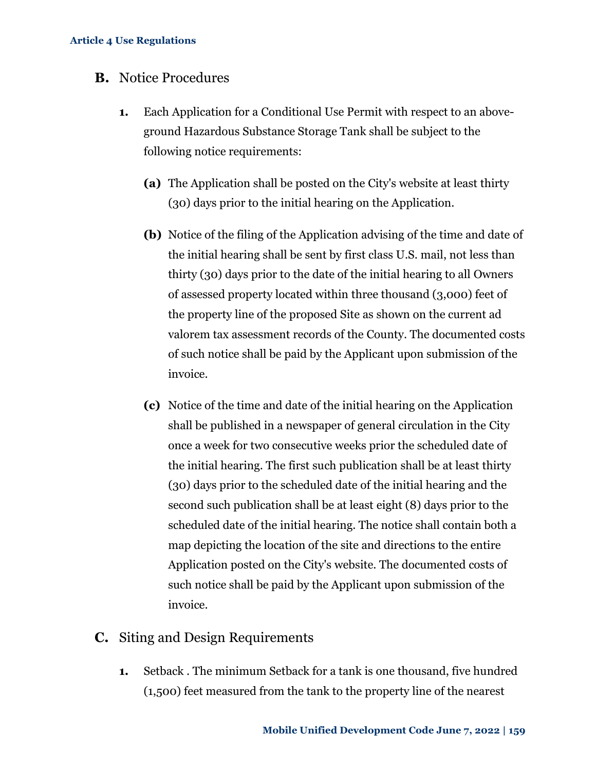### **B.** Notice Procedures

- **1.** Each Application for a Conditional Use Permit with respect to an aboveground Hazardous Substance Storage Tank shall be subject to the following notice requirements:
	- **(a)** The Application shall be posted on the City's website at least thirty (30) days prior to the initial hearing on the Application.
	- **(b)** Notice of the filing of the Application advising of the time and date of the initial hearing shall be sent by first class U.S. mail, not less than thirty (30) days prior to the date of the initial hearing to all Owners of assessed property located within three thousand (3,000) feet of the property line of the proposed Site as shown on the current ad valorem tax assessment records of the County. The documented costs of such notice shall be paid by the Applicant upon submission of the invoice.
	- **(c)** Notice of the time and date of the initial hearing on the Application shall be published in a newspaper of general circulation in the City once a week for two consecutive weeks prior the scheduled date of the initial hearing. The first such publication shall be at least thirty (30) days prior to the scheduled date of the initial hearing and the second such publication shall be at least eight (8) days prior to the scheduled date of the initial hearing. The notice shall contain both a map depicting the location of the site and directions to the entire Application posted on the City's website. The documented costs of such notice shall be paid by the Applicant upon submission of the invoice.

### **C.** Siting and Design Requirements

**1.** Setback . The minimum Setback for a tank is one thousand, five hundred (1,500) feet measured from the tank to the property line of the nearest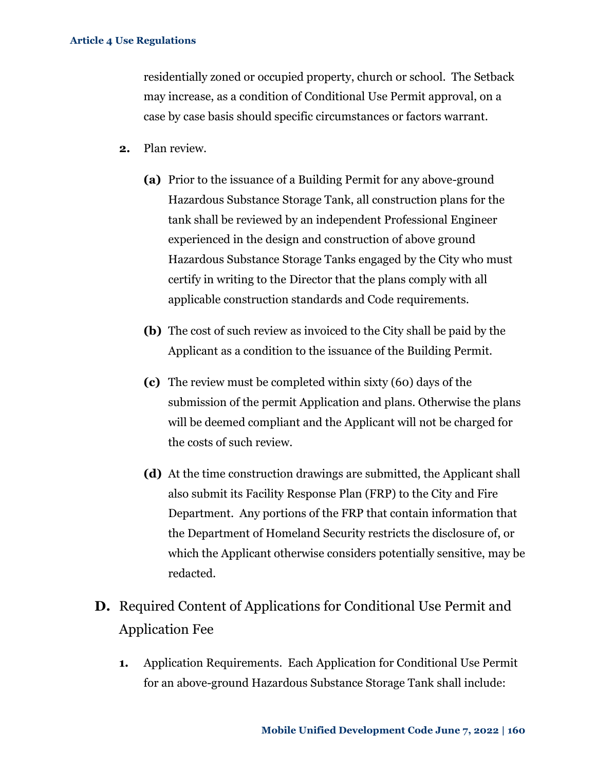residentially zoned or occupied property, church or school. The Setback may increase, as a condition of Conditional Use Permit approval, on a case by case basis should specific circumstances or factors warrant.

- **2.** Plan review.
	- **(a)** Prior to the issuance of a Building Permit for any above-ground Hazardous Substance Storage Tank, all construction plans for the tank shall be reviewed by an independent Professional Engineer experienced in the design and construction of above ground Hazardous Substance Storage Tanks engaged by the City who must certify in writing to the Director that the plans comply with all applicable construction standards and Code requirements.
	- **(b)** The cost of such review as invoiced to the City shall be paid by the Applicant as a condition to the issuance of the Building Permit.
	- **(c)** The review must be completed within sixty (60) days of the submission of the permit Application and plans. Otherwise the plans will be deemed compliant and the Applicant will not be charged for the costs of such review.
	- **(d)** At the time construction drawings are submitted, the Applicant shall also submit its Facility Response Plan (FRP) to the City and Fire Department. Any portions of the FRP that contain information that the Department of Homeland Security restricts the disclosure of, or which the Applicant otherwise considers potentially sensitive, may be redacted.
- **D.** Required Content of Applications for Conditional Use Permit and Application Fee
	- **1.** Application Requirements. Each Application for Conditional Use Permit for an above-ground Hazardous Substance Storage Tank shall include: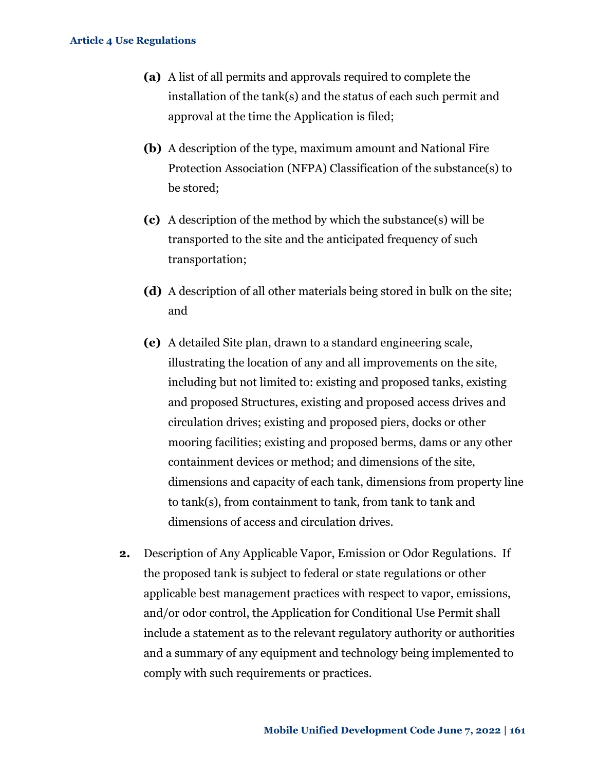- **(a)** A list of all permits and approvals required to complete the installation of the tank(s) and the status of each such permit and approval at the time the Application is filed;
- **(b)** A description of the type, maximum amount and National Fire Protection Association (NFPA) Classification of the substance(s) to be stored;
- **(c)** A description of the method by which the substance(s) will be transported to the site and the anticipated frequency of such transportation;
- **(d)** A description of all other materials being stored in bulk on the site; and
- **(e)** A detailed Site plan, drawn to a standard engineering scale, illustrating the location of any and all improvements on the site, including but not limited to: existing and proposed tanks, existing and proposed Structures, existing and proposed access drives and circulation drives; existing and proposed piers, docks or other mooring facilities; existing and proposed berms, dams or any other containment devices or method; and dimensions of the site, dimensions and capacity of each tank, dimensions from property line to tank(s), from containment to tank, from tank to tank and dimensions of access and circulation drives.
- **2.** Description of Any Applicable Vapor, Emission or Odor Regulations. If the proposed tank is subject to federal or state regulations or other applicable best management practices with respect to vapor, emissions, and/or odor control, the Application for Conditional Use Permit shall include a statement as to the relevant regulatory authority or authorities and a summary of any equipment and technology being implemented to comply with such requirements or practices.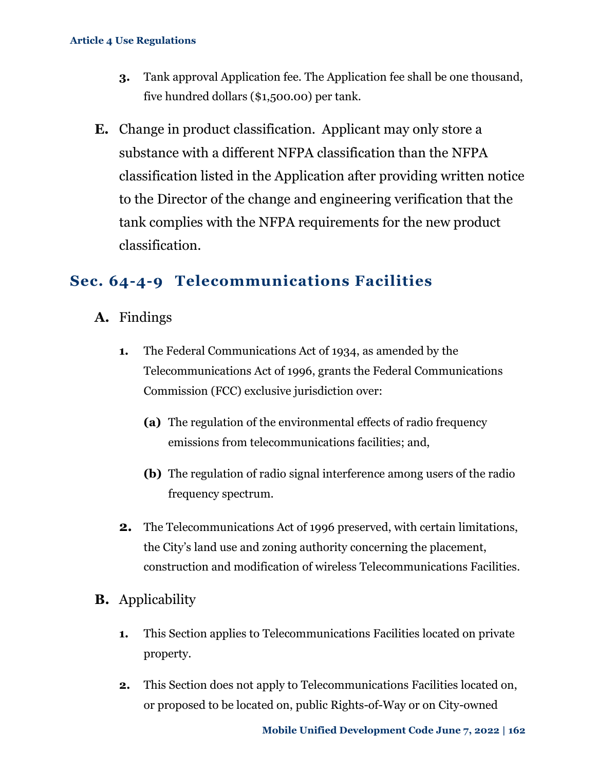- **3.** Tank approval Application fee. The Application fee shall be one thousand, five hundred dollars (\$1,500.00) per tank.
- **E.** Change in product classification. Applicant may only store a substance with a different NFPA classification than the NFPA classification listed in the Application after providing written notice to the Director of the change and engineering verification that the tank complies with the NFPA requirements for the new product classification.

### <span id="page-20-0"></span>**Sec. 64-4-9 Telecommunications Facilities**

- **A.** Findings
	- **1.** The Federal Communications Act of 1934, as amended by the Telecommunications Act of 1996, grants the Federal Communications Commission (FCC) exclusive jurisdiction over:
		- **(a)** The regulation of the environmental effects of radio frequency emissions from telecommunications facilities; and,
		- **(b)** The regulation of radio signal interference among users of the radio frequency spectrum.
	- **2.** The Telecommunications Act of 1996 preserved, with certain limitations, the City's land use and zoning authority concerning the placement, construction and modification of wireless Telecommunications Facilities.
- **B.** Applicability
	- **1.** This Section applies to Telecommunications Facilities located on private property.
	- **2.** This Section does not apply to Telecommunications Facilities located on, or proposed to be located on, public Rights-of-Way or on City-owned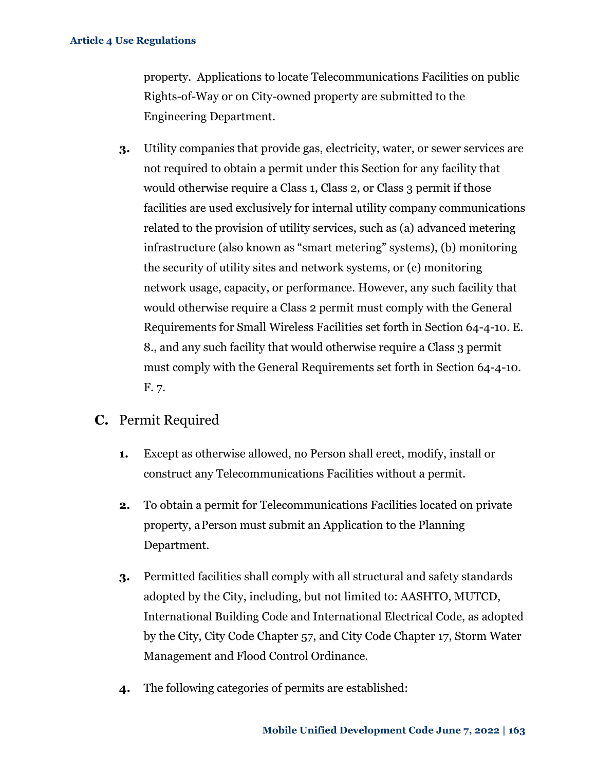property. Applications to locate Telecommunications Facilities on public Rights-of-Way or on City-owned property are submitted to the Engineering Department.

- **3.** Utility companies that provide gas, electricity, water, or sewer services are not required to obtain a permit under this Section for any facility that would otherwise require a Class 1, Class 2, or Class 3 permit if those facilities are used exclusively for internal utility company communications related to the provision of utility services, such as (a) advanced metering infrastructure (also known as "smart metering" systems), (b) monitoring the security of utility sites and network systems, or (c) monitoring network usage, capacity, or performance. However, any such facility that would otherwise require a Class 2 permit must comply with the General Requirements for Small Wireless Facilities set forth in Section 64-4-10. E. 8., and any such facility that would otherwise require a Class 3 permit must comply with the General Requirements set forth in Section 64-4-10. F. 7.
- **C.** Permit Required
	- **1.** Except as otherwise allowed, no Person shall erect, modify, install or construct any Telecommunications Facilities without a permit.
	- **2.** To obtain a permit for Telecommunications Facilities located on private property, aPerson must submit an Application to the Planning Department.
	- **3.** Permitted facilities shall comply with all structural and safety standards adopted by the City, including, but not limited to: AASHTO, MUTCD, International Building Code and International Electrical Code, as adopted by the City, City Code Chapter 57, and City Code Chapter 17, Storm Water Management and Flood Control Ordinance.
	- **4.** The following categories of permits are established: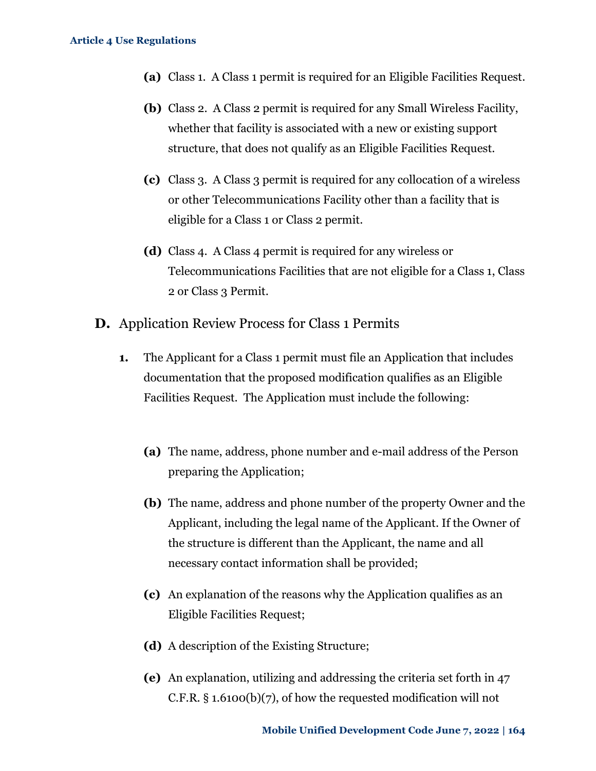- **(a)** Class 1. A Class 1 permit is required for an Eligible Facilities Request.
- **(b)** Class 2. A Class 2 permit is required for any Small Wireless Facility, whether that facility is associated with a new or existing support structure, that does not qualify as an Eligible Facilities Request.
- **(c)** Class 3. A Class 3 permit is required for any collocation of a wireless or other Telecommunications Facility other than a facility that is eligible for a Class 1 or Class 2 permit.
- **(d)** Class 4. A Class 4 permit is required for any wireless or Telecommunications Facilities that are not eligible for a Class 1, Class 2 or Class 3 Permit.
- **D.** Application Review Process for Class 1 Permits
	- **1.** The Applicant for a Class 1 permit must file an Application that includes documentation that the proposed modification qualifies as an Eligible Facilities Request. The Application must include the following:
		- **(a)** The name, address, phone number and e-mail address of the Person preparing the Application;
		- **(b)** The name, address and phone number of the property Owner and the Applicant, including the legal name of the Applicant. If the Owner of the structure is different than the Applicant, the name and all necessary contact information shall be provided;
		- **(c)** An explanation of the reasons why the Application qualifies as an Eligible Facilities Request;
		- **(d)** A description of the Existing Structure;
		- **(e)** An explanation, utilizing and addressing the criteria set forth in 47 C.F.R. § 1.6100(b)(7), of how the requested modification will not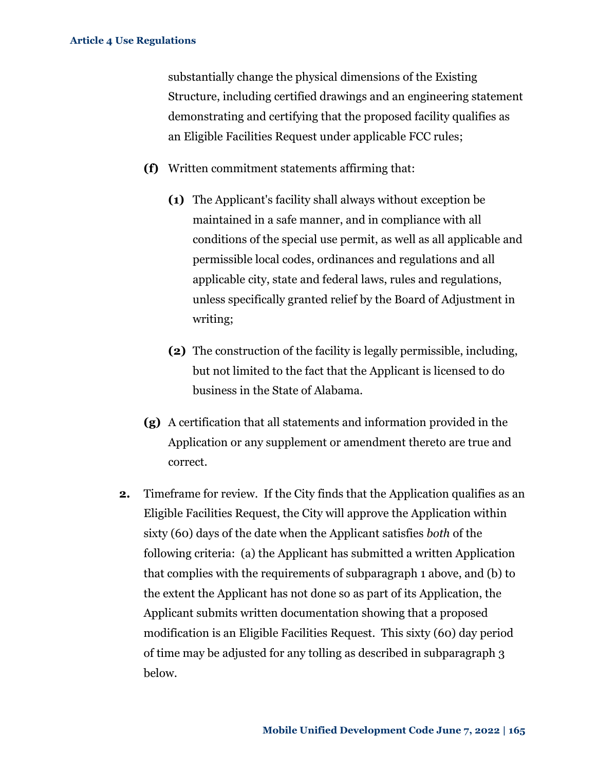substantially change the physical dimensions of the Existing Structure, including certified drawings and an engineering statement demonstrating and certifying that the proposed facility qualifies as an Eligible Facilities Request under applicable FCC rules;

- **(f)** Written commitment statements affirming that:
	- **(1)** The Applicant's facility shall always without exception be maintained in a safe manner, and in compliance with all conditions of the special use permit, as well as all applicable and permissible local codes, ordinances and regulations and all applicable city, state and federal laws, rules and regulations, unless specifically granted relief by the Board of Adjustment in writing;
	- **(2)** The construction of the facility is legally permissible, including, but not limited to the fact that the Applicant is licensed to do business in the State of Alabama.
- **(g)** A certification that all statements and information provided in the Application or any supplement or amendment thereto are true and correct.
- **2.** Timeframe for review. If the City finds that the Application qualifies as an Eligible Facilities Request, the City will approve the Application within sixty (60) days of the date when the Applicant satisfies *both* of the following criteria: (a) the Applicant has submitted a written Application that complies with the requirements of subparagraph 1 above, and (b) to the extent the Applicant has not done so as part of its Application, the Applicant submits written documentation showing that a proposed modification is an Eligible Facilities Request. This sixty (60) day period of time may be adjusted for any tolling as described in subparagraph 3 below.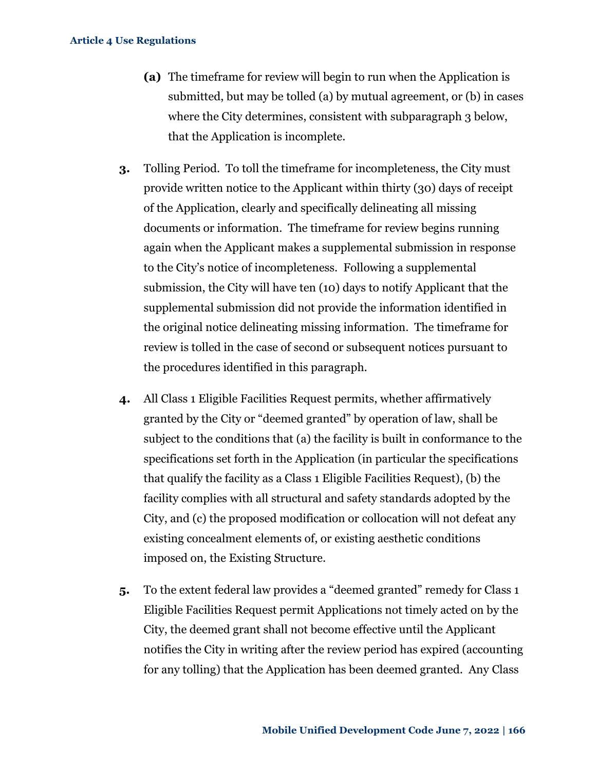- **(a)** The timeframe for review will begin to run when the Application is submitted, but may be tolled (a) by mutual agreement, or (b) in cases where the City determines, consistent with subparagraph 3 below, that the Application is incomplete.
- **3.** Tolling Period. To toll the timeframe for incompleteness, the City must provide written notice to the Applicant within thirty (30) days of receipt of the Application, clearly and specifically delineating all missing documents or information. The timeframe for review begins running again when the Applicant makes a supplemental submission in response to the City's notice of incompleteness. Following a supplemental submission, the City will have ten (10) days to notify Applicant that the supplemental submission did not provide the information identified in the original notice delineating missing information. The timeframe for review is tolled in the case of second or subsequent notices pursuant to the procedures identified in this paragraph.
- **4.** All Class 1 Eligible Facilities Request permits, whether affirmatively granted by the City or "deemed granted" by operation of law, shall be subject to the conditions that (a) the facility is built in conformance to the specifications set forth in the Application (in particular the specifications that qualify the facility as a Class 1 Eligible Facilities Request), (b) the facility complies with all structural and safety standards adopted by the City, and (c) the proposed modification or collocation will not defeat any existing concealment elements of, or existing aesthetic conditions imposed on, the Existing Structure.
- **5.** To the extent federal law provides a "deemed granted" remedy for Class 1 Eligible Facilities Request permit Applications not timely acted on by the City, the deemed grant shall not become effective until the Applicant notifies the City in writing after the review period has expired (accounting for any tolling) that the Application has been deemed granted. Any Class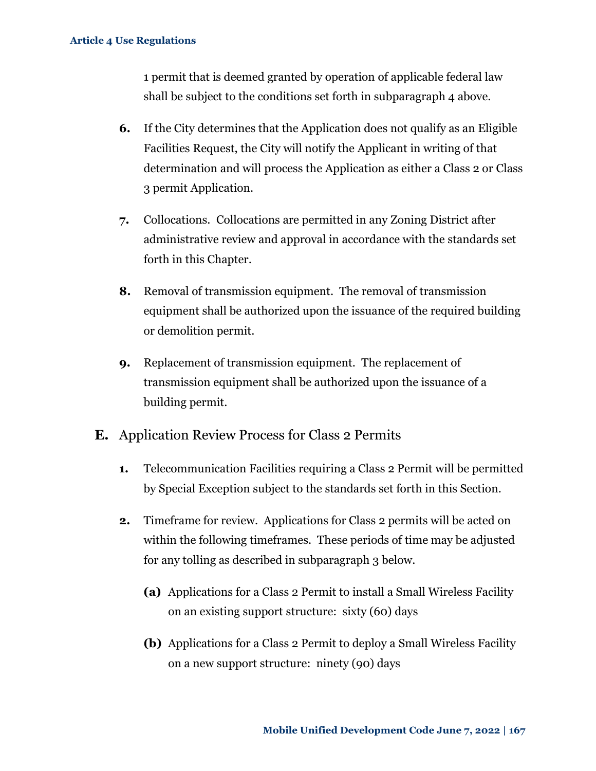1 permit that is deemed granted by operation of applicable federal law shall be subject to the conditions set forth in subparagraph 4 above.

- **6.** If the City determines that the Application does not qualify as an Eligible Facilities Request, the City will notify the Applicant in writing of that determination and will process the Application as either a Class 2 or Class 3 permit Application.
- **7.** Collocations.Collocations are permitted in any Zoning District after administrative review and approval in accordance with the standards set forth in this Chapter.
- **8.** Removal of transmission equipment. The removal of transmission equipment shall be authorized upon the issuance of the required building or demolition permit.
- **9.** Replacement of transmission equipment. The replacement of transmission equipment shall be authorized upon the issuance of a building permit.
- **E.** Application Review Process for Class 2 Permits
	- **1.** Telecommunication Facilities requiring a Class 2 Permit will be permitted by Special Exception subject to the standards set forth in this Section.
	- **2.** Timeframe for review. Applications for Class 2 permits will be acted on within the following timeframes. These periods of time may be adjusted for any tolling as described in subparagraph 3 below.
		- **(a)** Applications for a Class 2 Permit to install a Small Wireless Facility on an existing support structure: sixty (60) days
		- **(b)** Applications for a Class 2 Permit to deploy a Small Wireless Facility on a new support structure: ninety (90) days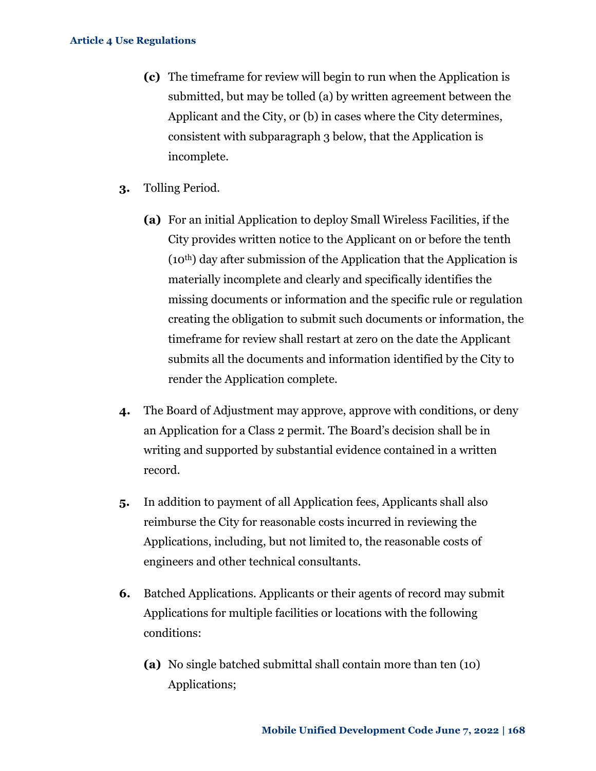- **(c)** The timeframe for review will begin to run when the Application is submitted, but may be tolled (a) by written agreement between the Applicant and the City, or (b) in cases where the City determines, consistent with subparagraph 3 below, that the Application is incomplete.
- **3.** Tolling Period.
	- **(a)** For an initial Application to deploy Small Wireless Facilities, if the City provides written notice to the Applicant on or before the tenth (10th) day after submission of the Application that the Application is materially incomplete and clearly and specifically identifies the missing documents or information and the specific rule or regulation creating the obligation to submit such documents or information, the timeframe for review shall restart at zero on the date the Applicant submits all the documents and information identified by the City to render the Application complete.
- **4.** The Board of Adjustment may approve, approve with conditions, or deny an Application for a Class 2 permit. The Board's decision shall be in writing and supported by substantial evidence contained in a written record.
- **5.** In addition to payment of all Application fees, Applicants shall also reimburse the City for reasonable costs incurred in reviewing the Applications, including, but not limited to, the reasonable costs of engineers and other technical consultants.
- **6.** Batched Applications. Applicants or their agents of record may submit Applications for multiple facilities or locations with the following conditions:
	- **(a)** No single batched submittal shall contain more than ten (10) Applications;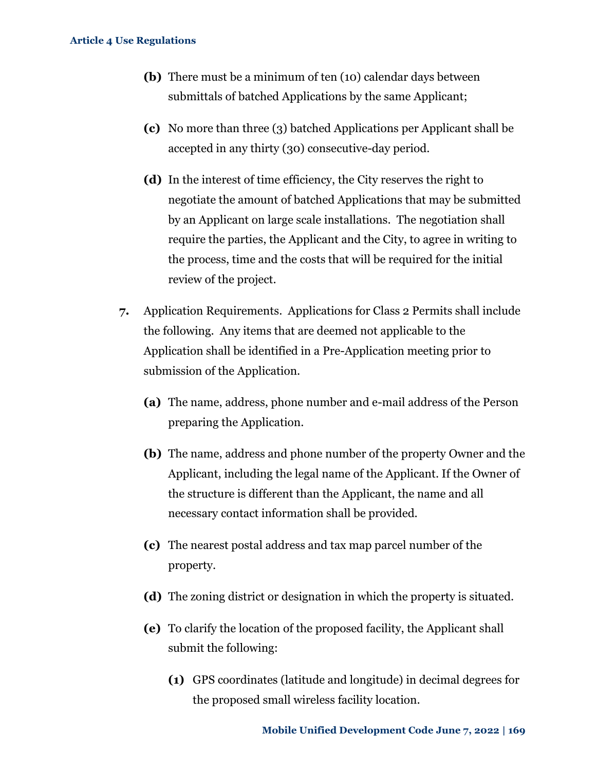- **(b)** There must be a minimum of ten (10) calendar days between submittals of batched Applications by the same Applicant;
- **(c)** No more than three (3) batched Applications per Applicant shall be accepted in any thirty (30) consecutive-day period.
- **(d)** In the interest of time efficiency, the City reserves the right to negotiate the amount of batched Applications that may be submitted by an Applicant on large scale installations. The negotiation shall require the parties, the Applicant and the City, to agree in writing to the process, time and the costs that will be required for the initial review of the project.
- **7.** Application Requirements. Applications for Class 2 Permits shall include the following. Any items that are deemed not applicable to the Application shall be identified in a Pre-Application meeting prior to submission of the Application.
	- **(a)** The name, address, phone number and e-mail address of the Person preparing the Application.
	- **(b)** The name, address and phone number of the property Owner and the Applicant, including the legal name of the Applicant. If the Owner of the structure is different than the Applicant, the name and all necessary contact information shall be provided.
	- **(c)** The nearest postal address and tax map parcel number of the property.
	- **(d)** The zoning district or designation in which the property is situated.
	- **(e)** To clarify the location of the proposed facility, the Applicant shall submit the following:
		- **(1)** GPS coordinates (latitude and longitude) in decimal degrees for the proposed small wireless facility location.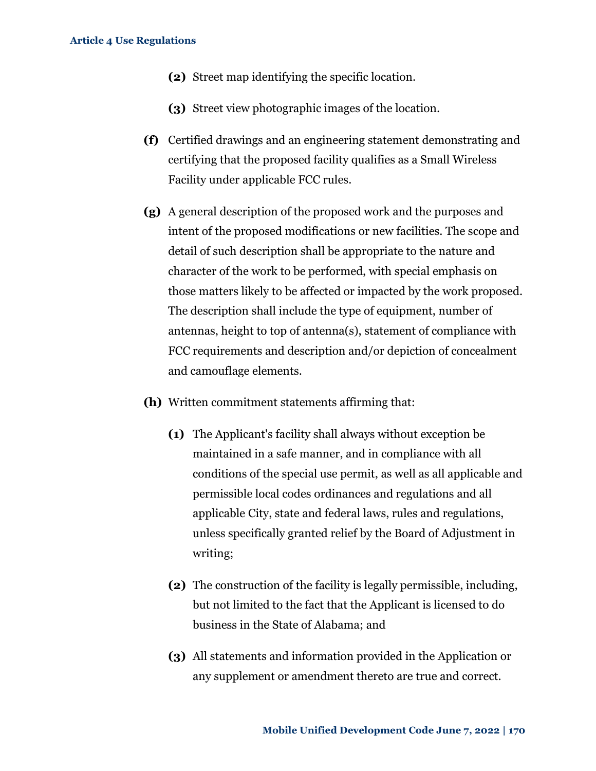- **(2)** Street map identifying the specific location.
- **(3)** Street view photographic images of the location.
- **(f)** Certified drawings and an engineering statement demonstrating and certifying that the proposed facility qualifies as a Small Wireless Facility under applicable FCC rules.
- **(g)** A general description of the proposed work and the purposes and intent of the proposed modifications or new facilities. The scope and detail of such description shall be appropriate to the nature and character of the work to be performed, with special emphasis on those matters likely to be affected or impacted by the work proposed. The description shall include the type of equipment, number of antennas, height to top of antenna(s), statement of compliance with FCC requirements and description and/or depiction of concealment and camouflage elements.
- **(h)** Written commitment statements affirming that:
	- **(1)** The Applicant's facility shall always without exception be maintained in a safe manner, and in compliance with all conditions of the special use permit, as well as all applicable and permissible local codes ordinances and regulations and all applicable City, state and federal laws, rules and regulations, unless specifically granted relief by the Board of Adjustment in writing;
	- **(2)** The construction of the facility is legally permissible, including, but not limited to the fact that the Applicant is licensed to do business in the State of Alabama; and
	- **(3)** All statements and information provided in the Application or any supplement or amendment thereto are true and correct.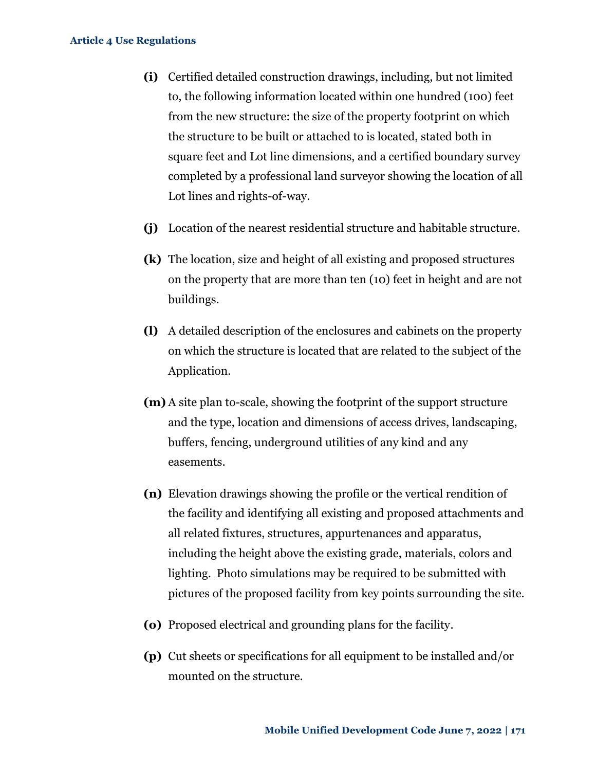- **(i)** Certified detailed construction drawings, including, but not limited to, the following information located within one hundred (100) feet from the new structure: the size of the property footprint on which the structure to be built or attached to is located, stated both in square feet and Lot line dimensions, and a certified boundary survey completed by a professional land surveyor showing the location of all Lot lines and rights-of-way.
- **(j)** Location of the nearest residential structure and habitable structure.
- **(k)** The location, size and height of all existing and proposed structures on the property that are more than ten (10) feet in height and are not buildings.
- **(l)** A detailed description of the enclosures and cabinets on the property on which the structure is located that are related to the subject of the Application.
- **(m)** A site plan to-scale, showing the footprint of the support structure and the type, location and dimensions of access drives, landscaping, buffers, fencing, underground utilities of any kind and any easements.
- **(n)** Elevation drawings showing the profile or the vertical rendition of the facility and identifying all existing and proposed attachments and all related fixtures, structures, appurtenances and apparatus, including the height above the existing grade, materials, colors and lighting. Photo simulations may be required to be submitted with pictures of the proposed facility from key points surrounding the site.
- **(o)** Proposed electrical and grounding plans for the facility.
- **(p)** Cut sheets or specifications for all equipment to be installed and/or mounted on the structure.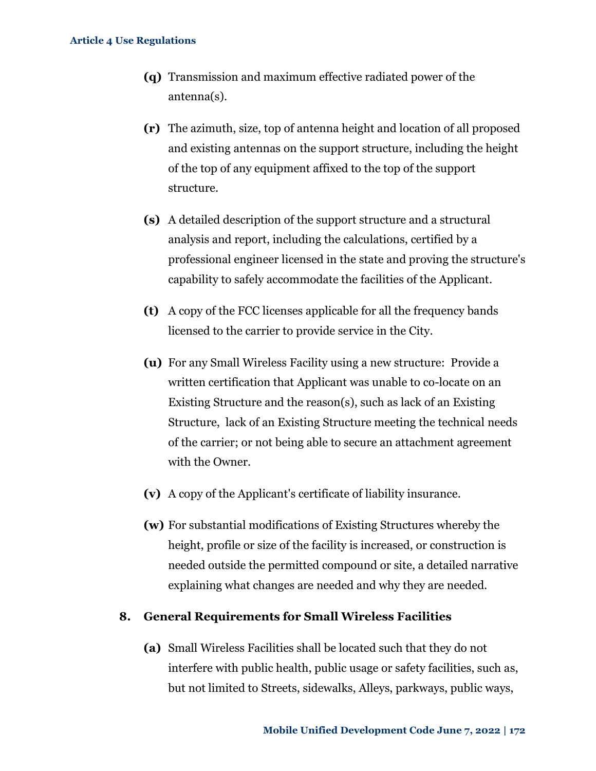- **(q)** Transmission and maximum effective radiated power of the antenna(s).
- **(r)** The azimuth, size, top of antenna height and location of all proposed and existing antennas on the support structure, including the height of the top of any equipment affixed to the top of the support structure.
- **(s)** A detailed description of the support structure and a structural analysis and report, including the calculations, certified by a professional engineer licensed in the state and proving the structure's capability to safely accommodate the facilities of the Applicant.
- **(t)** A copy of the FCC licenses applicable for all the frequency bands licensed to the carrier to provide service in the City.
- **(u)** For any Small Wireless Facility using a new structure: Provide a written certification that Applicant was unable to co-locate on an Existing Structure and the reason(s), such as lack of an Existing Structure, lack of an Existing Structure meeting the technical needs of the carrier; or not being able to secure an attachment agreement with the Owner.
- **(v)** A copy of the Applicant's certificate of liability insurance.
- **(w)** For substantial modifications of Existing Structures whereby the height, profile or size of the facility is increased, or construction is needed outside the permitted compound or site, a detailed narrative explaining what changes are needed and why they are needed.

### **8. General Requirements for Small Wireless Facilities**

**(a)** Small Wireless Facilities shall be located such that they do not interfere with public health, public usage or safety facilities, such as, but not limited to Streets, sidewalks, Alleys, parkways, public ways,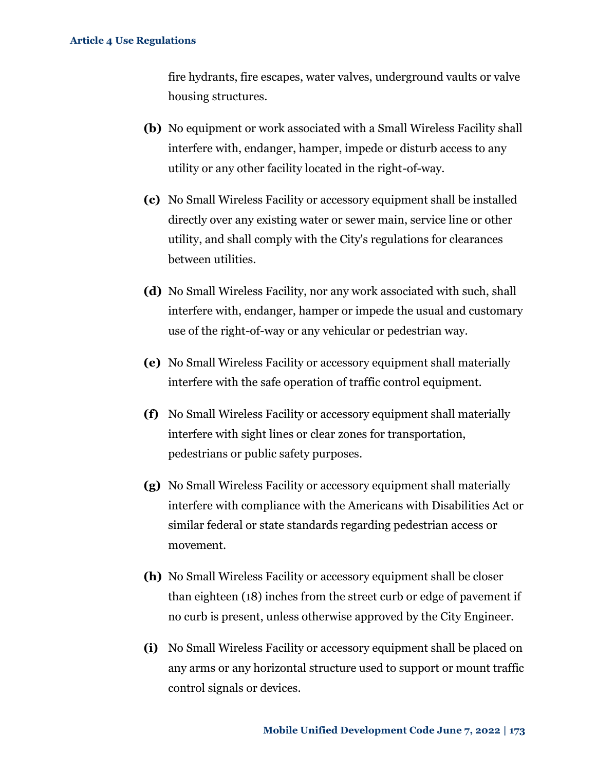fire hydrants, fire escapes, water valves, underground vaults or valve housing structures.

- **(b)** No equipment or work associated with a Small Wireless Facility shall interfere with, endanger, hamper, impede or disturb access to any utility or any other facility located in the right-of-way.
- **(c)** No Small Wireless Facility or accessory equipment shall be installed directly over any existing water or sewer main, service line or other utility, and shall comply with the City's regulations for clearances between utilities.
- **(d)** No Small Wireless Facility, nor any work associated with such, shall interfere with, endanger, hamper or impede the usual and customary use of the right-of-way or any vehicular or pedestrian way.
- **(e)** No Small Wireless Facility or accessory equipment shall materially interfere with the safe operation of traffic control equipment.
- **(f)** No Small Wireless Facility or accessory equipment shall materially interfere with sight lines or clear zones for transportation, pedestrians or public safety purposes.
- **(g)** No Small Wireless Facility or accessory equipment shall materially interfere with compliance with the Americans with Disabilities Act or similar federal or state standards regarding pedestrian access or movement.
- **(h)** No Small Wireless Facility or accessory equipment shall be closer than eighteen (18) inches from the street curb or edge of pavement if no curb is present, unless otherwise approved by the City Engineer.
- **(i)** No Small Wireless Facility or accessory equipment shall be placed on any arms or any horizontal structure used to support or mount traffic control signals or devices.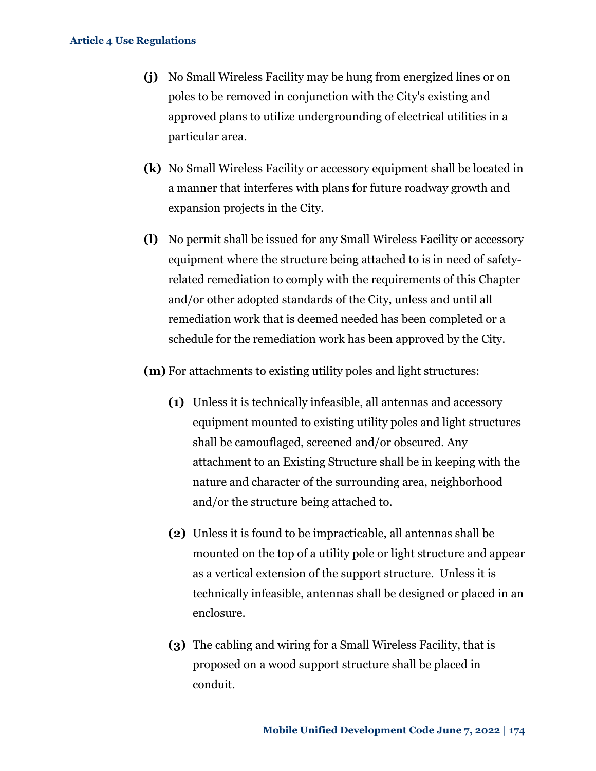- **(j)** No Small Wireless Facility may be hung from energized lines or on poles to be removed in conjunction with the City's existing and approved plans to utilize undergrounding of electrical utilities in a particular area.
- **(k)** No Small Wireless Facility or accessory equipment shall be located in a manner that interferes with plans for future roadway growth and expansion projects in the City.
- **(l)** No permit shall be issued for any Small Wireless Facility or accessory equipment where the structure being attached to is in need of safetyrelated remediation to comply with the requirements of this Chapter and/or other adopted standards of the City, unless and until all remediation work that is deemed needed has been completed or a schedule for the remediation work has been approved by the City.

**(m)** For attachments to existing utility poles and light structures:

- **(1)** Unless it is technically infeasible, all antennas and accessory equipment mounted to existing utility poles and light structures shall be camouflaged, screened and/or obscured. Any attachment to an Existing Structure shall be in keeping with the nature and character of the surrounding area, neighborhood and/or the structure being attached to.
- **(2)** Unless it is found to be impracticable, all antennas shall be mounted on the top of a utility pole or light structure and appear as a vertical extension of the support structure. Unless it is technically infeasible, antennas shall be designed or placed in an enclosure.
- **(3)** The cabling and wiring for a Small Wireless Facility, that is proposed on a wood support structure shall be placed in conduit.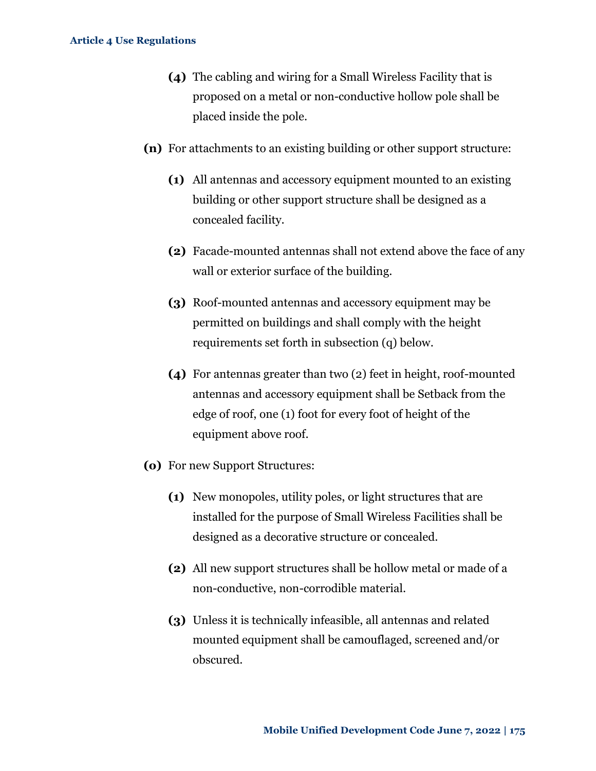- **(4)** The cabling and wiring for a Small Wireless Facility that is proposed on a metal or non-conductive hollow pole shall be placed inside the pole.
- **(n)** For attachments to an existing building or other support structure:
	- **(1)** All antennas and accessory equipment mounted to an existing building or other support structure shall be designed as a concealed facility.
	- **(2)** Facade-mounted antennas shall not extend above the face of any wall or exterior surface of the building.
	- **(3)** Roof-mounted antennas and accessory equipment may be permitted on buildings and shall comply with the height requirements set forth in subsection (q) below.
	- **(4)** For antennas greater than two (2) feet in height, roof-mounted antennas and accessory equipment shall be Setback from the edge of roof, one (1) foot for every foot of height of the equipment above roof.
- **(o)** For new Support Structures:
	- **(1)** New monopoles, utility poles, or light structures that are installed for the purpose of Small Wireless Facilities shall be designed as a decorative structure or concealed.
	- **(2)** All new support structures shall be hollow metal or made of a non-conductive, non-corrodible material.
	- **(3)** Unless it is technically infeasible, all antennas and related mounted equipment shall be camouflaged, screened and/or obscured.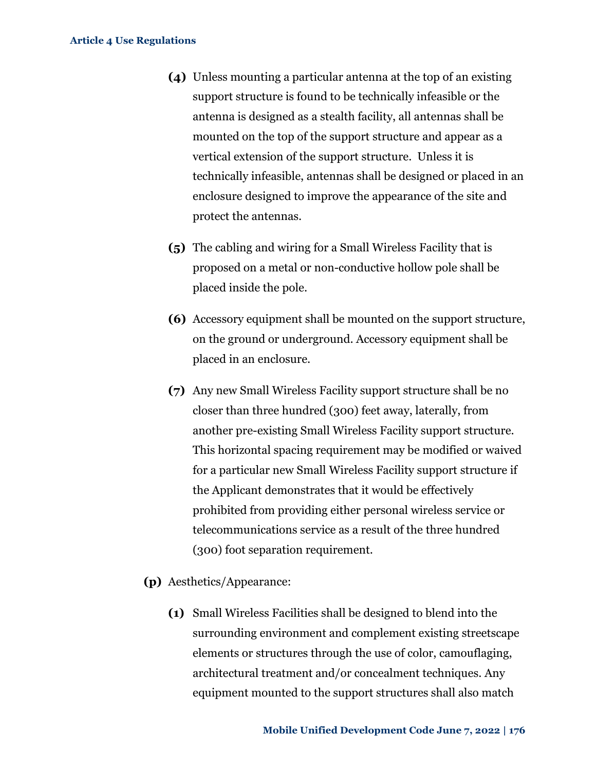- **(4)** Unless mounting a particular antenna at the top of an existing support structure is found to be technically infeasible or the antenna is designed as a stealth facility, all antennas shall be mounted on the top of the support structure and appear as a vertical extension of the support structure. Unless it is technically infeasible, antennas shall be designed or placed in an enclosure designed to improve the appearance of the site and protect the antennas.
- **(5)** The cabling and wiring for a Small Wireless Facility that is proposed on a metal or non-conductive hollow pole shall be placed inside the pole.
- **(6)** Accessory equipment shall be mounted on the support structure, on the ground or underground. Accessory equipment shall be placed in an enclosure.
- **(7)** Any new Small Wireless Facility support structure shall be no closer than three hundred (300) feet away, laterally, from another pre-existing Small Wireless Facility support structure. This horizontal spacing requirement may be modified or waived for a particular new Small Wireless Facility support structure if the Applicant demonstrates that it would be effectively prohibited from providing either personal wireless service or telecommunications service as a result of the three hundred (300) foot separation requirement.
- **(p)** Aesthetics/Appearance:
	- **(1)** Small Wireless Facilities shall be designed to blend into the surrounding environment and complement existing streetscape elements or structures through the use of color, camouflaging, architectural treatment and/or concealment techniques. Any equipment mounted to the support structures shall also match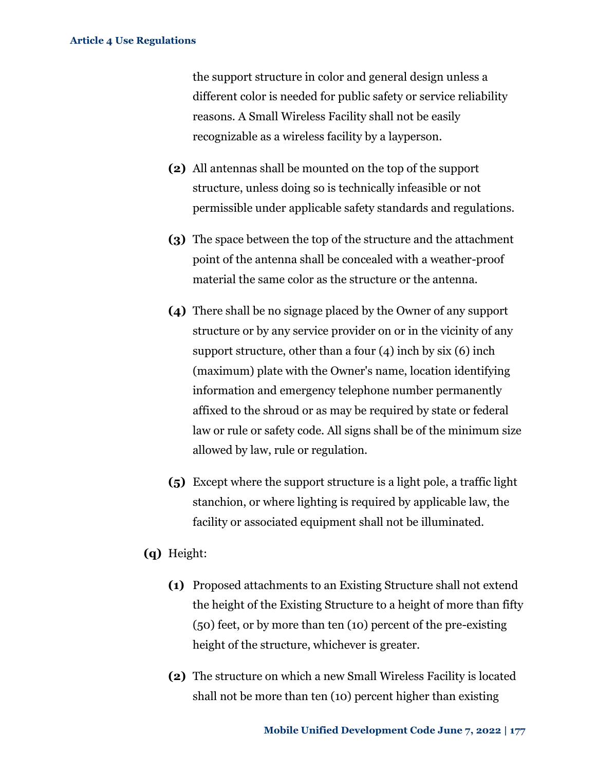the support structure in color and general design unless a different color is needed for public safety or service reliability reasons. A Small Wireless Facility shall not be easily recognizable as a wireless facility by a layperson.

- **(2)** All antennas shall be mounted on the top of the support structure, unless doing so is technically infeasible or not permissible under applicable safety standards and regulations.
- **(3)** The space between the top of the structure and the attachment point of the antenna shall be concealed with a weather-proof material the same color as the structure or the antenna.
- **(4)** There shall be no signage placed by the Owner of any support structure or by any service provider on or in the vicinity of any support structure, other than a four  $(4)$  inch by six  $(6)$  inch (maximum) plate with the Owner's name, location identifying information and emergency telephone number permanently affixed to the shroud or as may be required by state or federal law or rule or safety code. All signs shall be of the minimum size allowed by law, rule or regulation.
- **(5)** Except where the support structure is a light pole, a traffic light stanchion, or where lighting is required by applicable law, the facility or associated equipment shall not be illuminated.
- **(q)** Height:
	- **(1)** Proposed attachments to an Existing Structure shall not extend the height of the Existing Structure to a height of more than fifty (50) feet, or by more than ten (10) percent of the pre-existing height of the structure, whichever is greater.
	- **(2)** The structure on which a new Small Wireless Facility is located shall not be more than ten (10) percent higher than existing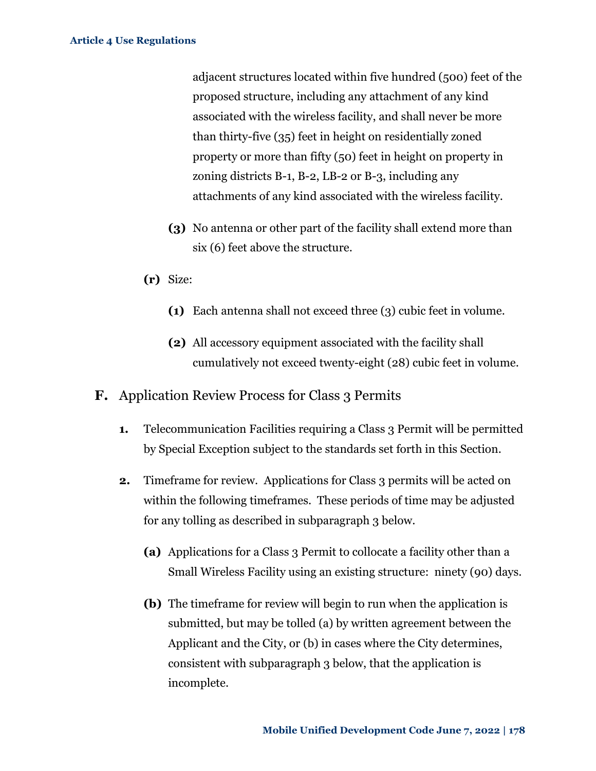adjacent structures located within five hundred (500) feet of the proposed structure, including any attachment of any kind associated with the wireless facility, and shall never be more than thirty-five (35) feet in height on residentially zoned property or more than fifty (50) feet in height on property in zoning districts B-1, B-2, LB-2 or B-3, including any attachments of any kind associated with the wireless facility.

- **(3)** No antenna or other part of the facility shall extend more than six (6) feet above the structure.
- **(r)** Size:
	- **(1)** Each antenna shall not exceed three (3) cubic feet in volume.
	- **(2)** All accessory equipment associated with the facility shall cumulatively not exceed twenty-eight (28) cubic feet in volume.
- **F.** Application Review Process for Class 3 Permits
	- **1.** Telecommunication Facilities requiring a Class 3 Permit will be permitted by Special Exception subject to the standards set forth in this Section.
	- **2.** Timeframe for review. Applications for Class 3 permits will be acted on within the following timeframes. These periods of time may be adjusted for any tolling as described in subparagraph 3 below.
		- **(a)** Applications for a Class 3 Permit to collocate a facility other than a Small Wireless Facility using an existing structure: ninety (90) days.
		- **(b)** The timeframe for review will begin to run when the application is submitted, but may be tolled (a) by written agreement between the Applicant and the City, or (b) in cases where the City determines, consistent with subparagraph 3 below, that the application is incomplete.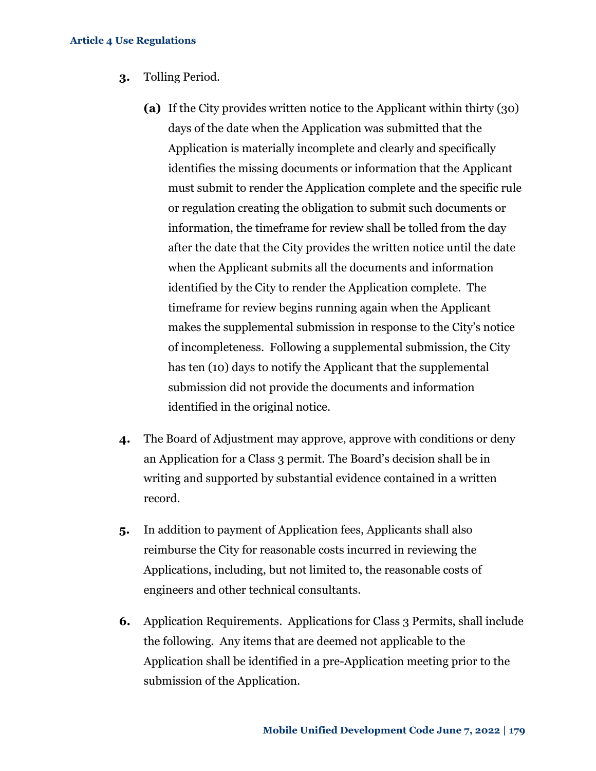- **3.** Tolling Period.
	- **(a)** If the City provides written notice to the Applicant within thirty (30) days of the date when the Application was submitted that the Application is materially incomplete and clearly and specifically identifies the missing documents or information that the Applicant must submit to render the Application complete and the specific rule or regulation creating the obligation to submit such documents or information, the timeframe for review shall be tolled from the day after the date that the City provides the written notice until the date when the Applicant submits all the documents and information identified by the City to render the Application complete. The timeframe for review begins running again when the Applicant makes the supplemental submission in response to the City's notice of incompleteness. Following a supplemental submission, the City has ten (10) days to notify the Applicant that the supplemental submission did not provide the documents and information identified in the original notice.
- **4.** The Board of Adjustment may approve, approve with conditions or deny an Application for a Class 3 permit. The Board's decision shall be in writing and supported by substantial evidence contained in a written record.
- **5.** In addition to payment of Application fees, Applicants shall also reimburse the City for reasonable costs incurred in reviewing the Applications, including, but not limited to, the reasonable costs of engineers and other technical consultants.
- **6.** Application Requirements. Applications for Class 3 Permits, shall include the following. Any items that are deemed not applicable to the Application shall be identified in a pre-Application meeting prior to the submission of the Application.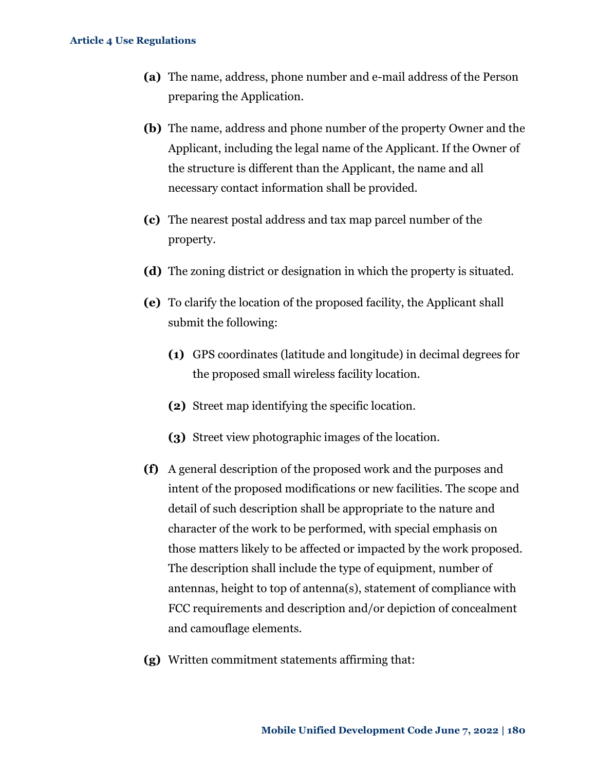- **(a)** The name, address, phone number and e-mail address of the Person preparing the Application.
- **(b)** The name, address and phone number of the property Owner and the Applicant, including the legal name of the Applicant. If the Owner of the structure is different than the Applicant, the name and all necessary contact information shall be provided.
- **(c)** The nearest postal address and tax map parcel number of the property.
- **(d)** The zoning district or designation in which the property is situated.
- **(e)** To clarify the location of the proposed facility, the Applicant shall submit the following:
	- **(1)** GPS coordinates (latitude and longitude) in decimal degrees for the proposed small wireless facility location.
	- **(2)** Street map identifying the specific location.
	- **(3)** Street view photographic images of the location.
- **(f)** A general description of the proposed work and the purposes and intent of the proposed modifications or new facilities. The scope and detail of such description shall be appropriate to the nature and character of the work to be performed, with special emphasis on those matters likely to be affected or impacted by the work proposed. The description shall include the type of equipment, number of antennas, height to top of antenna(s), statement of compliance with FCC requirements and description and/or depiction of concealment and camouflage elements.
- **(g)** Written commitment statements affirming that: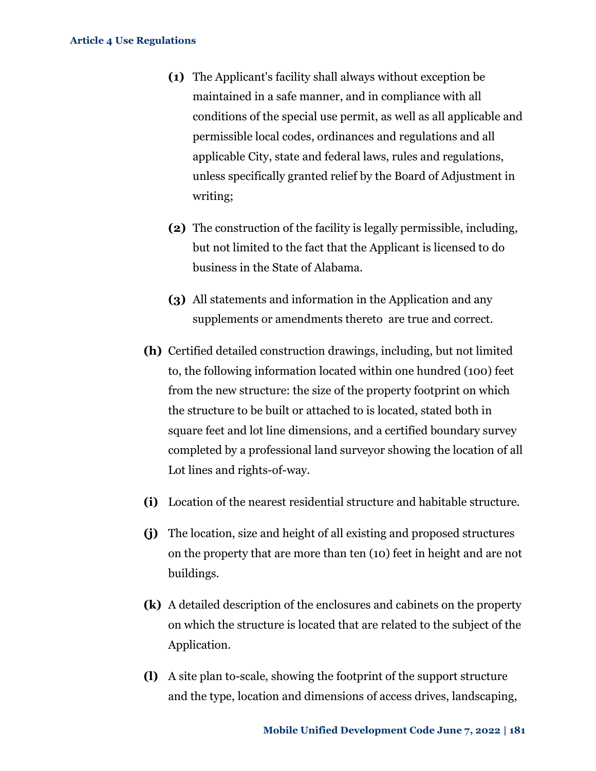- **(1)** The Applicant's facility shall always without exception be maintained in a safe manner, and in compliance with all conditions of the special use permit, as well as all applicable and permissible local codes, ordinances and regulations and all applicable City, state and federal laws, rules and regulations, unless specifically granted relief by the Board of Adjustment in writing;
- **(2)** The construction of the facility is legally permissible, including, but not limited to the fact that the Applicant is licensed to do business in the State of Alabama.
- **(3)** All statements and information in the Application and any supplements or amendments thereto are true and correct.
- **(h)** Certified detailed construction drawings, including, but not limited to, the following information located within one hundred (100) feet from the new structure: the size of the property footprint on which the structure to be built or attached to is located, stated both in square feet and lot line dimensions, and a certified boundary survey completed by a professional land surveyor showing the location of all Lot lines and rights-of-way.
- **(i)** Location of the nearest residential structure and habitable structure.
- **(j)** The location, size and height of all existing and proposed structures on the property that are more than ten (10) feet in height and are not buildings.
- **(k)** A detailed description of the enclosures and cabinets on the property on which the structure is located that are related to the subject of the Application.
- **(l)** A site plan to-scale, showing the footprint of the support structure and the type, location and dimensions of access drives, landscaping,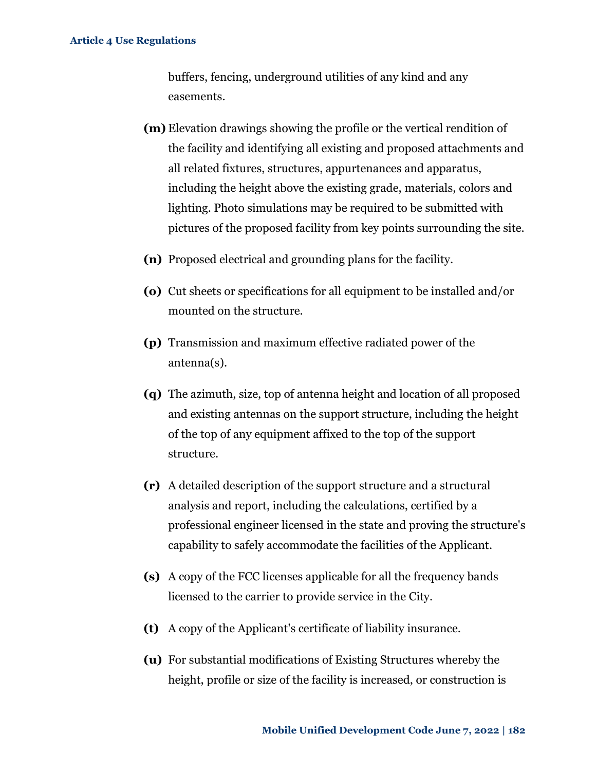buffers, fencing, underground utilities of any kind and any easements.

- **(m)** Elevation drawings showing the profile or the vertical rendition of the facility and identifying all existing and proposed attachments and all related fixtures, structures, appurtenances and apparatus, including the height above the existing grade, materials, colors and lighting. Photo simulations may be required to be submitted with pictures of the proposed facility from key points surrounding the site.
- **(n)** Proposed electrical and grounding plans for the facility.
- **(o)** Cut sheets or specifications for all equipment to be installed and/or mounted on the structure.
- **(p)** Transmission and maximum effective radiated power of the antenna(s).
- **(q)** The azimuth, size, top of antenna height and location of all proposed and existing antennas on the support structure, including the height of the top of any equipment affixed to the top of the support structure.
- **(r)** A detailed description of the support structure and a structural analysis and report, including the calculations, certified by a professional engineer licensed in the state and proving the structure's capability to safely accommodate the facilities of the Applicant.
- **(s)** A copy of the FCC licenses applicable for all the frequency bands licensed to the carrier to provide service in the City.
- **(t)** A copy of the Applicant's certificate of liability insurance.
- **(u)** For substantial modifications of Existing Structures whereby the height, profile or size of the facility is increased, or construction is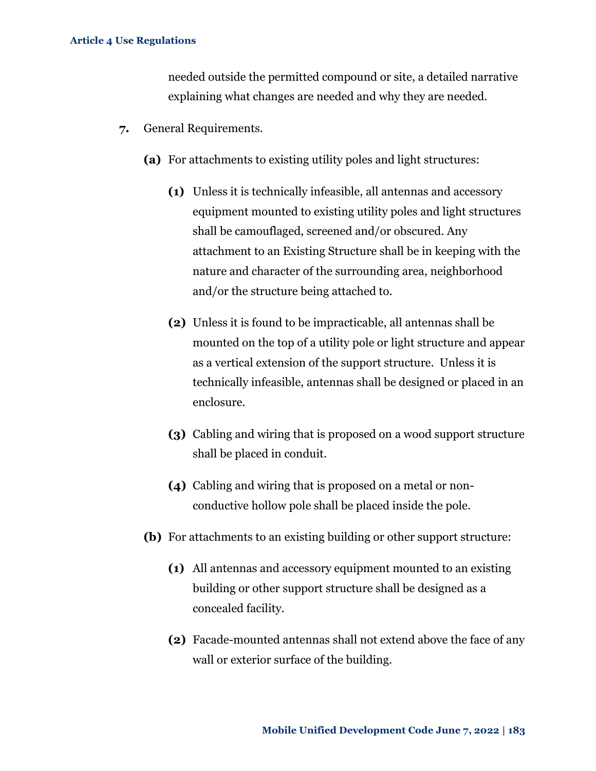needed outside the permitted compound or site, a detailed narrative explaining what changes are needed and why they are needed.

- **7.** General Requirements.
	- **(a)** For attachments to existing utility poles and light structures:
		- **(1)** Unless it is technically infeasible, all antennas and accessory equipment mounted to existing utility poles and light structures shall be camouflaged, screened and/or obscured. Any attachment to an Existing Structure shall be in keeping with the nature and character of the surrounding area, neighborhood and/or the structure being attached to.
		- **(2)** Unless it is found to be impracticable, all antennas shall be mounted on the top of a utility pole or light structure and appear as a vertical extension of the support structure. Unless it is technically infeasible, antennas shall be designed or placed in an enclosure.
		- **(3)** Cabling and wiring that is proposed on a wood support structure shall be placed in conduit.
		- **(4)** Cabling and wiring that is proposed on a metal or nonconductive hollow pole shall be placed inside the pole.
	- **(b)** For attachments to an existing building or other support structure:
		- **(1)** All antennas and accessory equipment mounted to an existing building or other support structure shall be designed as a concealed facility.
		- **(2)** Facade-mounted antennas shall not extend above the face of any wall or exterior surface of the building.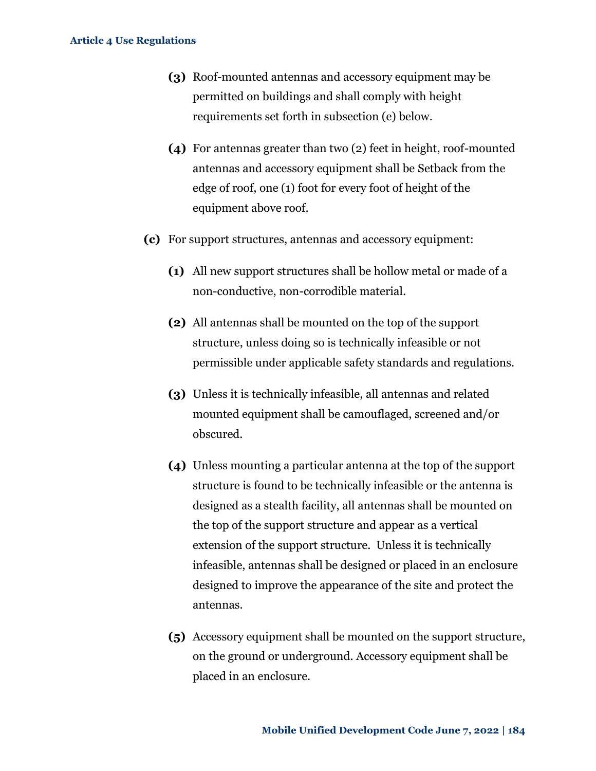- **(3)** Roof-mounted antennas and accessory equipment may be permitted on buildings and shall comply with height requirements set forth in subsection (e) below.
- **(4)** For antennas greater than two (2) feet in height, roof-mounted antennas and accessory equipment shall be Setback from the edge of roof, one (1) foot for every foot of height of the equipment above roof.
- **(c)** For support structures, antennas and accessory equipment:
	- **(1)** All new support structures shall be hollow metal or made of a non-conductive, non-corrodible material.
	- **(2)** All antennas shall be mounted on the top of the support structure, unless doing so is technically infeasible or not permissible under applicable safety standards and regulations.
	- **(3)** Unless it is technically infeasible, all antennas and related mounted equipment shall be camouflaged, screened and/or obscured.
	- **(4)** Unless mounting a particular antenna at the top of the support structure is found to be technically infeasible or the antenna is designed as a stealth facility, all antennas shall be mounted on the top of the support structure and appear as a vertical extension of the support structure. Unless it is technically infeasible, antennas shall be designed or placed in an enclosure designed to improve the appearance of the site and protect the antennas.
	- **(5)** Accessory equipment shall be mounted on the support structure, on the ground or underground. Accessory equipment shall be placed in an enclosure.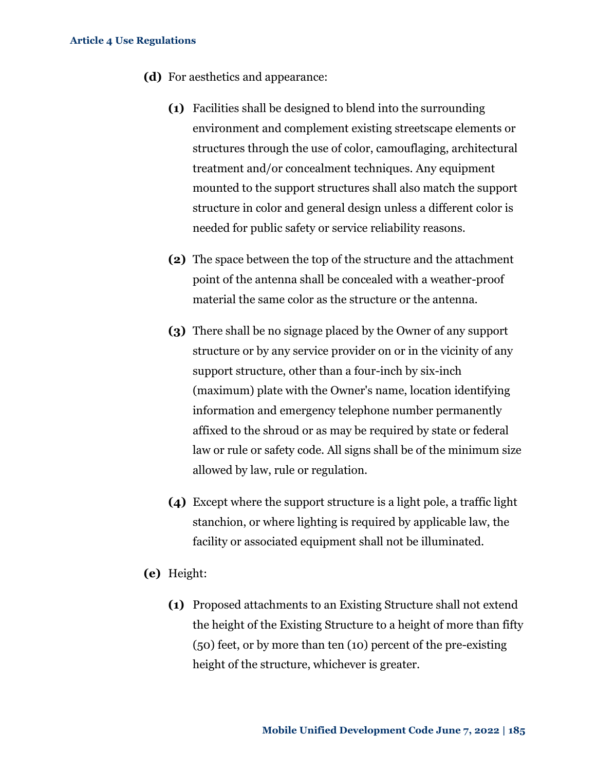- **(d)** For aesthetics and appearance:
	- **(1)** Facilities shall be designed to blend into the surrounding environment and complement existing streetscape elements or structures through the use of color, camouflaging, architectural treatment and/or concealment techniques. Any equipment mounted to the support structures shall also match the support structure in color and general design unless a different color is needed for public safety or service reliability reasons.
	- **(2)** The space between the top of the structure and the attachment point of the antenna shall be concealed with a weather-proof material the same color as the structure or the antenna.
	- **(3)** There shall be no signage placed by the Owner of any support structure or by any service provider on or in the vicinity of any support structure, other than a four-inch by six-inch (maximum) plate with the Owner's name, location identifying information and emergency telephone number permanently affixed to the shroud or as may be required by state or federal law or rule or safety code. All signs shall be of the minimum size allowed by law, rule or regulation.
	- **(4)** Except where the support structure is a light pole, a traffic light stanchion, or where lighting is required by applicable law, the facility or associated equipment shall not be illuminated.
- **(e)** Height:
	- **(1)** Proposed attachments to an Existing Structure shall not extend the height of the Existing Structure to a height of more than fifty (50) feet, or by more than ten (10) percent of the pre-existing height of the structure, whichever is greater.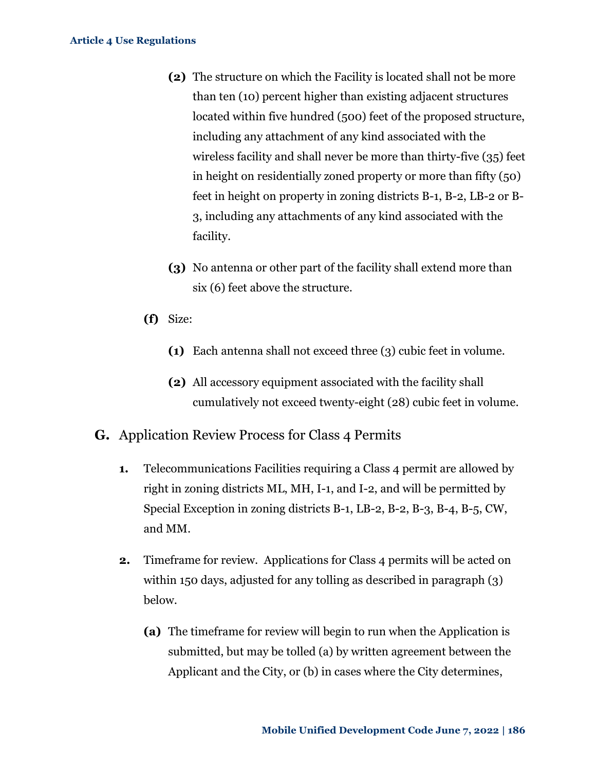- **(2)** The structure on which the Facility is located shall not be more than ten (10) percent higher than existing adjacent structures located within five hundred (500) feet of the proposed structure, including any attachment of any kind associated with the wireless facility and shall never be more than thirty-five (35) feet in height on residentially zoned property or more than fifty (50) feet in height on property in zoning districts B-1, B-2, LB-2 or B-3, including any attachments of any kind associated with the facility.
- **(3)** No antenna or other part of the facility shall extend more than six (6) feet above the structure.
- **(f)** Size:
	- **(1)** Each antenna shall not exceed three (3) cubic feet in volume.
	- **(2)** All accessory equipment associated with the facility shall cumulatively not exceed twenty-eight (28) cubic feet in volume.
- **G.** Application Review Process for Class 4 Permits
	- **1.** Telecommunications Facilities requiring a Class 4 permit are allowed by right in zoning districts ML, MH, I-1, and I-2, and will be permitted by Special Exception in zoning districts B-1, LB-2, B-2, B-3, B-4, B-5, CW, and MM.
	- **2.** Timeframe for review. Applications for Class 4 permits will be acted on within 150 days, adjusted for any tolling as described in paragraph (3) below.
		- **(a)** The timeframe for review will begin to run when the Application is submitted, but may be tolled (a) by written agreement between the Applicant and the City, or (b) in cases where the City determines,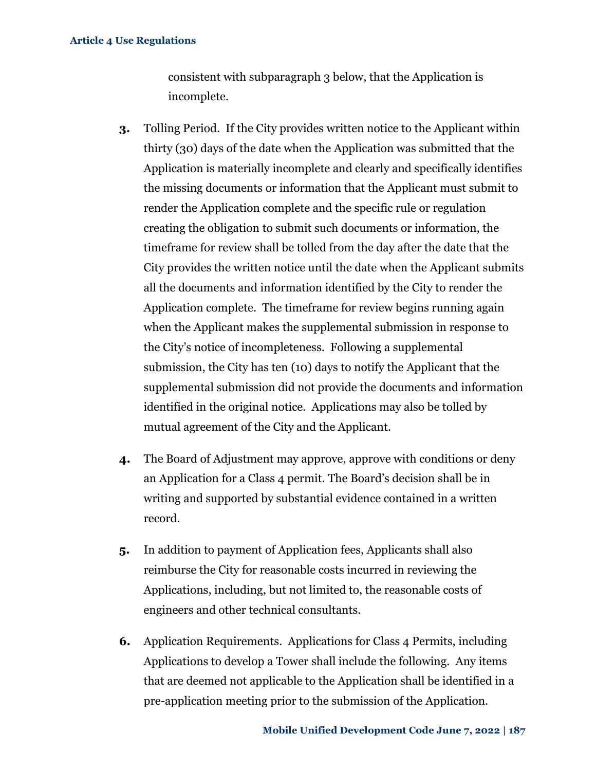consistent with subparagraph 3 below, that the Application is incomplete.

- **3.** Tolling Period. If the City provides written notice to the Applicant within thirty (30) days of the date when the Application was submitted that the Application is materially incomplete and clearly and specifically identifies the missing documents or information that the Applicant must submit to render the Application complete and the specific rule or regulation creating the obligation to submit such documents or information, the timeframe for review shall be tolled from the day after the date that the City provides the written notice until the date when the Applicant submits all the documents and information identified by the City to render the Application complete. The timeframe for review begins running again when the Applicant makes the supplemental submission in response to the City's notice of incompleteness. Following a supplemental submission, the City has ten (10) days to notify the Applicant that the supplemental submission did not provide the documents and information identified in the original notice. Applications may also be tolled by mutual agreement of the City and the Applicant.
- **4.** The Board of Adjustment may approve, approve with conditions or deny an Application for a Class 4 permit. The Board's decision shall be in writing and supported by substantial evidence contained in a written record.
- **5.** In addition to payment of Application fees, Applicants shall also reimburse the City for reasonable costs incurred in reviewing the Applications, including, but not limited to, the reasonable costs of engineers and other technical consultants.
- **6.** Application Requirements. Applications for Class 4 Permits, including Applications to develop a Tower shall include the following. Any items that are deemed not applicable to the Application shall be identified in a pre-application meeting prior to the submission of the Application.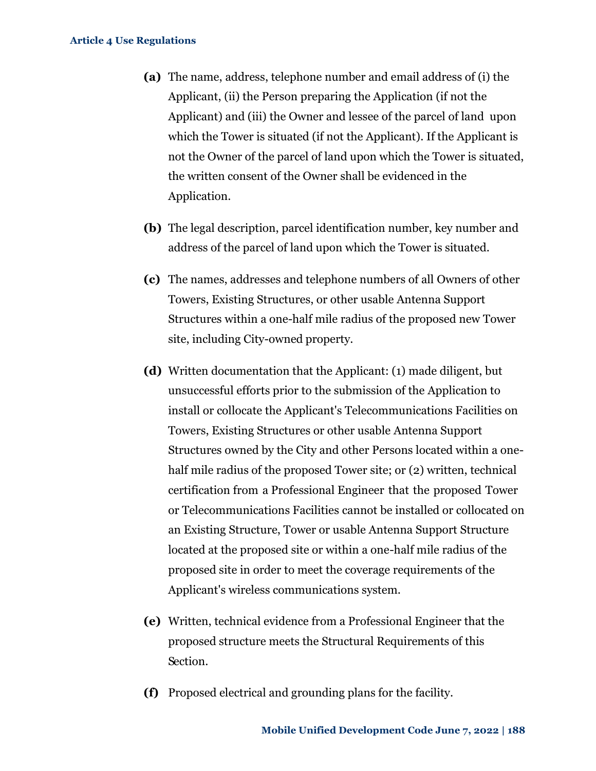- **(a)** The name, address, telephone number and email address of (i) the Applicant, (ii) the Person preparing the Application (if not the Applicant) and (iii) the Owner and lessee of the parcel of land upon which the Tower is situated (if not the Applicant). If the Applicant is not the Owner of the parcel of land upon which the Tower is situated, the written consent of the Owner shall be evidenced in the Application.
- **(b)** The legal description, parcel identification number, key number and address of the parcel of land upon which the Tower is situated.
- **(c)** The names, addresses and telephone numbers of all Owners of other Towers, Existing Structures, or other usable Antenna Support Structures within a one-half mile radius of the proposed new Tower site, including City-owned property.
- **(d)** Written documentation that the Applicant: (1) made diligent, but unsuccessful efforts prior to the submission of the Application to install or collocate the Applicant's Telecommunications Facilities on Towers, Existing Structures or other usable Antenna Support Structures owned by the City and other Persons located within a onehalf mile radius of the proposed Tower site; or (2) written, technical certification from a Professional Engineer that the proposed Tower or Telecommunications Facilities cannot be installed or collocated on an Existing Structure, Tower or usable Antenna Support Structure located at the proposed site or within a one-half mile radius of the proposed site in order to meet the coverage requirements of the Applicant's wireless communications system.
- **(e)** Written, technical evidence from a Professional Engineer that the proposed structure meets the Structural Requirements of this Section.
- **(f)** Proposed electrical and grounding plans for the facility.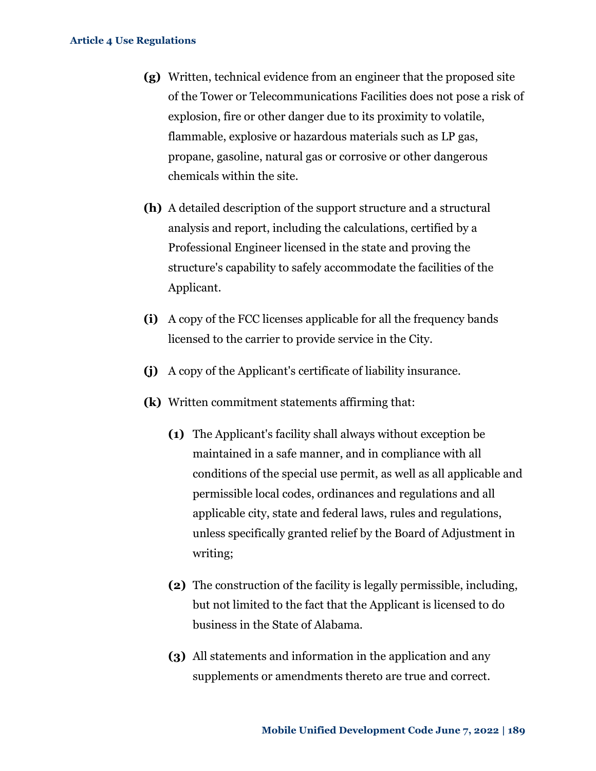- **(g)** Written, technical evidence from an engineer that the proposed site of the Tower or Telecommunications Facilities does not pose a risk of explosion, fire or other danger due to its proximity to volatile, flammable, explosive or hazardous materials such as LP gas, propane, gasoline, natural gas or corrosive or other dangerous chemicals within the site.
- **(h)** A detailed description of the support structure and a structural analysis and report, including the calculations, certified by a Professional Engineer licensed in the state and proving the structure's capability to safely accommodate the facilities of the Applicant.
- **(i)** A copy of the FCC licenses applicable for all the frequency bands licensed to the carrier to provide service in the City.
- **(j)** A copy of the Applicant's certificate of liability insurance.
- **(k)** Written commitment statements affirming that:
	- **(1)** The Applicant's facility shall always without exception be maintained in a safe manner, and in compliance with all conditions of the special use permit, as well as all applicable and permissible local codes, ordinances and regulations and all applicable city, state and federal laws, rules and regulations, unless specifically granted relief by the Board of Adjustment in writing;
	- **(2)** The construction of the facility is legally permissible, including, but not limited to the fact that the Applicant is licensed to do business in the State of Alabama.
	- **(3)** All statements and information in the application and any supplements or amendments thereto are true and correct.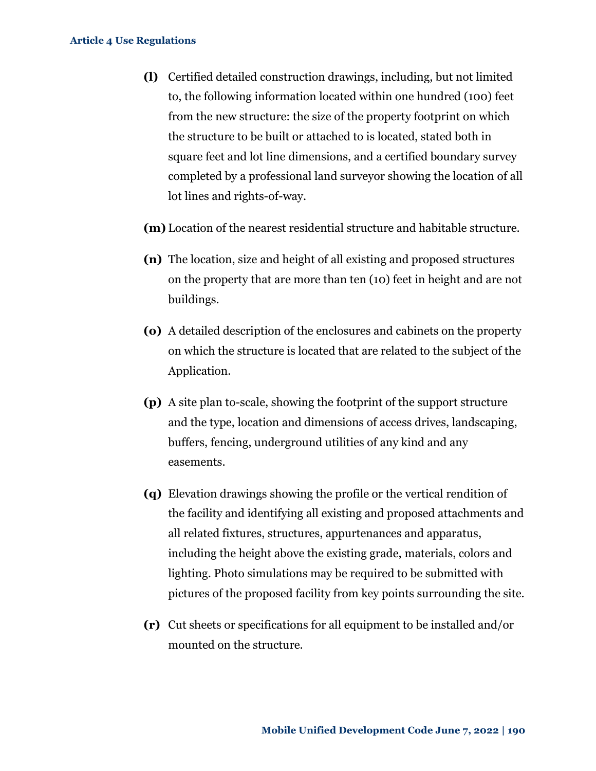- **(l)** Certified detailed construction drawings, including, but not limited to, the following information located within one hundred (100) feet from the new structure: the size of the property footprint on which the structure to be built or attached to is located, stated both in square feet and lot line dimensions, and a certified boundary survey completed by a professional land surveyor showing the location of all lot lines and rights-of-way.
- **(m)** Location of the nearest residential structure and habitable structure.
- **(n)** The location, size and height of all existing and proposed structures on the property that are more than ten (10) feet in height and are not buildings.
- **(o)** A detailed description of the enclosures and cabinets on the property on which the structure is located that are related to the subject of the Application.
- **(p)** A site plan to-scale, showing the footprint of the support structure and the type, location and dimensions of access drives, landscaping, buffers, fencing, underground utilities of any kind and any easements.
- **(q)** Elevation drawings showing the profile or the vertical rendition of the facility and identifying all existing and proposed attachments and all related fixtures, structures, appurtenances and apparatus, including the height above the existing grade, materials, colors and lighting. Photo simulations may be required to be submitted with pictures of the proposed facility from key points surrounding the site.
- **(r)** Cut sheets or specifications for all equipment to be installed and/or mounted on the structure.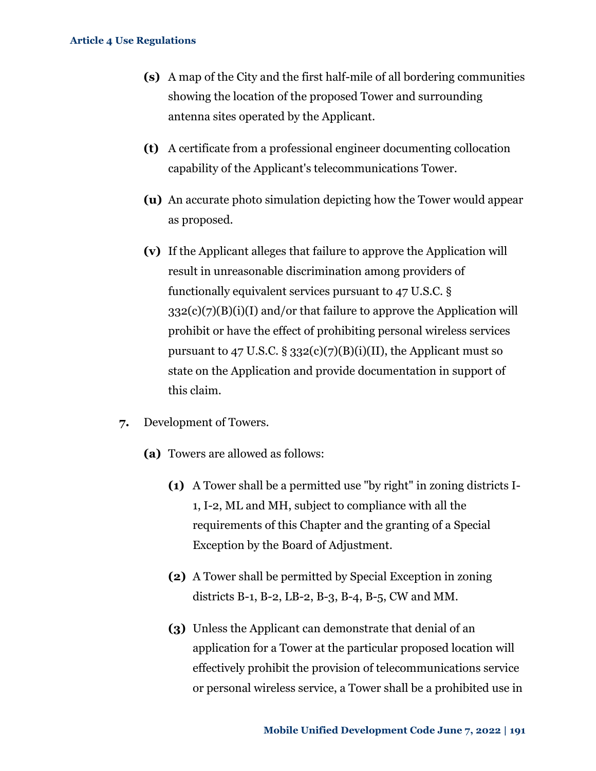- **(s)** A map of the City and the first half-mile of all bordering communities showing the location of the proposed Tower and surrounding antenna sites operated by the Applicant.
- **(t)** A certificate from a professional engineer documenting collocation capability of the Applicant's telecommunications Tower.
- **(u)** An accurate photo simulation depicting how the Tower would appear as proposed.
- **(v)** If the Applicant alleges that failure to approve the Application will result in unreasonable discrimination among providers of functionally equivalent services pursuant to 47 U.S.C. §  $332(c)(7)(B)(i)(I)$  and/or that failure to approve the Application will prohibit or have the effect of prohibiting personal wireless services pursuant to 47 U.S.C.  $\S 332(c)(7)(B)(i)(II)$ , the Applicant must so state on the Application and provide documentation in support of this claim.
- **7.** Development of Towers.
	- **(a)** Towers are allowed as follows:
		- **(1)** A Tower shall be a permitted use "by right" in zoning districts I-1, I-2, ML and MH, subject to compliance with all the requirements of this Chapter and the granting of a Special Exception by the Board of Adjustment.
		- **(2)** A Tower shall be permitted by Special Exception in zoning districts B-1, B-2, LB-2, B-3, B-4, B-5, CW and MM.
		- **(3)** Unless the Applicant can demonstrate that denial of an application for a Tower at the particular proposed location will effectively prohibit the provision of telecommunications service or personal wireless service, a Tower shall be a prohibited use in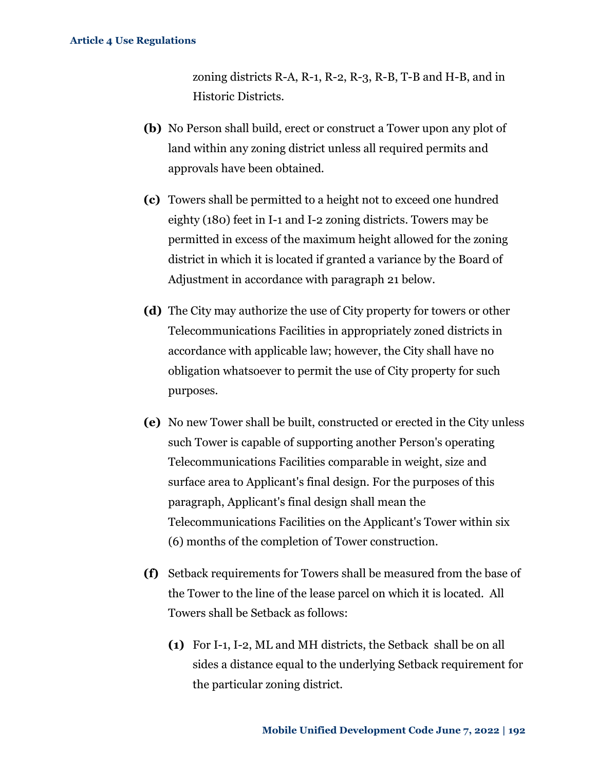zoning districts R-A, R-1, R-2, R-3, R-B, T-B and H-B, and in Historic Districts.

- **(b)** No Person shall build, erect or construct a Tower upon any plot of land within any zoning district unless all required permits and approvals have been obtained.
- **(c)** Towers shall be permitted to a height not to exceed one hundred eighty (180) feet in I-1 and I-2 zoning districts. Towers may be permitted in excess of the maximum height allowed for the zoning district in which it is located if granted a variance by the Board of Adjustment in accordance with paragraph 21 below.
- **(d)** The City may authorize the use of City property for towers or other Telecommunications Facilities in appropriately zoned districts in accordance with applicable law; however, the City shall have no obligation whatsoever to permit the use of City property for such purposes.
- **(e)** No new Tower shall be built, constructed or erected in the City unless such Tower is capable of supporting another Person's operating Telecommunications Facilities comparable in weight, size and surface area to Applicant's final design. For the purposes of this paragraph, Applicant's final design shall mean the Telecommunications Facilities on the Applicant's Tower within six (6) months of the completion of Tower construction.
- **(f)** Setback requirements for Towers shall be measured from the base of the Tower to the line of the lease parcel on which it is located. All Towers shall be Setback as follows:
	- **(1)** For I-1, I-2, ML and MH districts, the Setback shall be on all sides a distance equal to the underlying Setback requirement for the particular zoning district.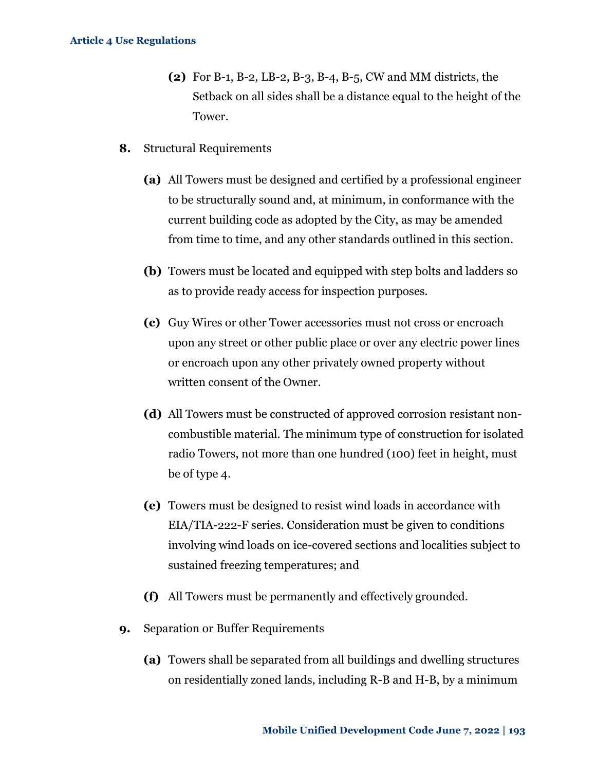- **(2)** For B-1, B-2, LB-2, B-3, B-4, B-5, CW and MM districts, the Setback on all sides shall be a distance equal to the height of the Tower.
- **8.** Structural Requirements
	- **(a)** All Towers must be designed and certified by a professional engineer to be structurally sound and, at minimum, in conformance with the current building code as adopted by the City, as may be amended from time to time, and any other standards outlined in this section.
	- **(b)** Towers must be located and equipped with step bolts and ladders so as to provide ready access for inspection purposes.
	- **(c)** Guy Wires or other Tower accessories must not cross or encroach upon any street or other public place or over any electric power lines or encroach upon any other privately owned property without written consent of the Owner.
	- **(d)** All Towers must be constructed of approved corrosion resistant noncombustible material. The minimum type of construction for isolated radio Towers, not more than one hundred (100) feet in height, must be of type 4.
	- **(e)** Towers must be designed to resist wind loads in accordance with EIA/TIA-222-F series. Consideration must be given to conditions involving wind loads on ice-covered sections and localities subject to sustained freezing temperatures; and
	- **(f)** All Towers must be permanently and effectively grounded.
- **9.** Separation or Buffer Requirements
	- **(a)** Towers shall be separated from all buildings and dwelling structures on residentially zoned lands, including R-B and H-B, by a minimum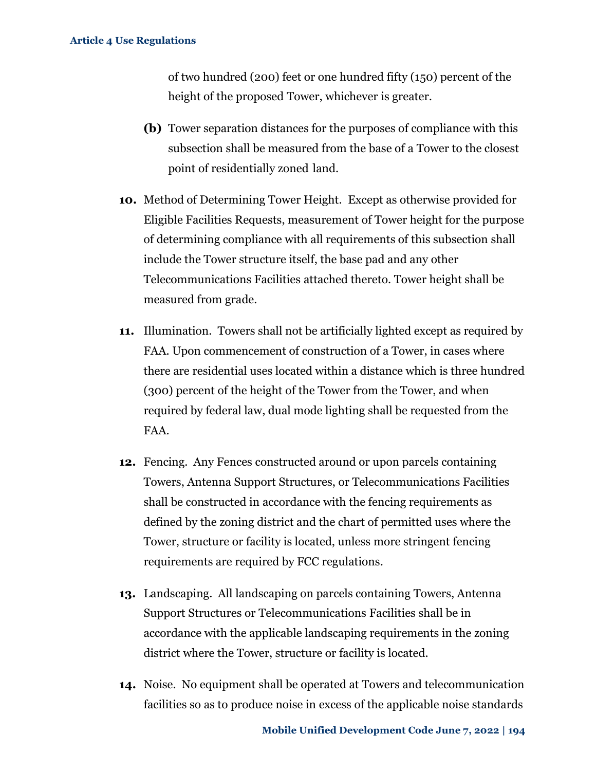of two hundred (200) feet or one hundred fifty (150) percent of the height of the proposed Tower, whichever is greater.

- **(b)** Tower separation distances for the purposes of compliance with this subsection shall be measured from the base of a Tower to the closest point of residentially zoned land.
- **10.** Method of Determining Tower Height.Except as otherwise provided for Eligible Facilities Requests, measurement of Tower height for the purpose of determining compliance with all requirements of this subsection shall include the Tower structure itself, the base pad and any other Telecommunications Facilities attached thereto. Tower height shall be measured from grade.
- **11.** Illumination. Towers shall not be artificially lighted except as required by FAA. Upon commencement of construction of a Tower, in cases where there are residential uses located within a distance which is three hundred (300) percent of the height of the Tower from the Tower, and when required by federal law, dual mode lighting shall be requested from the FAA.
- **12.** Fencing. Any Fences constructed around or upon parcels containing Towers, Antenna Support Structures, or Telecommunications Facilities shall be constructed in accordance with the fencing requirements as defined by the zoning district and the chart of permitted uses where the Tower, structure or facility is located, unless more stringent fencing requirements are required by FCC regulations.
- **13.** Landscaping. All landscaping on parcels containing Towers, Antenna Support Structures or Telecommunications Facilities shall be in accordance with the applicable landscaping requirements in the zoning district where the Tower, structure or facility is located.
- **14.** Noise. No equipment shall be operated at Towers and telecommunication facilities so as to produce noise in excess of the applicable noise standards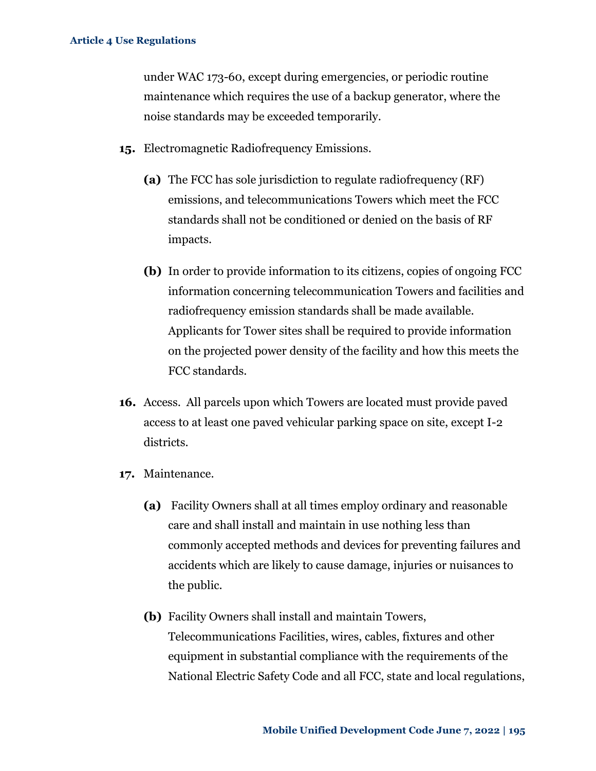under WAC 173-60, except during emergencies, or periodic routine maintenance which requires the use of a backup generator, where the noise standards may be exceeded temporarily.

- **15.** Electromagnetic Radiofrequency Emissions.
	- **(a)** The FCC has sole jurisdiction to regulate radiofrequency (RF) emissions, and telecommunications Towers which meet the FCC standards shall not be conditioned or denied on the basis of RF impacts.
	- **(b)** In order to provide information to its citizens, copies of ongoing FCC information concerning telecommunication Towers and facilities and radiofrequency emission standards shall be made available. Applicants for Tower sites shall be required to provide information on the projected power density of the facility and how this meets the FCC standards.
- **16.** Access. All parcels upon which Towers are located must provide paved access to at least one paved vehicular parking space on site, except I-2 districts.
- **17.** Maintenance.
	- **(a)** Facility Owners shall at all times employ ordinary and reasonable care and shall install and maintain in use nothing less than commonly accepted methods and devices for preventing failures and accidents which are likely to cause damage, injuries or nuisances to the public.
	- **(b)** Facility Owners shall install and maintain Towers, Telecommunications Facilities, wires, cables, fixtures and other equipment in substantial compliance with the requirements of the National Electric Safety Code and all FCC, state and local regulations,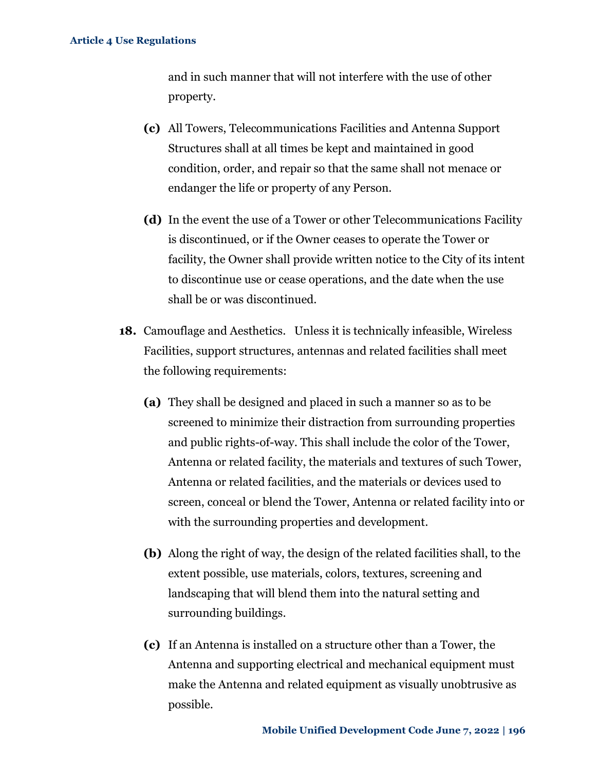and in such manner that will not interfere with the use of other property.

- **(c)** All Towers, Telecommunications Facilities and Antenna Support Structures shall at all times be kept and maintained in good condition, order, and repair so that the same shall not menace or endanger the life or property of any Person.
- **(d)** In the event the use of a Tower or other Telecommunications Facility is discontinued, or if the Owner ceases to operate the Tower or facility, the Owner shall provide written notice to the City of its intent to discontinue use or cease operations, and the date when the use shall be or was discontinued.
- **18.** Camouflage and Aesthetics. Unless it is technically infeasible, Wireless Facilities, support structures, antennas and related facilities shall meet the following requirements:
	- **(a)** They shall be designed and placed in such a manner so as to be screened to minimize their distraction from surrounding properties and public rights-of-way. This shall include the color of the Tower, Antenna or related facility, the materials and textures of such Tower, Antenna or related facilities, and the materials or devices used to screen, conceal or blend the Tower, Antenna or related facility into or with the surrounding properties and development.
	- **(b)** Along the right of way, the design of the related facilities shall, to the extent possible, use materials, colors, textures, screening and landscaping that will blend them into the natural setting and surrounding buildings.
	- **(c)** If an Antenna is installed on a structure other than a Tower, the Antenna and supporting electrical and mechanical equipment must make the Antenna and related equipment as visually unobtrusive as possible.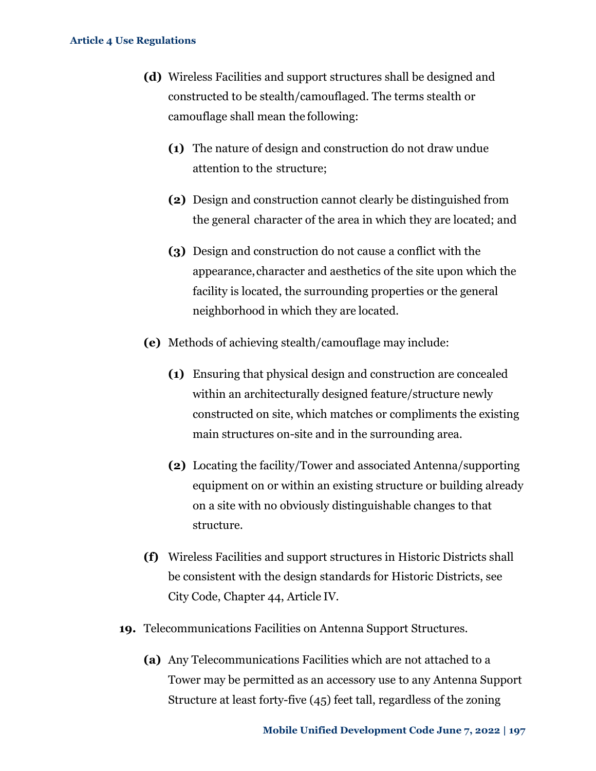- **(d)** Wireless Facilities and support structures shall be designed and constructed to be stealth/camouflaged. The terms stealth or camouflage shall mean the following:
	- **(1)** The nature of design and construction do not draw undue attention to the structure;
	- **(2)** Design and construction cannot clearly be distinguished from the general character of the area in which they are located; and
	- **(3)** Design and construction do not cause a conflict with the appearance, character and aesthetics of the site upon which the facility is located, the surrounding properties or the general neighborhood in which they are located.
- **(e)** Methods of achieving stealth/camouflage may include:
	- **(1)** Ensuring that physical design and construction are concealed within an architecturally designed feature/structure newly constructed on site, which matches or compliments the existing main structures on-site and in the surrounding area.
	- **(2)** Locating the facility/Tower and associated Antenna/supporting equipment on or within an existing structure or building already on a site with no obviously distinguishable changes to that structure.
- **(f)** Wireless Facilities and support structures in Historic Districts shall be consistent with the design standards for Historic Districts, see City Code, Chapter 44, Article IV.
- **19.** Telecommunications Facilities on Antenna Support Structures.
	- **(a)** Any Telecommunications Facilities which are not attached to a Tower may be permitted as an accessory use to any Antenna Support Structure at least forty-five (45) feet tall, regardless of the zoning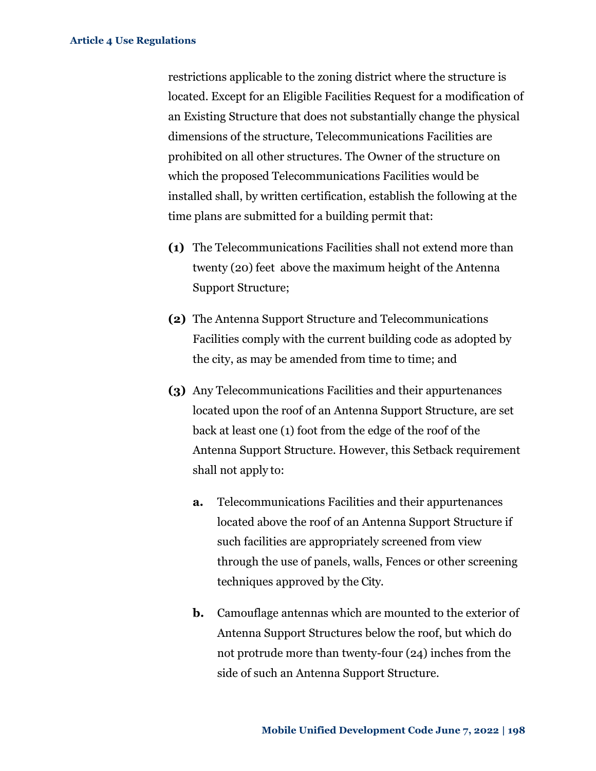restrictions applicable to the zoning district where the structure is located. Except for an Eligible Facilities Request for a modification of an Existing Structure that does not substantially change the physical dimensions of the structure, Telecommunications Facilities are prohibited on all other structures. The Owner of the structure on which the proposed Telecommunications Facilities would be installed shall, by written certification, establish the following at the time plans are submitted for a building permit that:

- **(1)** The Telecommunications Facilities shall not extend more than twenty (20) feet above the maximum height of the Antenna Support Structure;
- **(2)** The Antenna Support Structure and Telecommunications Facilities comply with the current building code as adopted by the city, as may be amended from time to time; and
- **(3)** Any Telecommunications Facilities and their appurtenances located upon the roof of an Antenna Support Structure, are set back at least one (1) foot from the edge of the roof of the Antenna Support Structure. However, this Setback requirement shall not apply to:
	- **a.** Telecommunications Facilities and their appurtenances located above the roof of an Antenna Support Structure if such facilities are appropriately screened from view through the use of panels, walls, Fences or other screening techniques approved by the City.
	- **b.** Camouflage antennas which are mounted to the exterior of Antenna Support Structures below the roof, but which do not protrude more than twenty-four (24) inches from the side of such an Antenna Support Structure.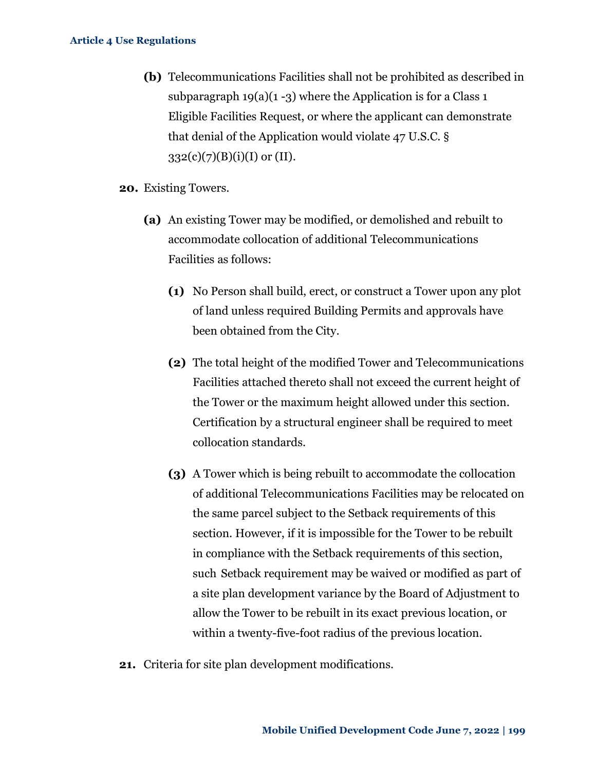- **(b)** Telecommunications Facilities shall not be prohibited as described in subparagraph  $19(a)(1-3)$  where the Application is for a Class 1 Eligible Facilities Request, or where the applicant can demonstrate that denial of the Application would violate 47 U.S.C. §  $332(c)(7)(B)(i)(I)$  or (II).
- **20.** Existing Towers.
	- **(a)** An existing Tower may be modified, or demolished and rebuilt to accommodate collocation of additional Telecommunications Facilities as follows:
		- **(1)** No Person shall build, erect, or construct a Tower upon any plot of land unless required Building Permits and approvals have been obtained from the City.
		- **(2)** The total height of the modified Tower and Telecommunications Facilities attached thereto shall not exceed the current height of the Tower or the maximum height allowed under this section. Certification by a structural engineer shall be required to meet collocation standards.
		- **(3)** A Tower which is being rebuilt to accommodate the collocation of additional Telecommunications Facilities may be relocated on the same parcel subject to the Setback requirements of this section. However, if it is impossible for the Tower to be rebuilt in compliance with the Setback requirements of this section, such Setback requirement may be waived or modified as part of a site plan development variance by the Board of Adjustment to allow the Tower to be rebuilt in its exact previous location, or within a twenty-five-foot radius of the previous location.
- **21.** Criteria for site plan development modifications.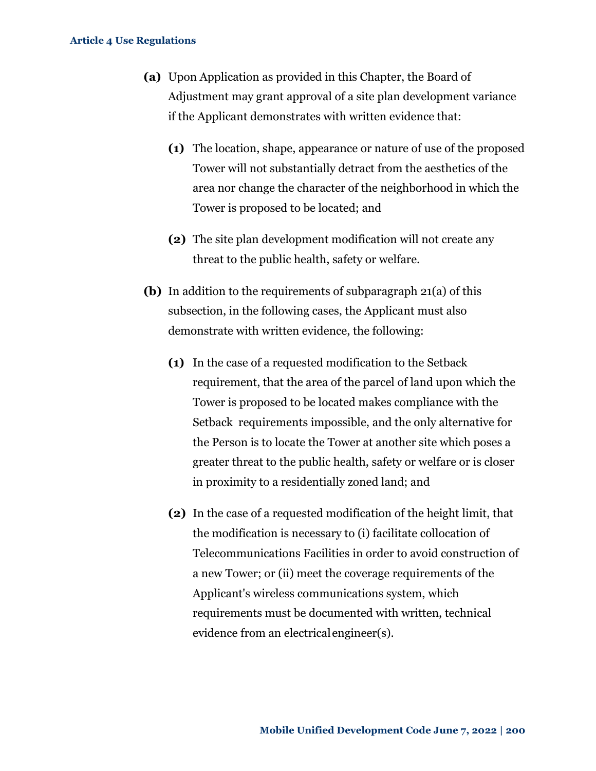- **(a)** Upon Application as provided in this Chapter, the Board of Adjustment may grant approval of a site plan development variance if the Applicant demonstrates with written evidence that:
	- **(1)** The location, shape, appearance or nature of use of the proposed Tower will not substantially detract from the aesthetics of the area nor change the character of the neighborhood in which the Tower is proposed to be located; and
	- **(2)** The site plan development modification will not create any threat to the public health, safety or welfare.
- **(b)** In addition to the requirements of subparagraph 21(a) of this subsection, in the following cases, the Applicant must also demonstrate with written evidence, the following:
	- **(1)** In the case of a requested modification to the Setback requirement, that the area of the parcel of land upon which the Tower is proposed to be located makes compliance with the Setback requirements impossible, and the only alternative for the Person is to locate the Tower at another site which poses a greater threat to the public health, safety or welfare or is closer in proximity to a residentially zoned land; and
	- **(2)** In the case of a requested modification of the height limit, that the modification is necessary to (i) facilitate collocation of Telecommunications Facilities in order to avoid construction of a new Tower; or (ii) meet the coverage requirements of the Applicant's wireless communications system, which requirements must be documented with written, technical evidence from an electricalengineer(s).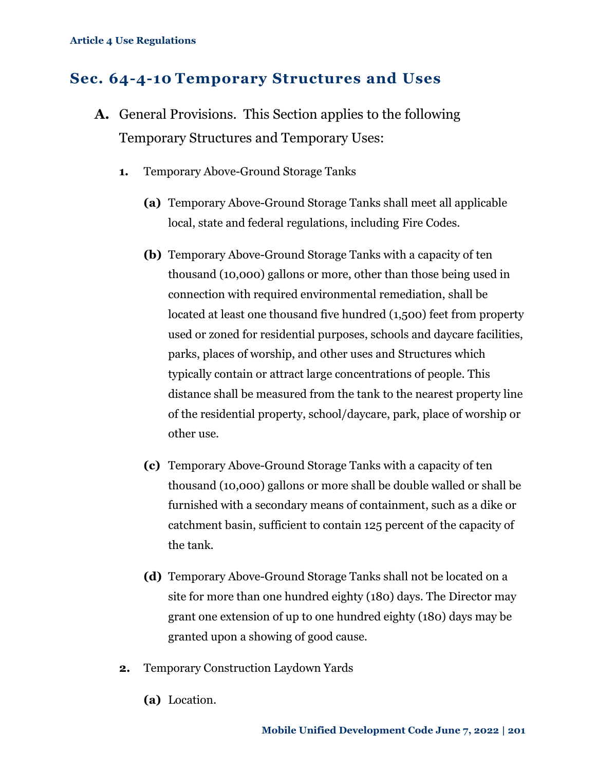## **Sec. 64-4-10 Temporary Structures and Uses**

- **A.** General Provisions. This Section applies to the following Temporary Structures and Temporary Uses:
	- **1.** Temporary Above-Ground Storage Tanks
		- **(a)** Temporary Above-Ground Storage Tanks shall meet all applicable local, state and federal regulations, including Fire Codes.
		- **(b)** Temporary Above-Ground Storage Tanks with a capacity of ten thousand (10,000) gallons or more, other than those being used in connection with required environmental remediation, shall be located at least one thousand five hundred (1,500) feet from property used or zoned for residential purposes, schools and daycare facilities, parks, places of worship, and other uses and Structures which typically contain or attract large concentrations of people. This distance shall be measured from the tank to the nearest property line of the residential property, school/daycare, park, place of worship or other use.
		- **(c)** Temporary Above-Ground Storage Tanks with a capacity of ten thousand (10,000) gallons or more shall be double walled or shall be furnished with a secondary means of containment, such as a dike or catchment basin, sufficient to contain 125 percent of the capacity of the tank.
		- **(d)** Temporary Above-Ground Storage Tanks shall not be located on a site for more than one hundred eighty (180) days. The Director may grant one extension of up to one hundred eighty (180) days may be granted upon a showing of good cause.
	- **2.** Temporary Construction Laydown Yards
		- **(a)** Location.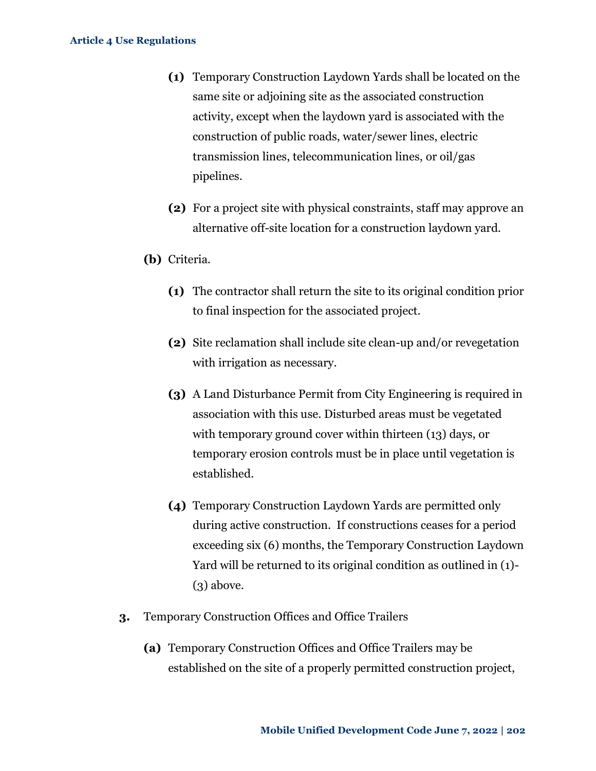- **(1)** Temporary Construction Laydown Yards shall be located on the same site or adjoining site as the associated construction activity, except when the laydown yard is associated with the construction of public roads, water/sewer lines, electric transmission lines, telecommunication lines, or oil/gas pipelines.
- **(2)** For a project site with physical constraints, staff may approve an alternative off-site location for a construction laydown yard.
- **(b)** Criteria.
	- **(1)** The contractor shall return the site to its original condition prior to final inspection for the associated project.
	- **(2)** Site reclamation shall include site clean-up and/or revegetation with irrigation as necessary.
	- **(3)** A Land Disturbance Permit from City Engineering is required in association with this use. Disturbed areas must be vegetated with temporary ground cover within thirteen (13) days, or temporary erosion controls must be in place until vegetation is established.
	- **(4)** Temporary Construction Laydown Yards are permitted only during active construction. If constructions ceases for a period exceeding six (6) months, the Temporary Construction Laydown Yard will be returned to its original condition as outlined in (1)-  $(3)$  above.
- **3.** Temporary Construction Offices and Office Trailers
	- **(a)** Temporary Construction Offices and Office Trailers may be established on the site of a properly permitted construction project,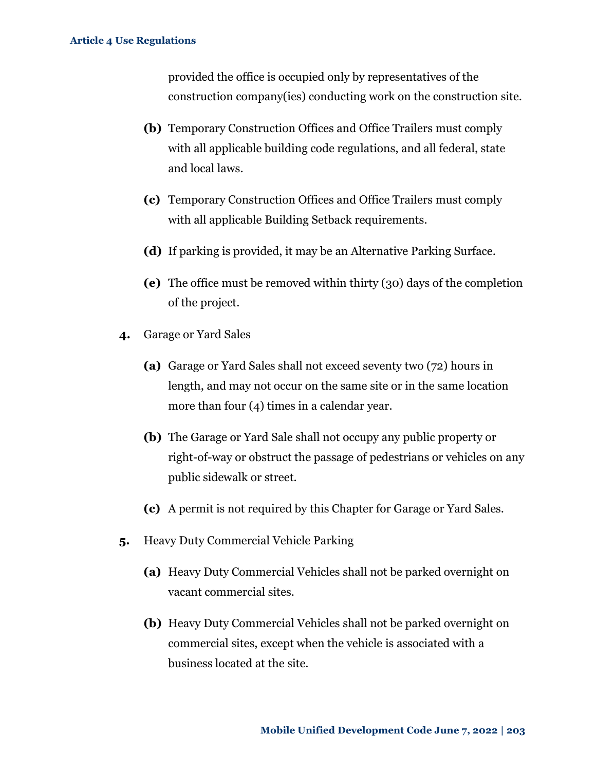provided the office is occupied only by representatives of the construction company(ies) conducting work on the construction site.

- **(b)** Temporary Construction Offices and Office Trailers must comply with all applicable building code regulations, and all federal, state and local laws.
- **(c)** Temporary Construction Offices and Office Trailers must comply with all applicable Building Setback requirements.
- **(d)** If parking is provided, it may be an Alternative Parking Surface.
- **(e)** The office must be removed within thirty (30) days of the completion of the project.
- **4.** Garage or Yard Sales
	- **(a)** Garage or Yard Sales shall not exceed seventy two (72) hours in length, and may not occur on the same site or in the same location more than four (4) times in a calendar year.
	- **(b)** The Garage or Yard Sale shall not occupy any public property or right-of-way or obstruct the passage of pedestrians or vehicles on any public sidewalk or street.
	- **(c)** A permit is not required by this Chapter for Garage or Yard Sales.
- **5.** Heavy Duty Commercial Vehicle Parking
	- **(a)** Heavy Duty Commercial Vehicles shall not be parked overnight on vacant commercial sites.
	- **(b)** Heavy Duty Commercial Vehicles shall not be parked overnight on commercial sites, except when the vehicle is associated with a business located at the site.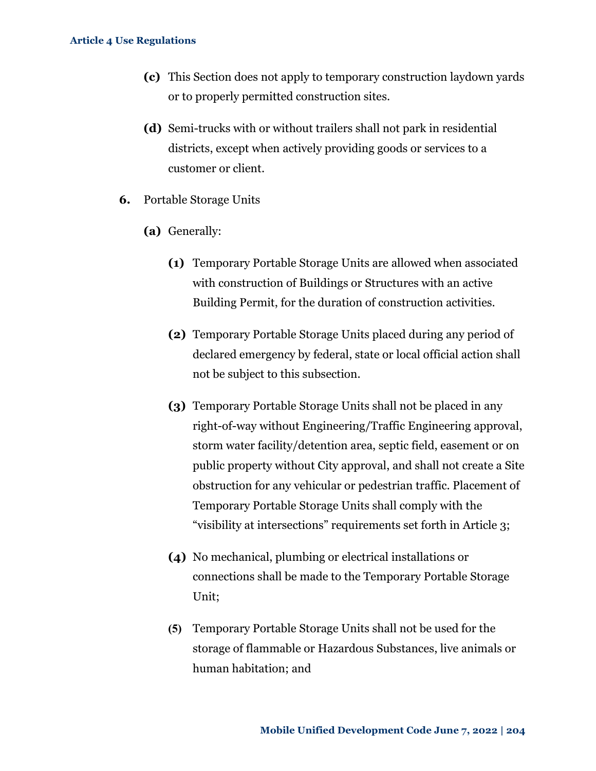- **(c)** This Section does not apply to temporary construction laydown yards or to properly permitted construction sites.
- **(d)** Semi-trucks with or without trailers shall not park in residential districts, except when actively providing goods or services to a customer or client.
- **6.** Portable Storage Units
	- **(a)** Generally:
		- **(1)** Temporary Portable Storage Units are allowed when associated with construction of Buildings or Structures with an active Building Permit, for the duration of construction activities.
		- **(2)** Temporary Portable Storage Units placed during any period of declared emergency by federal, state or local official action shall not be subject to this subsection.
		- **(3)** Temporary Portable Storage Units shall not be placed in any right-of-way without Engineering/Traffic Engineering approval, storm water facility/detention area, septic field, easement or on public property without City approval, and shall not create a Site obstruction for any vehicular or pedestrian traffic. Placement of Temporary Portable Storage Units shall comply with the "visibility at intersections" requirements set forth in Article 3;
		- **(4)** No mechanical, plumbing or electrical installations or connections shall be made to the Temporary Portable Storage Unit;
		- **(5)** Temporary Portable Storage Units shall not be used for the storage of flammable or Hazardous Substances, live animals or human habitation; and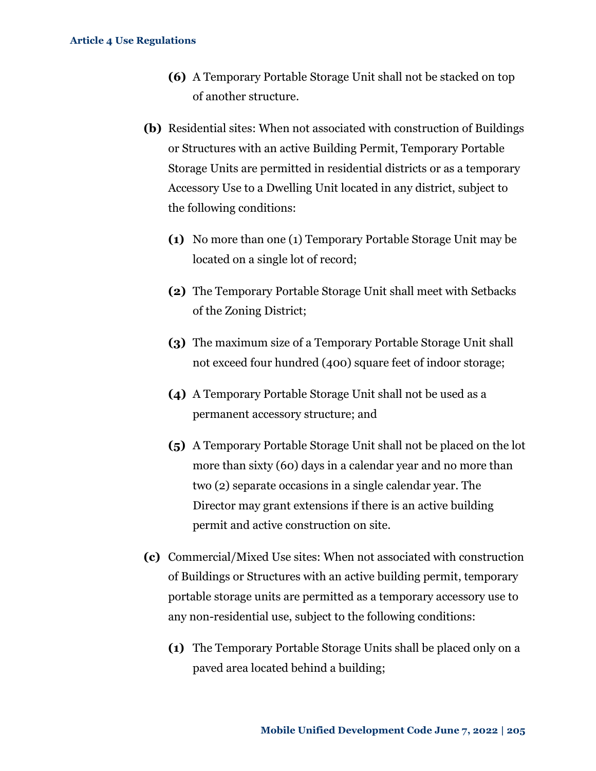- **(6)** A Temporary Portable Storage Unit shall not be stacked on top of another structure.
- **(b)** Residential sites: When not associated with construction of Buildings or Structures with an active Building Permit, Temporary Portable Storage Units are permitted in residential districts or as a temporary Accessory Use to a Dwelling Unit located in any district, subject to the following conditions:
	- **(1)** No more than one (1) Temporary Portable Storage Unit may be located on a single lot of record;
	- **(2)** The Temporary Portable Storage Unit shall meet with Setbacks of the Zoning District;
	- **(3)** The maximum size of a Temporary Portable Storage Unit shall not exceed four hundred (400) square feet of indoor storage;
	- **(4)** A Temporary Portable Storage Unit shall not be used as a permanent accessory structure; and
	- **(5)** A Temporary Portable Storage Unit shall not be placed on the lot more than sixty (60) days in a calendar year and no more than two (2) separate occasions in a single calendar year. The Director may grant extensions if there is an active building permit and active construction on site.
- **(c)** Commercial/Mixed Use sites: When not associated with construction of Buildings or Structures with an active building permit, temporary portable storage units are permitted as a temporary accessory use to any non-residential use, subject to the following conditions:
	- **(1)** The Temporary Portable Storage Units shall be placed only on a paved area located behind a building;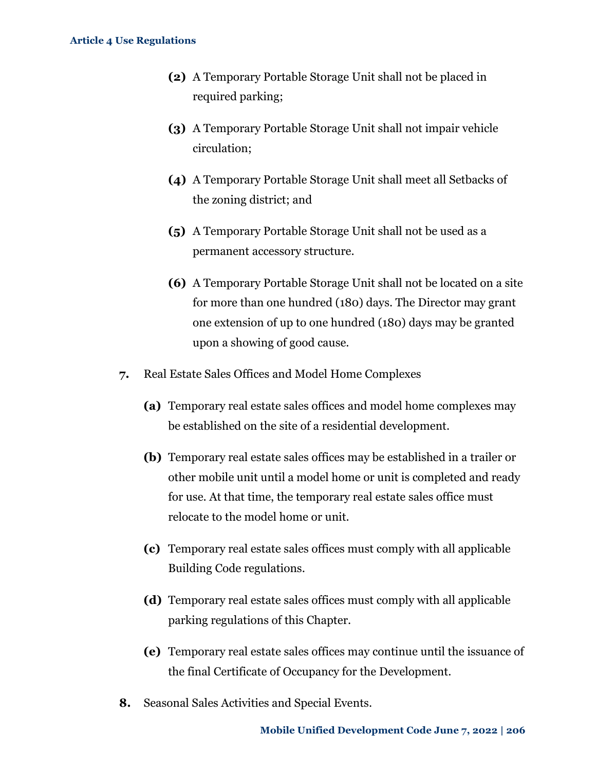- **(2)** A Temporary Portable Storage Unit shall not be placed in required parking;
- **(3)** A Temporary Portable Storage Unit shall not impair vehicle circulation;
- **(4)** A Temporary Portable Storage Unit shall meet all Setbacks of the zoning district; and
- **(5)** A Temporary Portable Storage Unit shall not be used as a permanent accessory structure.
- **(6)** A Temporary Portable Storage Unit shall not be located on a site for more than one hundred (180) days. The Director may grant one extension of up to one hundred (180) days may be granted upon a showing of good cause.
- **7.** Real Estate Sales Offices and Model Home Complexes
	- **(a)** Temporary real estate sales offices and model home complexes may be established on the site of a residential development.
	- **(b)** Temporary real estate sales offices may be established in a trailer or other mobile unit until a model home or unit is completed and ready for use. At that time, the temporary real estate sales office must relocate to the model home or unit.
	- **(c)** Temporary real estate sales offices must comply with all applicable Building Code regulations.
	- **(d)** Temporary real estate sales offices must comply with all applicable parking regulations of this Chapter.
	- **(e)** Temporary real estate sales offices may continue until the issuance of the final Certificate of Occupancy for the Development.
- **8.** Seasonal Sales Activities and Special Events.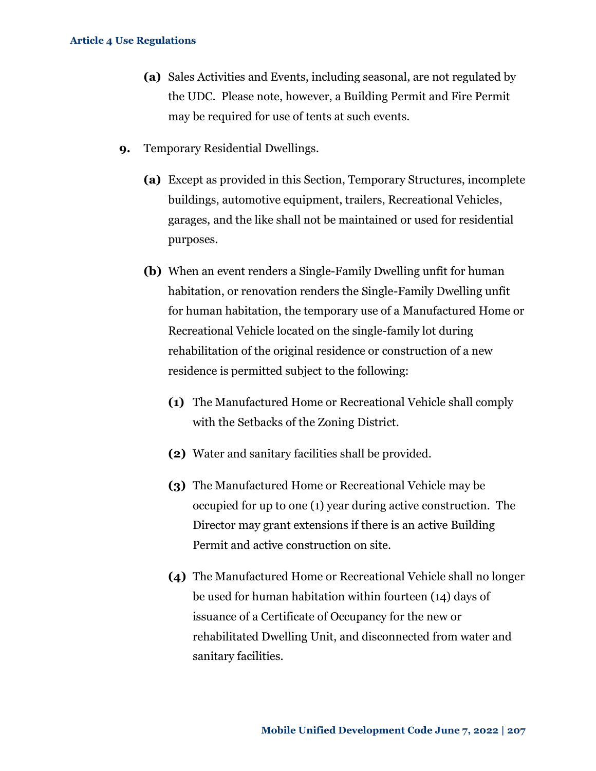- **(a)** Sales Activities and Events, including seasonal, are not regulated by the UDC. Please note, however, a Building Permit and Fire Permit may be required for use of tents at such events.
- **9.** Temporary Residential Dwellings.
	- **(a)** Except as provided in this Section, Temporary Structures, incomplete buildings, automotive equipment, trailers, Recreational Vehicles, garages, and the like shall not be maintained or used for residential purposes.
	- **(b)** When an event renders a Single-Family Dwelling unfit for human habitation, or renovation renders the Single-Family Dwelling unfit for human habitation, the temporary use of a Manufactured Home or Recreational Vehicle located on the single-family lot during rehabilitation of the original residence or construction of a new residence is permitted subject to the following:
		- **(1)** The Manufactured Home or Recreational Vehicle shall comply with the Setbacks of the Zoning District.
		- **(2)** Water and sanitary facilities shall be provided.
		- **(3)** The Manufactured Home or Recreational Vehicle may be occupied for up to one (1) year during active construction. The Director may grant extensions if there is an active Building Permit and active construction on site.
		- **(4)** The Manufactured Home or Recreational Vehicle shall no longer be used for human habitation within fourteen (14) days of issuance of a Certificate of Occupancy for the new or rehabilitated Dwelling Unit, and disconnected from water and sanitary facilities.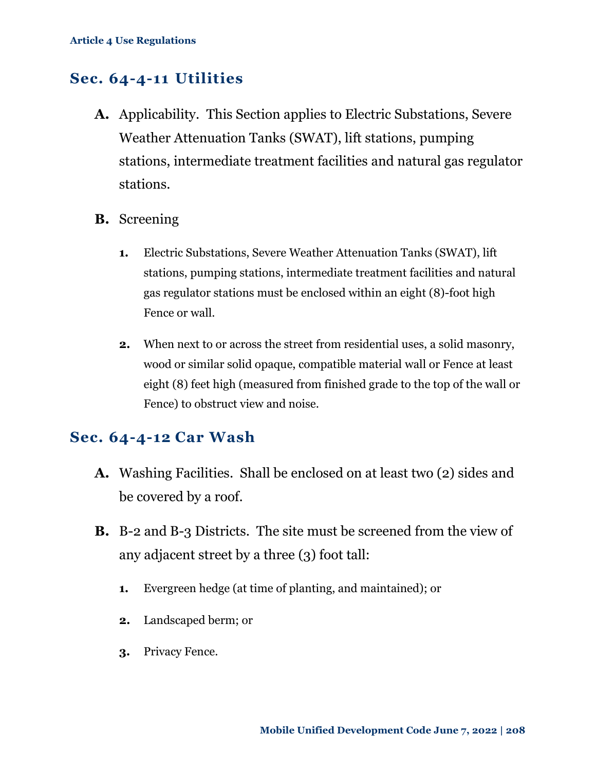## **Sec. 64-4-11 Utilities**

- **A.** Applicability.This Section applies to Electric Substations, Severe Weather Attenuation Tanks (SWAT), lift stations, pumping stations, intermediate treatment facilities and natural gas regulator stations.
- **B.** Screening
	- **1.** Electric Substations, Severe Weather Attenuation Tanks (SWAT), lift stations, pumping stations, intermediate treatment facilities and natural gas regulator stations must be enclosed within an eight (8)-foot high Fence or wall.
	- **2.** When next to or across the street from residential uses, a solid masonry, wood or similar solid opaque, compatible material wall or Fence at least eight (8) feet high (measured from finished grade to the top of the wall or Fence) to obstruct view and noise.

### **Sec. 64-4-12 Car Wash**

- **A.** Washing Facilities. Shall be enclosed on at least two (2) sides and be covered by a roof.
- **B.** B-2 and B-3 Districts. The site must be screened from the view of any adjacent street by a three (3) foot tall:
	- **1.** Evergreen hedge (at time of planting, and maintained); or
	- **2.** Landscaped berm; or
	- **3.** Privacy Fence.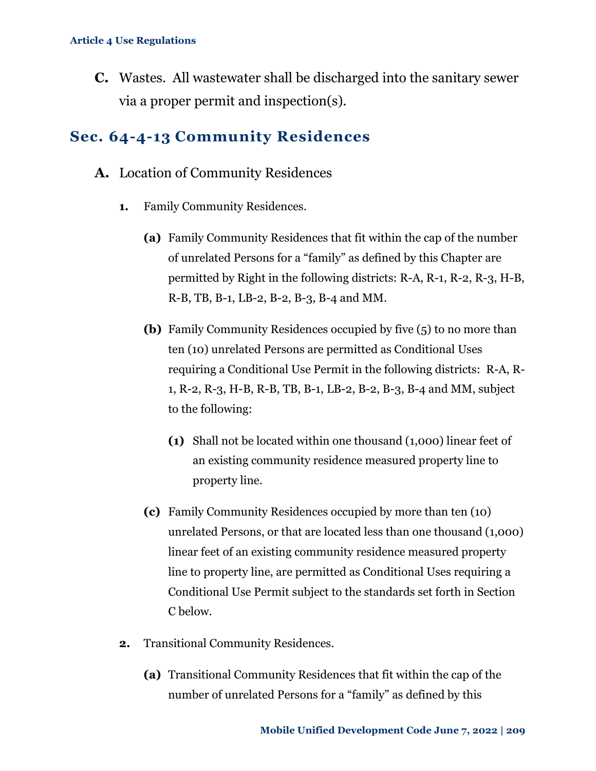**C.** Wastes. All wastewater shall be discharged into the sanitary sewer via a proper permit and inspection(s).

# **Sec. 64-4-13 Community Residences**

- **A.** Location of Community Residences
	- **1.** Family Community Residences.
		- **(a)** Family Community Residences that fit within the cap of the number of unrelated Persons for a "family" as defined by this Chapter are permitted by Right in the following districts: R-A, R-1, R-2, R-3, H-B, R-B, TB, B-1, LB-2, B-2, B-3, B-4 and MM.
		- **(b)** Family Community Residences occupied by five (5) to no more than ten (10) unrelated Persons are permitted as Conditional Uses requiring a Conditional Use Permit in the following districts: R-A, R-1, R-2, R-3, H-B, R-B, TB, B-1, LB-2, B-2, B-3, B-4 and MM, subject to the following:
			- **(1)** Shall not be located within one thousand (1,000) linear feet of an existing community residence measured property line to property line.
		- **(c)** Family Community Residences occupied by more than ten (10) unrelated Persons, or that are located less than one thousand (1,000) linear feet of an existing community residence measured property line to property line, are permitted as Conditional Uses requiring a Conditional Use Permit subject to the standards set forth in Section C below.
	- **2.** Transitional Community Residences.
		- **(a)** Transitional Community Residences that fit within the cap of the number of unrelated Persons for a "family" as defined by this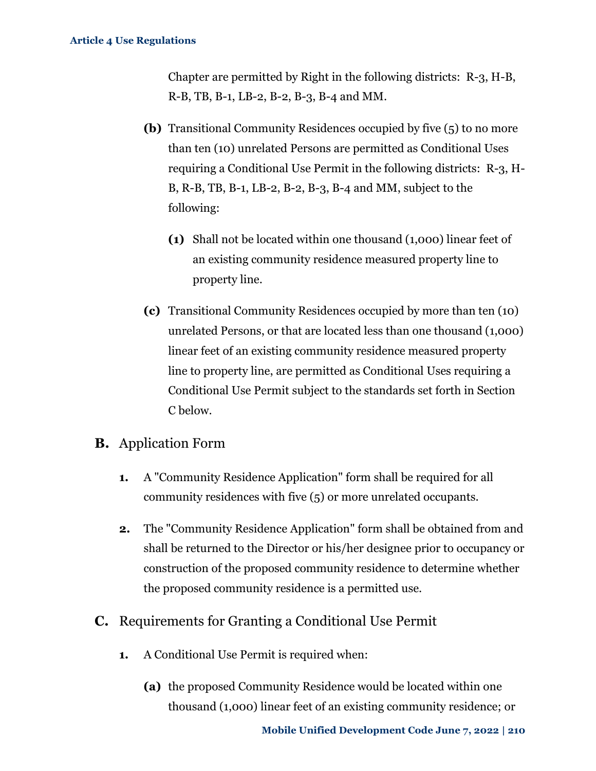Chapter are permitted by Right in the following districts: R-3, H-B, R-B, TB, B-1, LB-2, B-2, B-3, B-4 and MM.

- **(b)** Transitional Community Residences occupied by five (5) to no more than ten (10) unrelated Persons are permitted as Conditional Uses requiring a Conditional Use Permit in the following districts: R-3, H-B, R-B, TB, B-1, LB-2, B-2, B-3, B-4 and MM, subject to the following:
	- **(1)** Shall not be located within one thousand (1,000) linear feet of an existing community residence measured property line to property line.
- **(c)** Transitional Community Residences occupied by more than ten (10) unrelated Persons, or that are located less than one thousand (1,000) linear feet of an existing community residence measured property line to property line, are permitted as Conditional Uses requiring a Conditional Use Permit subject to the standards set forth in Section C below.

### **B.** Application Form

- **1.** A "Community Residence Application" form shall be required for all community residences with five (5) or more unrelated occupants.
- **2.** The "Community Residence Application" form shall be obtained from and shall be returned to the Director or his/her designee prior to occupancy or construction of the proposed community residence to determine whether the proposed community residence is a permitted use.
- **C.** Requirements for Granting a Conditional Use Permit
	- **1.** A Conditional Use Permit is required when:
		- **(a)** the proposed Community Residence would be located within one thousand (1,000) linear feet of an existing community residence; or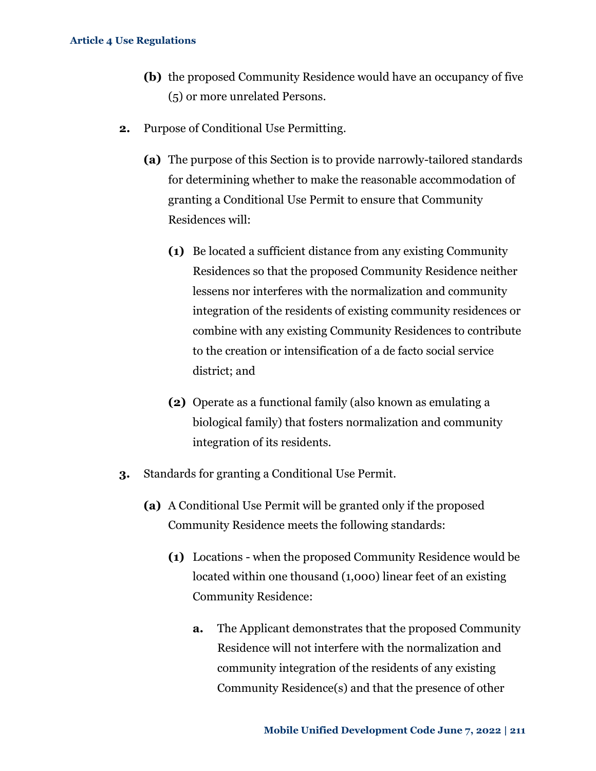- **(b)** the proposed Community Residence would have an occupancy of five (5) or more unrelated Persons.
- **2.** Purpose of Conditional Use Permitting.
	- **(a)** The purpose of this Section is to provide narrowly-tailored standards for determining whether to make the reasonable accommodation of granting a Conditional Use Permit to ensure that Community Residences will:
		- **(1)** Be located a sufficient distance from any existing Community Residences so that the proposed Community Residence neither lessens nor interferes with the normalization and community integration of the residents of existing community residences or combine with any existing Community Residences to contribute to the creation or intensification of a de facto social service district; and
		- **(2)** Operate as a functional family (also known as emulating a biological family) that fosters normalization and community integration of its residents.
- **3.** Standards for granting a Conditional Use Permit.
	- **(a)** A Conditional Use Permit will be granted only if the proposed Community Residence meets the following standards:
		- **(1)** Locations when the proposed Community Residence would be located within one thousand (1,000) linear feet of an existing Community Residence:
			- **a.** The Applicant demonstrates that the proposed Community Residence will not interfere with the normalization and community integration of the residents of any existing Community Residence(s) and that the presence of other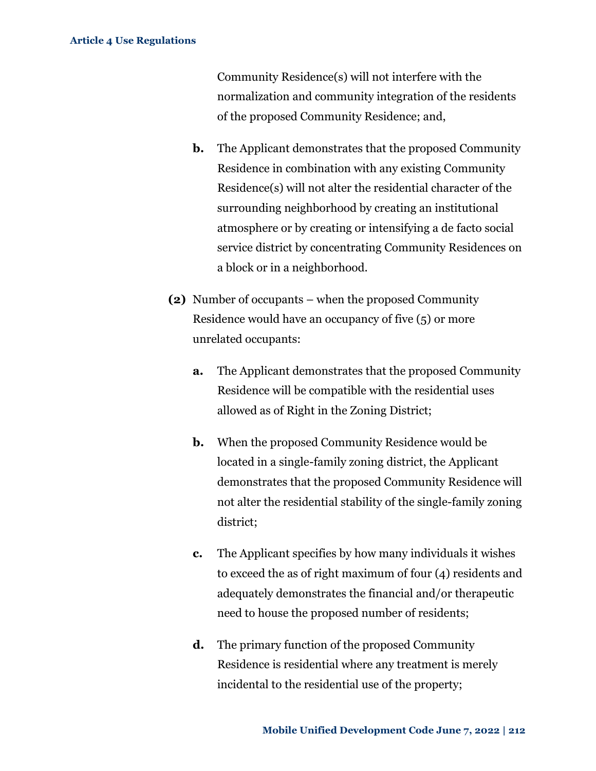Community Residence(s) will not interfere with the normalization and community integration of the residents of the proposed Community Residence; and,

- **b.** The Applicant demonstrates that the proposed Community Residence in combination with any existing Community Residence(s) will not alter the residential character of the surrounding neighborhood by creating an institutional atmosphere or by creating or intensifying a de facto social service district by concentrating Community Residences on a block or in a neighborhood.
- **(2)** Number of occupants when the proposed Community Residence would have an occupancy of five (5) or more unrelated occupants:
	- **a.** The Applicant demonstrates that the proposed Community Residence will be compatible with the residential uses allowed as of Right in the Zoning District;
	- **b.** When the proposed Community Residence would be located in a single-family zoning district, the Applicant demonstrates that the proposed Community Residence will not alter the residential stability of the single-family zoning district;
	- **c.** The Applicant specifies by how many individuals it wishes to exceed the as of right maximum of four (4) residents and adequately demonstrates the financial and/or therapeutic need to house the proposed number of residents;
	- **d.** The primary function of the proposed Community Residence is residential where any treatment is merely incidental to the residential use of the property;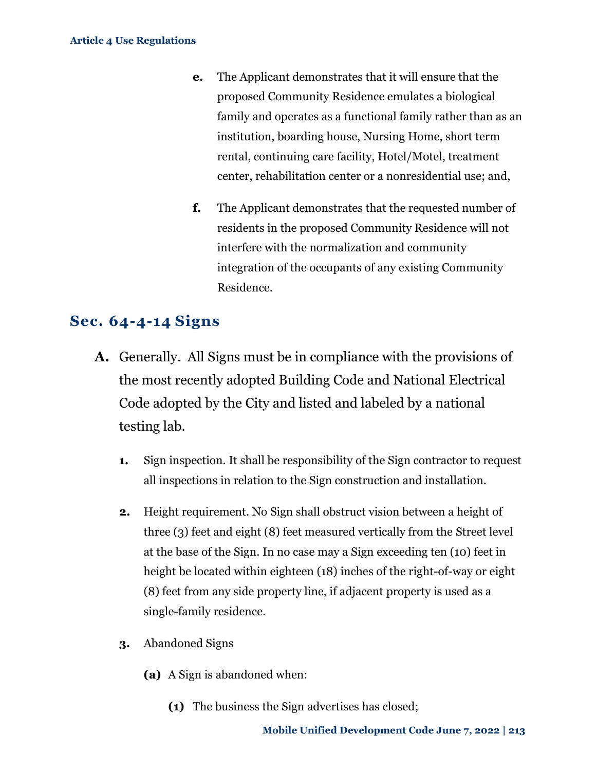- **e.** The Applicant demonstrates that it will ensure that the proposed Community Residence emulates a biological family and operates as a functional family rather than as an institution, boarding house, Nursing Home, short term rental, continuing care facility, Hotel/Motel, treatment center, rehabilitation center or a nonresidential use; and,
- **f.** The Applicant demonstrates that the requested number of residents in the proposed Community Residence will not interfere with the normalization and community integration of the occupants of any existing Community Residence.

## **Sec. 64-4-14 Signs**

- **A.** Generally. All Signs must be in compliance with the provisions of the most recently adopted Building Code and National Electrical Code adopted by the City and listed and labeled by a national testing lab.
	- **1.** Sign inspection. It shall be responsibility of the Sign contractor to request all inspections in relation to the Sign construction and installation.
	- **2.** Height requirement. No Sign shall obstruct vision between a height of three (3) feet and eight (8) feet measured vertically from the Street level at the base of the Sign. In no case may a Sign exceeding ten (10) feet in height be located within eighteen (18) inches of the right-of-way or eight (8) feet from any side property line, if adjacent property is used as a single-family residence.
	- **3.** Abandoned Signs
		- **(a)** A Sign is abandoned when:
			- **(1)** The business the Sign advertises has closed;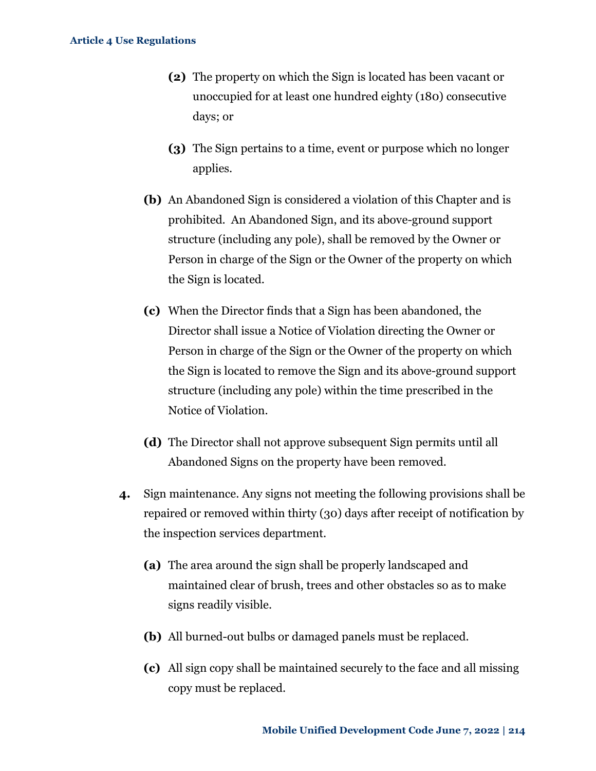- **(2)** The property on which the Sign is located has been vacant or unoccupied for at least one hundred eighty (180) consecutive days; or
- **(3)** The Sign pertains to a time, event or purpose which no longer applies.
- **(b)** An Abandoned Sign is considered a violation of this Chapter and is prohibited. An Abandoned Sign, and its above-ground support structure (including any pole), shall be removed by the Owner or Person in charge of the Sign or the Owner of the property on which the Sign is located.
- **(c)** When the Director finds that a Sign has been abandoned, the Director shall issue a Notice of Violation directing the Owner or Person in charge of the Sign or the Owner of the property on which the Sign is located to remove the Sign and its above-ground support structure (including any pole) within the time prescribed in the Notice of Violation.
- **(d)** The Director shall not approve subsequent Sign permits until all Abandoned Signs on the property have been removed.
- **4.** Sign maintenance. Any signs not meeting the following provisions shall be repaired or removed within thirty (30) days after receipt of notification by the inspection services department.
	- **(a)** The area around the sign shall be properly landscaped and maintained clear of brush, trees and other obstacles so as to make signs readily visible.
	- **(b)** All burned-out bulbs or damaged panels must be replaced.
	- **(c)** All sign copy shall be maintained securely to the face and all missing copy must be replaced.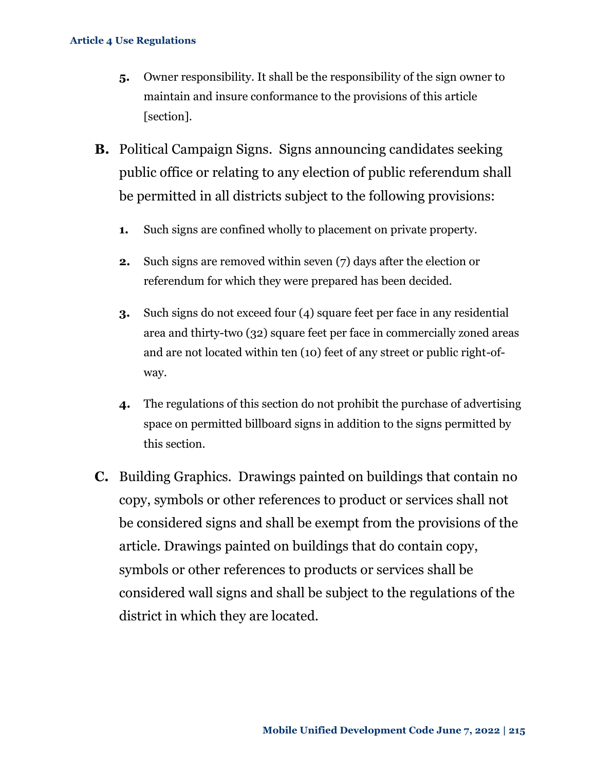- **5.** Owner responsibility. It shall be the responsibility of the sign owner to maintain and insure conformance to the provisions of this article [section].
- **B.** Political Campaign Signs. Signs announcing candidates seeking public office or relating to any election of public referendum shall be permitted in all districts subject to the following provisions:
	- **1.** Such signs are confined wholly to placement on private property.
	- **2.** Such signs are removed within seven (7) days after the election or referendum for which they were prepared has been decided.
	- **3.** Such signs do not exceed four (4) square feet per face in any residential area and thirty-two (32) square feet per face in commercially zoned areas and are not located within ten (10) feet of any street or public right-ofway.
	- **4.** The regulations of this section do not prohibit the purchase of advertising space on permitted billboard signs in addition to the signs permitted by this section.
- **C.** Building Graphics. Drawings painted on buildings that contain no copy, symbols or other references to product or services shall not be considered signs and shall be exempt from the provisions of the article. Drawings painted on buildings that do contain copy, symbols or other references to products or services shall be considered wall signs and shall be subject to the regulations of the district in which they are located.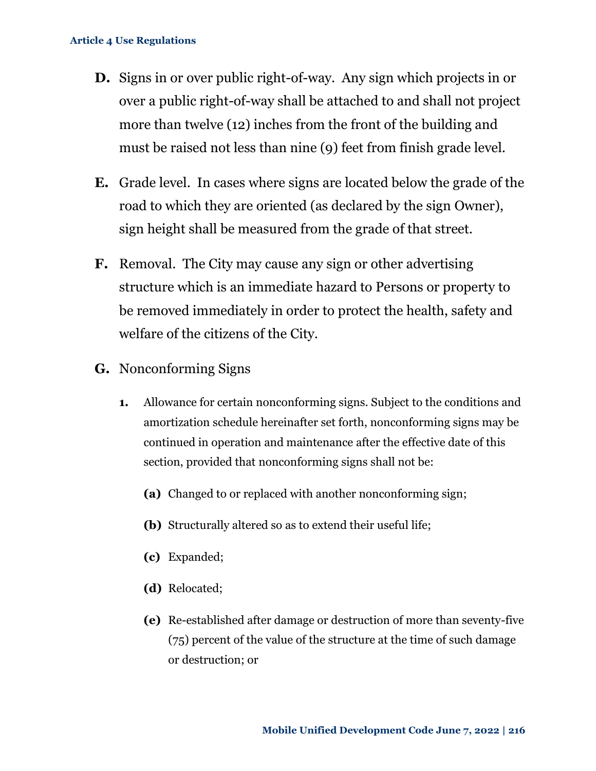- **D.** Signs in or over public right-of-way. Any sign which projects in or over a public right-of-way shall be attached to and shall not project more than twelve (12) inches from the front of the building and must be raised not less than nine (9) feet from finish grade level.
- **E.** Grade level. In cases where signs are located below the grade of the road to which they are oriented (as declared by the sign Owner), sign height shall be measured from the grade of that street.
- **F.** Removal. The City may cause any sign or other advertising structure which is an immediate hazard to Persons or property to be removed immediately in order to protect the health, safety and welfare of the citizens of the City.
- **G.** Nonconforming Signs
	- **1.** Allowance for certain nonconforming signs. Subject to the conditions and amortization schedule hereinafter set forth, nonconforming signs may be continued in operation and maintenance after the effective date of this section, provided that nonconforming signs shall not be:
		- **(a)** Changed to or replaced with another nonconforming sign;
		- **(b)** Structurally altered so as to extend their useful life;
		- **(c)** Expanded;
		- **(d)** Relocated;
		- **(e)** Re-established after damage or destruction of more than seventy-five (75) percent of the value of the structure at the time of such damage or destruction; or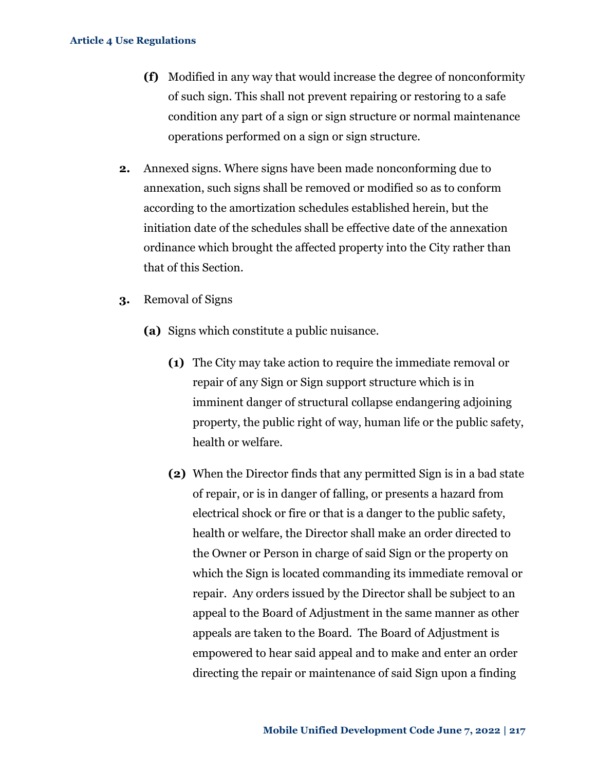- **(f)** Modified in any way that would increase the degree of nonconformity of such sign. This shall not prevent repairing or restoring to a safe condition any part of a sign or sign structure or normal maintenance operations performed on a sign or sign structure.
- **2.** Annexed signs. Where signs have been made nonconforming due to annexation, such signs shall be removed or modified so as to conform according to the amortization schedules established herein, but the initiation date of the schedules shall be effective date of the annexation ordinance which brought the affected property into the City rather than that of this Section.
- **3.** Removal of Signs
	- **(a)** Signs which constitute a public nuisance.
		- **(1)** The City may take action to require the immediate removal or repair of any Sign or Sign support structure which is in imminent danger of structural collapse endangering adjoining property, the public right of way, human life or the public safety, health or welfare.
		- **(2)** When the Director finds that any permitted Sign is in a bad state of repair, or is in danger of falling, or presents a hazard from electrical shock or fire or that is a danger to the public safety, health or welfare, the Director shall make an order directed to the Owner or Person in charge of said Sign or the property on which the Sign is located commanding its immediate removal or repair. Any orders issued by the Director shall be subject to an appeal to the Board of Adjustment in the same manner as other appeals are taken to the Board. The Board of Adjustment is empowered to hear said appeal and to make and enter an order directing the repair or maintenance of said Sign upon a finding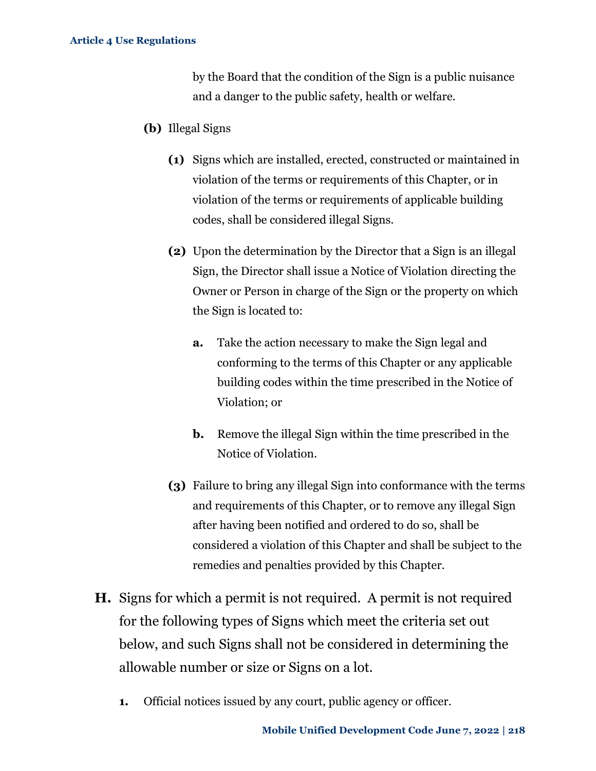by the Board that the condition of the Sign is a public nuisance and a danger to the public safety, health or welfare.

- **(b)** Illegal Signs
	- **(1)** Signs which are installed, erected, constructed or maintained in violation of the terms or requirements of this Chapter, or in violation of the terms or requirements of applicable building codes, shall be considered illegal Signs.
	- **(2)** Upon the determination by the Director that a Sign is an illegal Sign, the Director shall issue a Notice of Violation directing the Owner or Person in charge of the Sign or the property on which the Sign is located to:
		- **a.** Take the action necessary to make the Sign legal and conforming to the terms of this Chapter or any applicable building codes within the time prescribed in the Notice of Violation; or
		- **b.** Remove the illegal Sign within the time prescribed in the Notice of Violation.
	- **(3)** Failure to bring any illegal Sign into conformance with the terms and requirements of this Chapter, or to remove any illegal Sign after having been notified and ordered to do so, shall be considered a violation of this Chapter and shall be subject to the remedies and penalties provided by this Chapter.
- **H.** Signs for which a permit is not required. A permit is not required for the following types of Signs which meet the criteria set out below, and such Signs shall not be considered in determining the allowable number or size or Signs on a lot.
	- **1.** Official notices issued by any court, public agency or officer.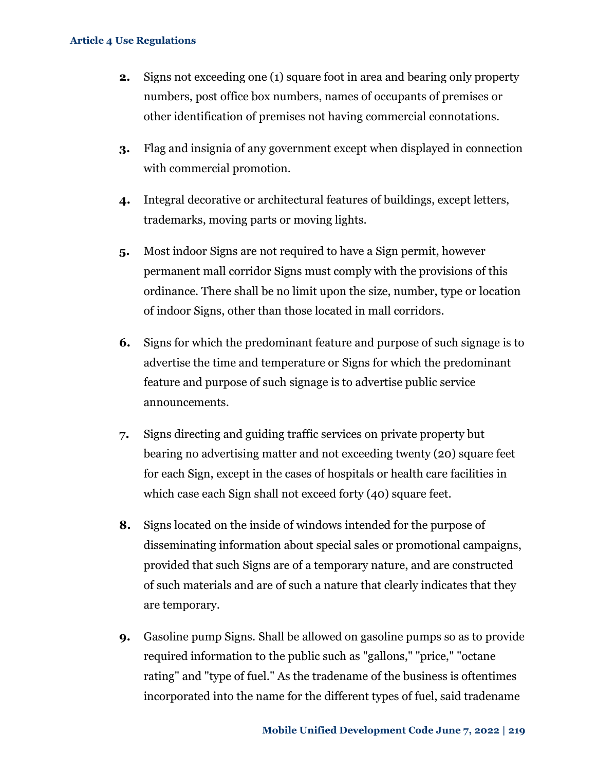- **2.** Signs not exceeding one (1) square foot in area and bearing only property numbers, post office box numbers, names of occupants of premises or other identification of premises not having commercial connotations.
- **3.** Flag and insignia of any government except when displayed in connection with commercial promotion.
- **4.** Integral decorative or architectural features of buildings, except letters, trademarks, moving parts or moving lights.
- **5.** Most indoor Signs are not required to have a Sign permit, however permanent mall corridor Signs must comply with the provisions of this ordinance. There shall be no limit upon the size, number, type or location of indoor Signs, other than those located in mall corridors.
- **6.** Signs for which the predominant feature and purpose of such signage is to advertise the time and temperature or Signs for which the predominant feature and purpose of such signage is to advertise public service announcements.
- **7.** Signs directing and guiding traffic services on private property but bearing no advertising matter and not exceeding twenty (20) square feet for each Sign, except in the cases of hospitals or health care facilities in which case each Sign shall not exceed forty (40) square feet.
- **8.** Signs located on the inside of windows intended for the purpose of disseminating information about special sales or promotional campaigns, provided that such Signs are of a temporary nature, and are constructed of such materials and are of such a nature that clearly indicates that they are temporary.
- **9.** Gasoline pump Signs. Shall be allowed on gasoline pumps so as to provide required information to the public such as "gallons," "price," "octane rating" and "type of fuel." As the tradename of the business is oftentimes incorporated into the name for the different types of fuel, said tradename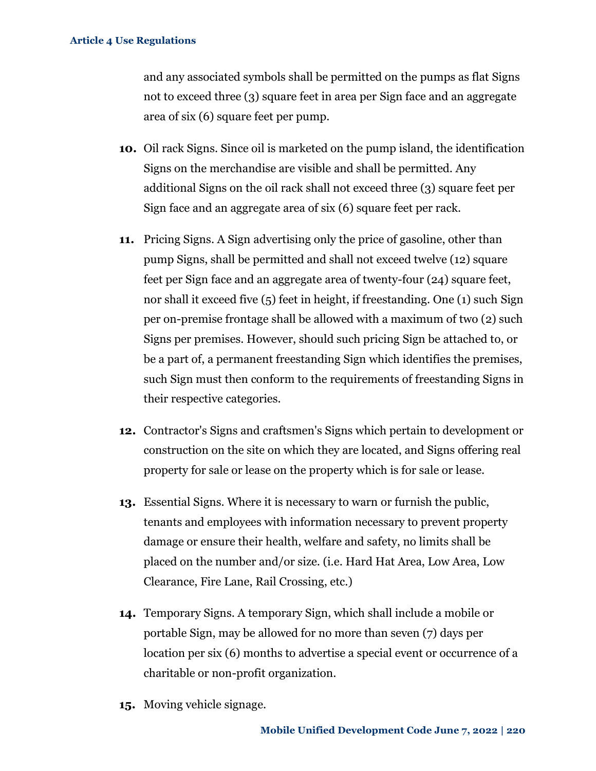and any associated symbols shall be permitted on the pumps as flat Signs not to exceed three (3) square feet in area per Sign face and an aggregate area of six (6) square feet per pump.

- **10.** Oil rack Signs. Since oil is marketed on the pump island, the identification Signs on the merchandise are visible and shall be permitted. Any additional Signs on the oil rack shall not exceed three (3) square feet per Sign face and an aggregate area of six (6) square feet per rack.
- **11.** Pricing Signs. A Sign advertising only the price of gasoline, other than pump Signs, shall be permitted and shall not exceed twelve (12) square feet per Sign face and an aggregate area of twenty-four (24) square feet, nor shall it exceed five (5) feet in height, if freestanding. One (1) such Sign per on-premise frontage shall be allowed with a maximum of two (2) such Signs per premises. However, should such pricing Sign be attached to, or be a part of, a permanent freestanding Sign which identifies the premises, such Sign must then conform to the requirements of freestanding Signs in their respective categories.
- **12.** Contractor's Signs and craftsmen's Signs which pertain to development or construction on the site on which they are located, and Signs offering real property for sale or lease on the property which is for sale or lease.
- **13.** Essential Signs. Where it is necessary to warn or furnish the public, tenants and employees with information necessary to prevent property damage or ensure their health, welfare and safety, no limits shall be placed on the number and/or size. (i.e. Hard Hat Area, Low Area, Low Clearance, Fire Lane, Rail Crossing, etc.)
- **14.** Temporary Signs. A temporary Sign, which shall include a mobile or portable Sign, may be allowed for no more than seven (7) days per location per six (6) months to advertise a special event or occurrence of a charitable or non-profit organization.
- **15.** Moving vehicle signage.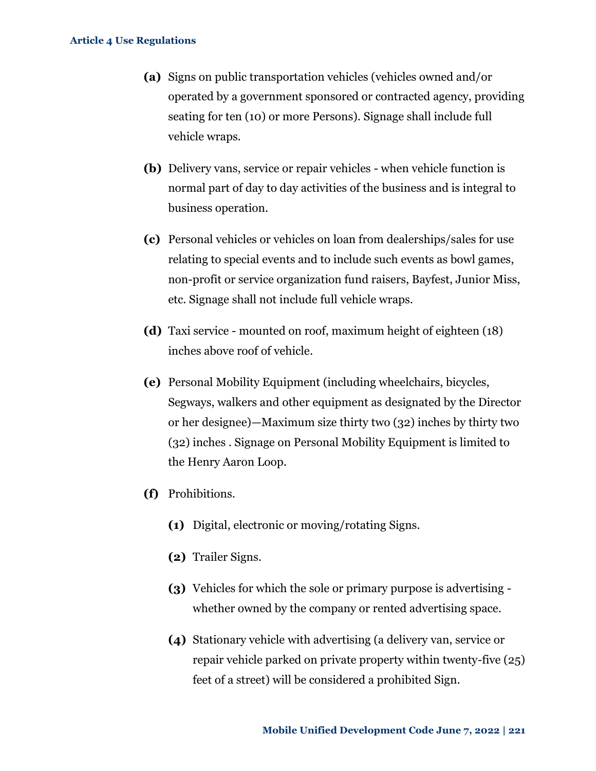- **(a)** Signs on public transportation vehicles (vehicles owned and/or operated by a government sponsored or contracted agency, providing seating for ten (10) or more Persons). Signage shall include full vehicle wraps.
- **(b)** Delivery vans, service or repair vehicles when vehicle function is normal part of day to day activities of the business and is integral to business operation.
- **(c)** Personal vehicles or vehicles on loan from dealerships/sales for use relating to special events and to include such events as bowl games, non-profit or service organization fund raisers, Bayfest, Junior Miss, etc. Signage shall not include full vehicle wraps.
- **(d)** Taxi service mounted on roof, maximum height of eighteen (18) inches above roof of vehicle.
- **(e)** Personal Mobility Equipment (including wheelchairs, bicycles, Segways, walkers and other equipment as designated by the Director or her designee)—Maximum size thirty two (32) inches by thirty two (32) inches . Signage on Personal Mobility Equipment is limited to the Henry Aaron Loop.
- **(f)** Prohibitions.
	- **(1)** Digital, electronic or moving/rotating Signs.
	- **(2)** Trailer Signs.
	- **(3)** Vehicles for which the sole or primary purpose is advertising whether owned by the company or rented advertising space.
	- **(4)** Stationary vehicle with advertising (a delivery van, service or repair vehicle parked on private property within twenty-five (25) feet of a street) will be considered a prohibited Sign.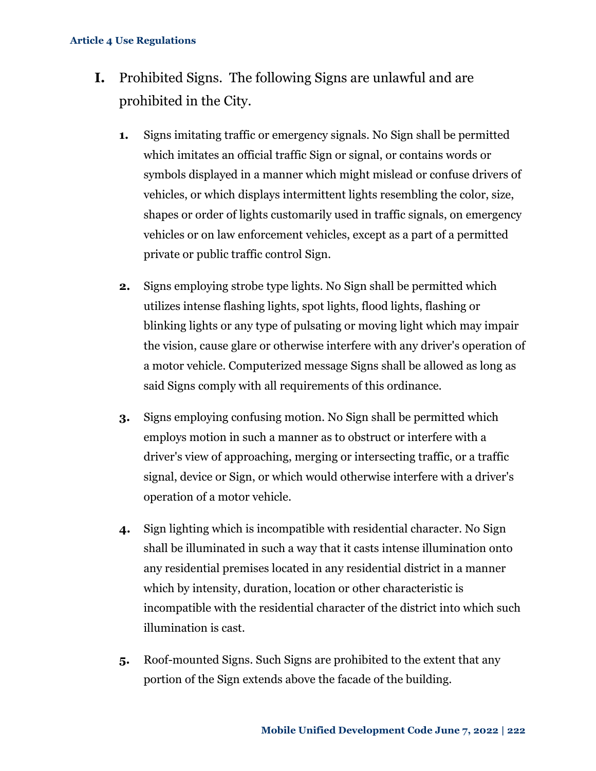- **I.** Prohibited Signs. The following Signs are unlawful and are prohibited in the City.
	- **1.** Signs imitating traffic or emergency signals. No Sign shall be permitted which imitates an official traffic Sign or signal, or contains words or symbols displayed in a manner which might mislead or confuse drivers of vehicles, or which displays intermittent lights resembling the color, size, shapes or order of lights customarily used in traffic signals, on emergency vehicles or on law enforcement vehicles, except as a part of a permitted private or public traffic control Sign.
	- **2.** Signs employing strobe type lights. No Sign shall be permitted which utilizes intense flashing lights, spot lights, flood lights, flashing or blinking lights or any type of pulsating or moving light which may impair the vision, cause glare or otherwise interfere with any driver's operation of a motor vehicle. Computerized message Signs shall be allowed as long as said Signs comply with all requirements of this ordinance.
	- **3.** Signs employing confusing motion. No Sign shall be permitted which employs motion in such a manner as to obstruct or interfere with a driver's view of approaching, merging or intersecting traffic, or a traffic signal, device or Sign, or which would otherwise interfere with a driver's operation of a motor vehicle.
	- **4.** Sign lighting which is incompatible with residential character. No Sign shall be illuminated in such a way that it casts intense illumination onto any residential premises located in any residential district in a manner which by intensity, duration, location or other characteristic is incompatible with the residential character of the district into which such illumination is cast.
	- **5.** Roof-mounted Signs. Such Signs are prohibited to the extent that any portion of the Sign extends above the facade of the building.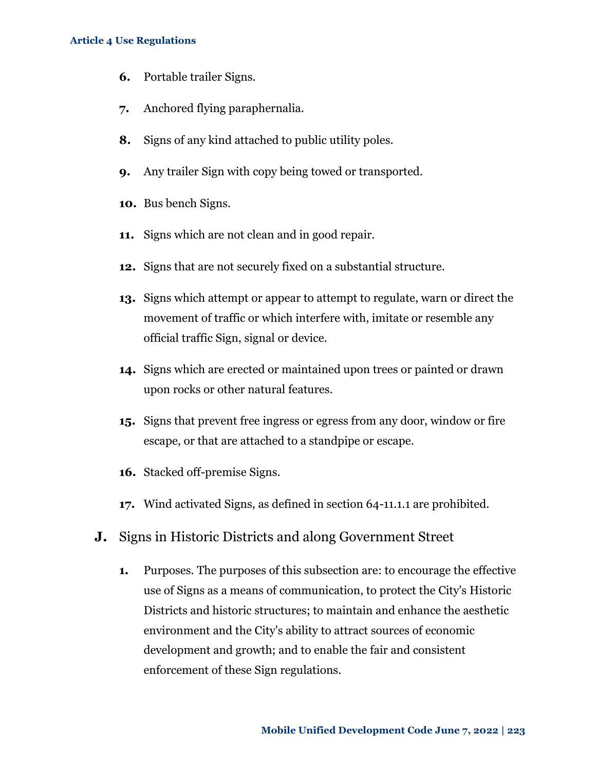- **6.** Portable trailer Signs.
- **7.** Anchored flying paraphernalia.
- **8.** Signs of any kind attached to public utility poles.
- **9.** Any trailer Sign with copy being towed or transported.
- **10.** Bus bench Signs.
- **11.** Signs which are not clean and in good repair.
- **12.** Signs that are not securely fixed on a substantial structure.
- **13.** Signs which attempt or appear to attempt to regulate, warn or direct the movement of traffic or which interfere with, imitate or resemble any official traffic Sign, signal or device.
- **14.** Signs which are erected or maintained upon trees or painted or drawn upon rocks or other natural features.
- **15.** Signs that prevent free ingress or egress from any door, window or fire escape, or that are attached to a standpipe or escape.
- **16.** Stacked off-premise Signs.
- **17.** Wind activated Signs, as defined in section 64-11.1.1 are prohibited.
- **J.** Signs in Historic Districts and along Government Street
	- **1.** Purposes. The purposes of this subsection are: to encourage the effective use of Signs as a means of communication, to protect the City's Historic Districts and historic structures; to maintain and enhance the aesthetic environment and the City's ability to attract sources of economic development and growth; and to enable the fair and consistent enforcement of these Sign regulations.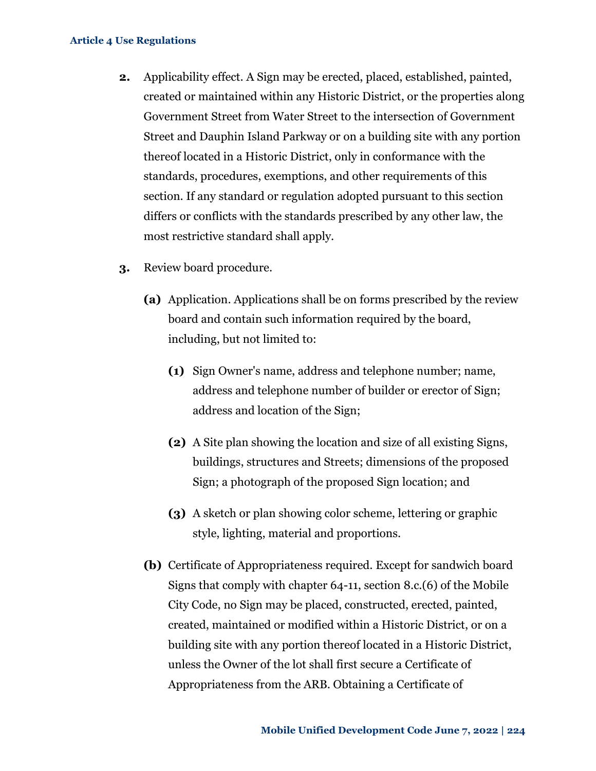- **2.** Applicability effect. A Sign may be erected, placed, established, painted, created or maintained within any Historic District, or the properties along Government Street from Water Street to the intersection of Government Street and Dauphin Island Parkway or on a building site with any portion thereof located in a Historic District, only in conformance with the standards, procedures, exemptions, and other requirements of this section. If any standard or regulation adopted pursuant to this section differs or conflicts with the standards prescribed by any other law, the most restrictive standard shall apply.
- **3.** Review board procedure.
	- **(a)** Application. Applications shall be on forms prescribed by the review board and contain such information required by the board, including, but not limited to:
		- **(1)** Sign Owner's name, address and telephone number; name, address and telephone number of builder or erector of Sign; address and location of the Sign;
		- **(2)** A Site plan showing the location and size of all existing Signs, buildings, structures and Streets; dimensions of the proposed Sign; a photograph of the proposed Sign location; and
		- **(3)** A sketch or plan showing color scheme, lettering or graphic style, lighting, material and proportions.
	- **(b)** Certificate of Appropriateness required. Except for sandwich board Signs that comply with chapter 64-11, section 8.c.(6) of the Mobile City Code, no Sign may be placed, constructed, erected, painted, created, maintained or modified within a Historic District, or on a building site with any portion thereof located in a Historic District, unless the Owner of the lot shall first secure a Certificate of Appropriateness from the ARB. Obtaining a Certificate of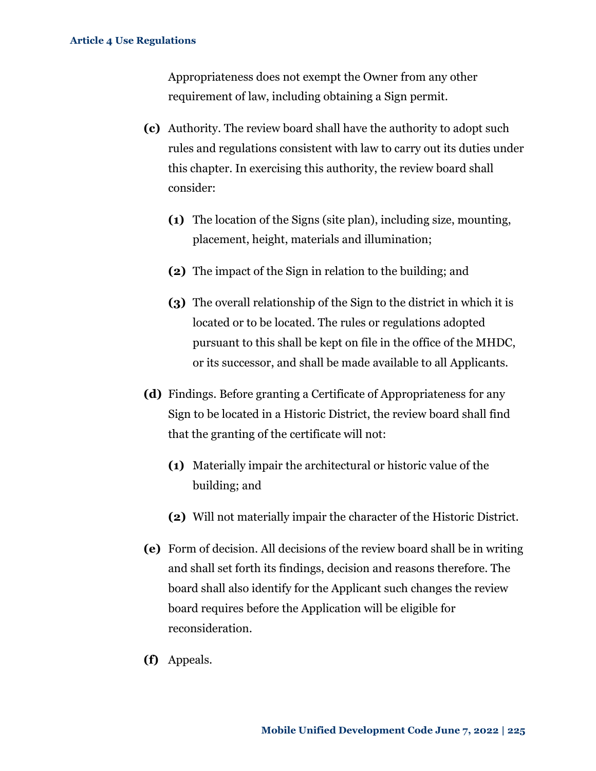Appropriateness does not exempt the Owner from any other requirement of law, including obtaining a Sign permit.

- **(c)** Authority. The review board shall have the authority to adopt such rules and regulations consistent with law to carry out its duties under this chapter. In exercising this authority, the review board shall consider:
	- **(1)** The location of the Signs (site plan), including size, mounting, placement, height, materials and illumination;
	- **(2)** The impact of the Sign in relation to the building; and
	- **(3)** The overall relationship of the Sign to the district in which it is located or to be located. The rules or regulations adopted pursuant to this shall be kept on file in the office of the MHDC, or its successor, and shall be made available to all Applicants.
- **(d)** Findings. Before granting a Certificate of Appropriateness for any Sign to be located in a Historic District, the review board shall find that the granting of the certificate will not:
	- **(1)** Materially impair the architectural or historic value of the building; and
	- **(2)** Will not materially impair the character of the Historic District.
- **(e)** Form of decision. All decisions of the review board shall be in writing and shall set forth its findings, decision and reasons therefore. The board shall also identify for the Applicant such changes the review board requires before the Application will be eligible for reconsideration.
- **(f)** Appeals.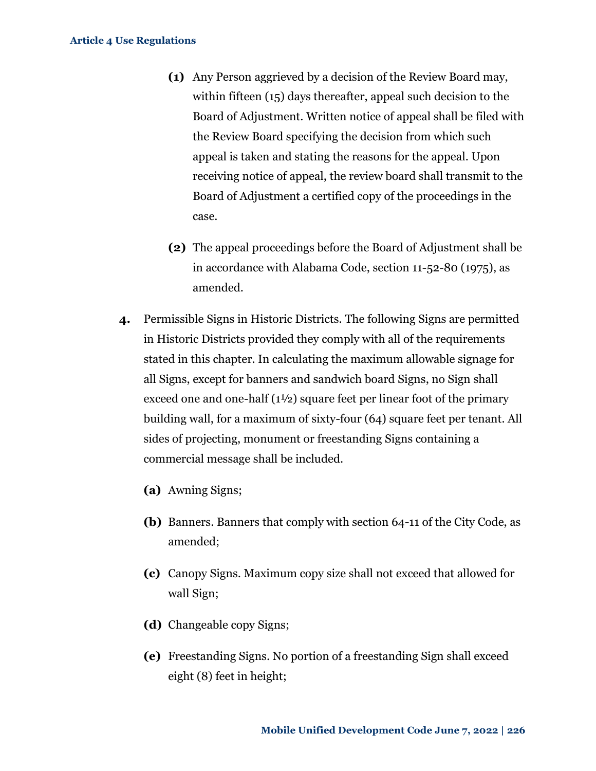- **(1)** Any Person aggrieved by a decision of the Review Board may, within fifteen (15) days thereafter, appeal such decision to the Board of Adjustment. Written notice of appeal shall be filed with the Review Board specifying the decision from which such appeal is taken and stating the reasons for the appeal. Upon receiving notice of appeal, the review board shall transmit to the Board of Adjustment a certified copy of the proceedings in the case.
- **(2)** The appeal proceedings before the Board of Adjustment shall be in accordance with Alabama Code, section 11-52-80 (1975), as amended.
- **4.** Permissible Signs in Historic Districts. The following Signs are permitted in Historic Districts provided they comply with all of the requirements stated in this chapter. In calculating the maximum allowable signage for all Signs, except for banners and sandwich board Signs, no Sign shall exceed one and one-half (1½) square feet per linear foot of the primary building wall, for a maximum of sixty-four (64) square feet per tenant. All sides of projecting, monument or freestanding Signs containing a commercial message shall be included.
	- **(a)** Awning Signs;
	- **(b)** Banners. Banners that comply with section 64-11 of the City Code, as amended;
	- **(c)** Canopy Signs. Maximum copy size shall not exceed that allowed for wall Sign;
	- **(d)** Changeable copy Signs;
	- **(e)** Freestanding Signs. No portion of a freestanding Sign shall exceed eight (8) feet in height;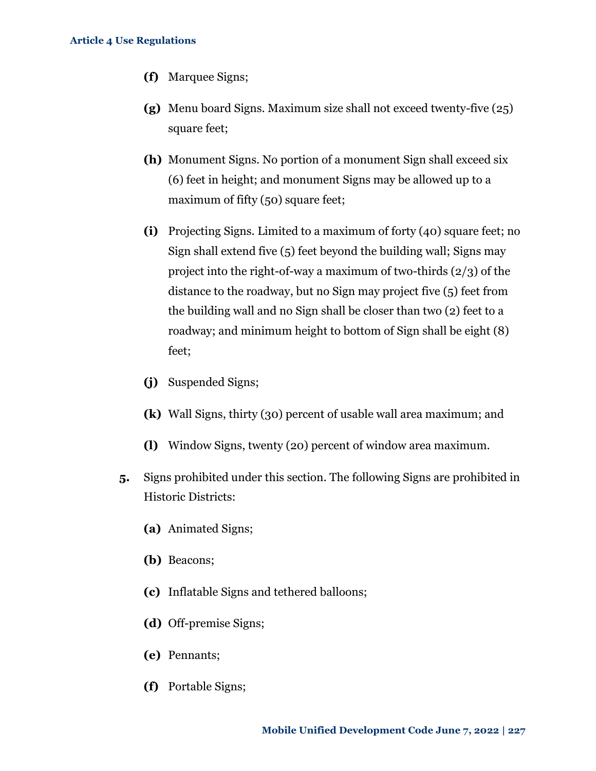- **(f)** Marquee Signs;
- **(g)** Menu board Signs. Maximum size shall not exceed twenty-five (25) square feet;
- **(h)** Monument Signs. No portion of a monument Sign shall exceed six (6) feet in height; and monument Signs may be allowed up to a maximum of fifty (50) square feet;
- **(i)** Projecting Signs. Limited to a maximum of forty (40) square feet; no Sign shall extend five (5) feet beyond the building wall; Signs may project into the right-of-way a maximum of two-thirds (2/3) of the distance to the roadway, but no Sign may project five (5) feet from the building wall and no Sign shall be closer than two (2) feet to a roadway; and minimum height to bottom of Sign shall be eight (8) feet;
- **(j)** Suspended Signs;
- **(k)** Wall Signs, thirty (30) percent of usable wall area maximum; and
- **(l)** Window Signs, twenty (20) percent of window area maximum.
- **5.** Signs prohibited under this section. The following Signs are prohibited in Historic Districts:
	- **(a)** Animated Signs;
	- **(b)** Beacons;
	- **(c)** Inflatable Signs and tethered balloons;
	- **(d)** Off-premise Signs;
	- **(e)** Pennants;
	- **(f)** Portable Signs;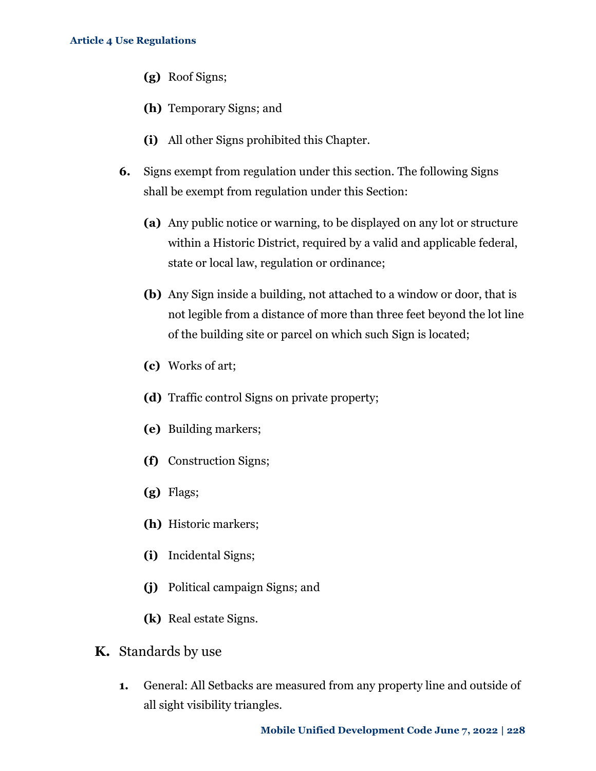- **(g)** Roof Signs;
- **(h)** Temporary Signs; and
- **(i)** All other Signs prohibited this Chapter.
- **6.** Signs exempt from regulation under this section. The following Signs shall be exempt from regulation under this Section:
	- **(a)** Any public notice or warning, to be displayed on any lot or structure within a Historic District, required by a valid and applicable federal, state or local law, regulation or ordinance;
	- **(b)** Any Sign inside a building, not attached to a window or door, that is not legible from a distance of more than three feet beyond the lot line of the building site or parcel on which such Sign is located;
	- **(c)** Works of art;
	- **(d)** Traffic control Signs on private property;
	- **(e)** Building markers;
	- **(f)** Construction Signs;
	- **(g)** Flags;
	- **(h)** Historic markers;
	- **(i)** Incidental Signs;
	- **(j)** Political campaign Signs; and
	- **(k)** Real estate Signs.
- **K.** Standards by use
	- **1.** General: All Setbacks are measured from any property line and outside of all sight visibility triangles.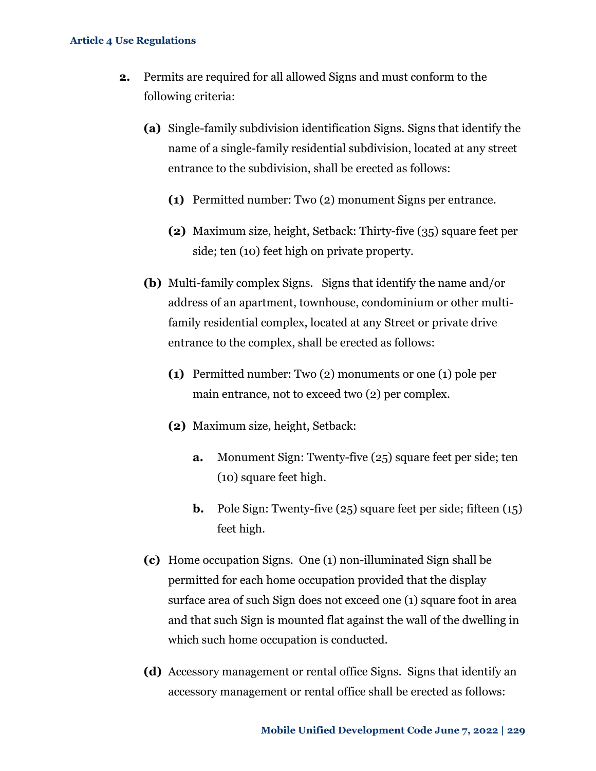- **2.** Permits are required for all allowed Signs and must conform to the following criteria:
	- **(a)** Single-family subdivision identification Signs. Signs that identify the name of a single-family residential subdivision, located at any street entrance to the subdivision, shall be erected as follows:
		- **(1)** Permitted number: Two (2) monument Signs per entrance.
		- **(2)** Maximum size, height, Setback: Thirty-five (35) square feet per side; ten (10) feet high on private property.
	- **(b)** Multi-family complex Signs. Signs that identify the name and/or address of an apartment, townhouse, condominium or other multifamily residential complex, located at any Street or private drive entrance to the complex, shall be erected as follows:
		- **(1)** Permitted number: Two (2) monuments or one (1) pole per main entrance, not to exceed two (2) per complex.
		- **(2)** Maximum size, height, Setback:
			- **a.** Monument Sign: Twenty-five (25) square feet per side; ten (10) square feet high.
			- **b.** Pole Sign: Twenty-five (25) square feet per side; fifteen (15) feet high.
	- **(c)** Home occupation Signs. One (1) non-illuminated Sign shall be permitted for each home occupation provided that the display surface area of such Sign does not exceed one (1) square foot in area and that such Sign is mounted flat against the wall of the dwelling in which such home occupation is conducted.
	- **(d)** Accessory management or rental office Signs. Signs that identify an accessory management or rental office shall be erected as follows: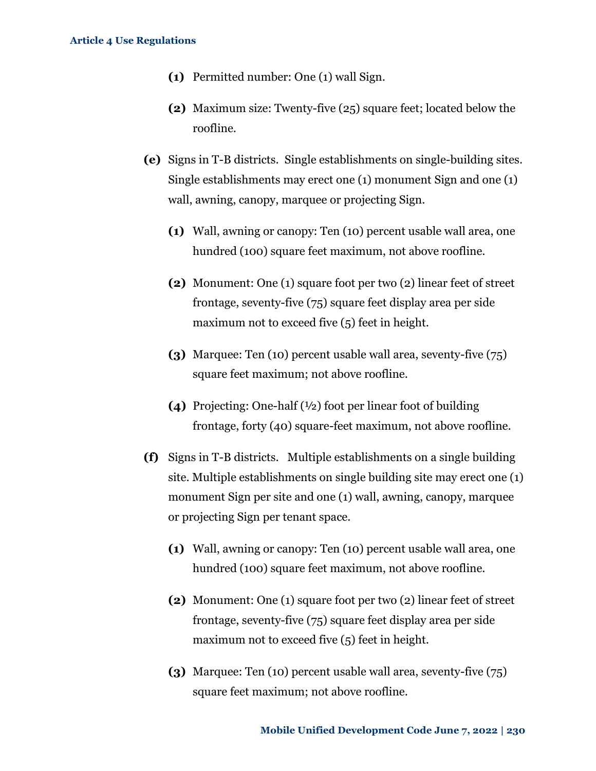- **(1)** Permitted number: One (1) wall Sign.
- **(2)** Maximum size: Twenty-five (25) square feet; located below the roofline.
- **(e)** Signs in T-B districts. Single establishments on single-building sites. Single establishments may erect one (1) monument Sign and one (1) wall, awning, canopy, marquee or projecting Sign.
	- **(1)** Wall, awning or canopy: Ten (10) percent usable wall area, one hundred (100) square feet maximum, not above roofline.
	- **(2)** Monument: One (1) square foot per two (2) linear feet of street frontage, seventy-five (75) square feet display area per side maximum not to exceed five (5) feet in height.
	- **(3)** Marquee: Ten (10) percent usable wall area, seventy-five (75) square feet maximum; not above roofline.
	- **(4)** Projecting: One-half (½) foot per linear foot of building frontage, forty (40) square-feet maximum, not above roofline.
- **(f)** Signs in T-B districts. Multiple establishments on a single building site. Multiple establishments on single building site may erect one (1) monument Sign per site and one (1) wall, awning, canopy, marquee or projecting Sign per tenant space.
	- **(1)** Wall, awning or canopy: Ten (10) percent usable wall area, one hundred (100) square feet maximum, not above roofline.
	- **(2)** Monument: One (1) square foot per two (2) linear feet of street frontage, seventy-five (75) square feet display area per side maximum not to exceed five (5) feet in height.
	- **(3)** Marquee: Ten (10) percent usable wall area, seventy-five (75) square feet maximum; not above roofline.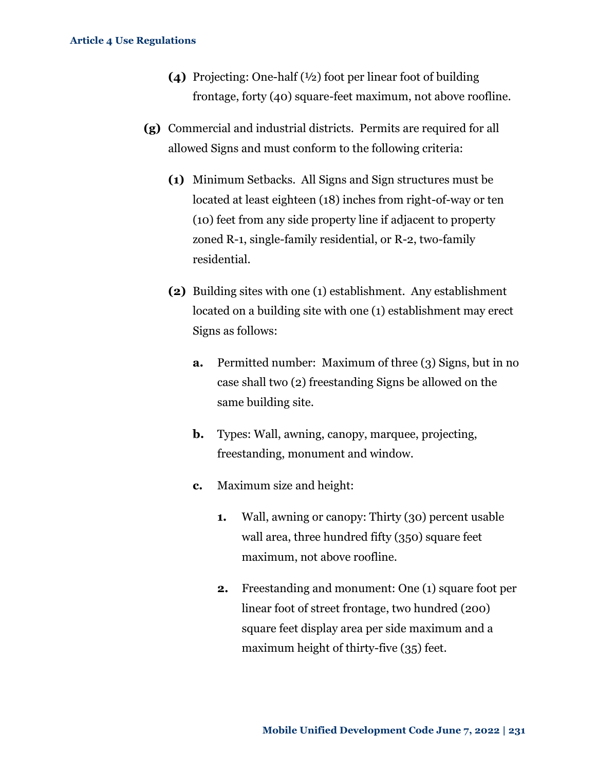- **(4)** Projecting: One-half (½) foot per linear foot of building frontage, forty (40) square-feet maximum, not above roofline.
- **(g)** Commercial and industrial districts. Permits are required for all allowed Signs and must conform to the following criteria:
	- **(1)** Minimum Setbacks. All Signs and Sign structures must be located at least eighteen (18) inches from right-of-way or ten (10) feet from any side property line if adjacent to property zoned R-1, single-family residential, or R-2, two-family residential.
	- **(2)** Building sites with one (1) establishment. Any establishment located on a building site with one (1) establishment may erect Signs as follows:
		- **a.** Permitted number: Maximum of three (3) Signs, but in no case shall two (2) freestanding Signs be allowed on the same building site.
		- **b.** Types: Wall, awning, canopy, marquee, projecting, freestanding, monument and window.
		- **c.** Maximum size and height:
			- **1.** Wall, awning or canopy: Thirty (30) percent usable wall area, three hundred fifty (350) square feet maximum, not above roofline.
			- **2.** Freestanding and monument: One (1) square foot per linear foot of street frontage, two hundred (200) square feet display area per side maximum and a maximum height of thirty-five (35) feet.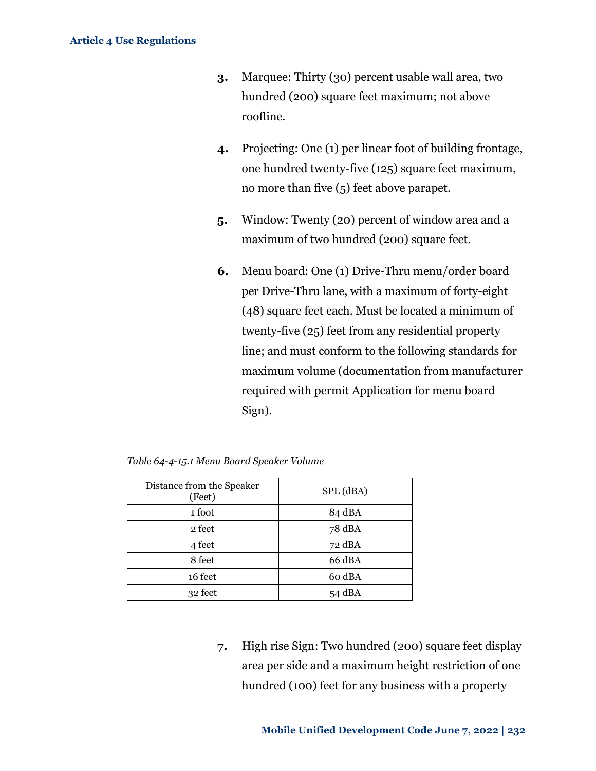- **3.** Marquee: Thirty (30) percent usable wall area, two hundred (200) square feet maximum; not above roofline.
- **4.** Projecting: One (1) per linear foot of building frontage, one hundred twenty-five (125) square feet maximum, no more than five (5) feet above parapet.
- **5.** Window: Twenty (20) percent of window area and a maximum of two hundred (200) square feet.
- **6.** Menu board: One (1) Drive-Thru menu/order board per Drive-Thru lane, with a maximum of forty-eight (48) square feet each. Must be located a minimum of twenty-five (25) feet from any residential property line; and must conform to the following standards for maximum volume (documentation from manufacturer required with permit Application for menu board Sign).

| Distance from the Speaker<br>(Feet) | SPL (dBA) |
|-------------------------------------|-----------|
| 1 foot                              | 84 dBA    |
| 2 feet                              | 78 dBA    |
| 4 feet                              | 72 dBA    |
| 8 feet                              | 66 dBA    |
| 16 feet                             | 60 dBA    |
| 32 feet                             | 54 dBA    |

*Table 64-4-15.1 Menu Board Speaker Volume*

**7.** High rise Sign: Two hundred (200) square feet display area per side and a maximum height restriction of one hundred (100) feet for any business with a property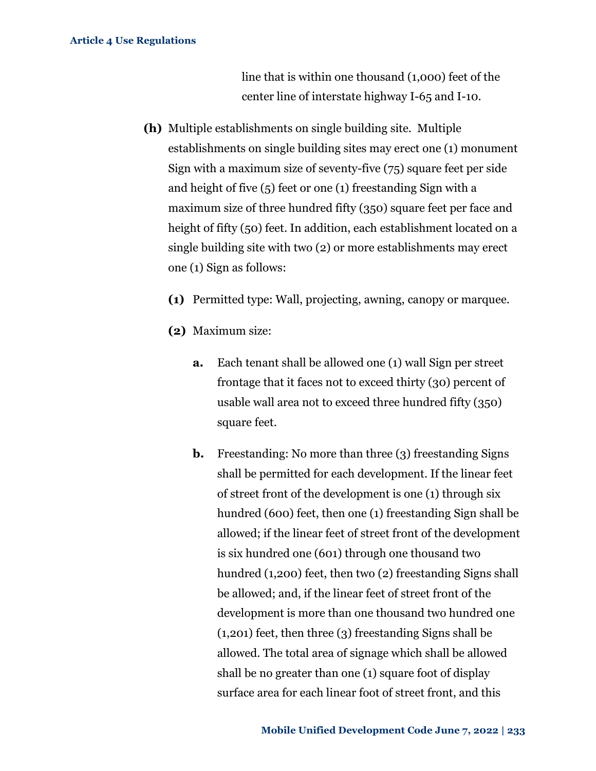line that is within one thousand (1,000) feet of the center line of interstate highway I-65 and I-10.

- **(h)** Multiple establishments on single building site. Multiple establishments on single building sites may erect one (1) monument Sign with a maximum size of seventy-five (75) square feet per side and height of five (5) feet or one (1) freestanding Sign with a maximum size of three hundred fifty (350) square feet per face and height of fifty (50) feet. In addition, each establishment located on a single building site with two (2) or more establishments may erect one (1) Sign as follows:
	- **(1)** Permitted type: Wall, projecting, awning, canopy or marquee.
	- **(2)** Maximum size:
		- **a.** Each tenant shall be allowed one (1) wall Sign per street frontage that it faces not to exceed thirty (30) percent of usable wall area not to exceed three hundred fifty (350) square feet.
		- **b.** Freestanding: No more than three (3) freestanding Signs shall be permitted for each development. If the linear feet of street front of the development is one (1) through six hundred (600) feet, then one (1) freestanding Sign shall be allowed; if the linear feet of street front of the development is six hundred one (601) through one thousand two hundred (1,200) feet, then two (2) freestanding Signs shall be allowed; and, if the linear feet of street front of the development is more than one thousand two hundred one (1,201) feet, then three (3) freestanding Signs shall be allowed. The total area of signage which shall be allowed shall be no greater than one (1) square foot of display surface area for each linear foot of street front, and this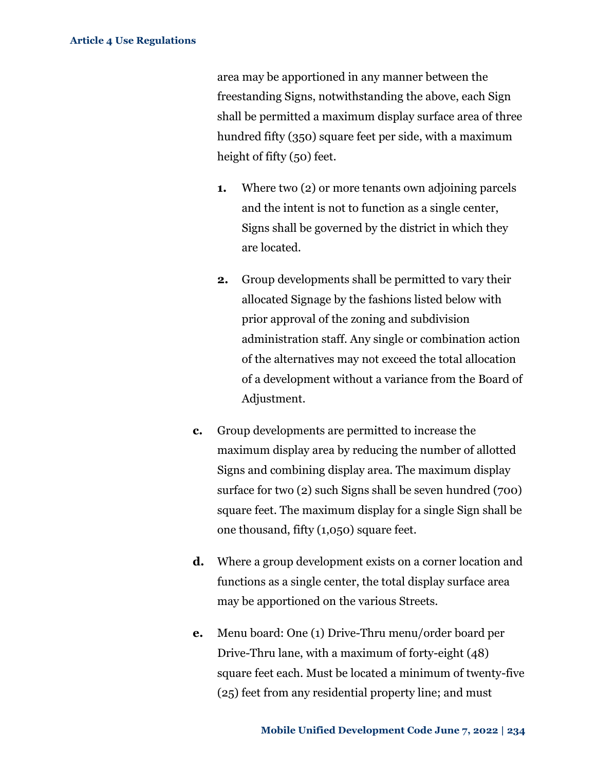area may be apportioned in any manner between the freestanding Signs, notwithstanding the above, each Sign shall be permitted a maximum display surface area of three hundred fifty (350) square feet per side, with a maximum height of fifty (50) feet.

- **1.** Where two (2) or more tenants own adjoining parcels and the intent is not to function as a single center, Signs shall be governed by the district in which they are located.
- **2.** Group developments shall be permitted to vary their allocated Signage by the fashions listed below with prior approval of the zoning and subdivision administration staff. Any single or combination action of the alternatives may not exceed the total allocation of a development without a variance from the Board of Adjustment.
- **c.** Group developments are permitted to increase the maximum display area by reducing the number of allotted Signs and combining display area. The maximum display surface for two (2) such Signs shall be seven hundred (700) square feet. The maximum display for a single Sign shall be one thousand, fifty (1,050) square feet.
- **d.** Where a group development exists on a corner location and functions as a single center, the total display surface area may be apportioned on the various Streets.
- **e.** Menu board: One (1) Drive-Thru menu/order board per Drive-Thru lane, with a maximum of forty-eight (48) square feet each. Must be located a minimum of twenty-five (25) feet from any residential property line; and must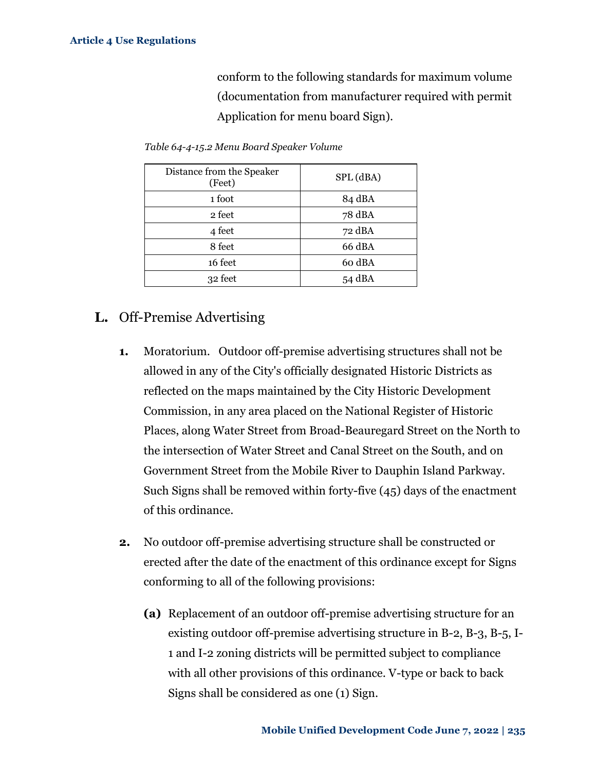conform to the following standards for maximum volume (documentation from manufacturer required with permit Application for menu board Sign).

| Distance from the Speaker<br>(Feet) | SPL (dBA) |
|-------------------------------------|-----------|
| 1 foot                              | 84 dBA    |
| 2 feet                              | 78 dBA    |
| 4 feet                              | 72 dBA    |
| 8 feet                              | 66 dBA    |
| 16 feet                             | 60 dBA    |
| 32 feet                             | 54 dBA    |

*Table 64-4-15.2 Menu Board Speaker Volume*

# **L.** Off-Premise Advertising

- **1.** Moratorium. Outdoor off-premise advertising structures shall not be allowed in any of the City's officially designated Historic Districts as reflected on the maps maintained by the City Historic Development Commission, in any area placed on the National Register of Historic Places, along Water Street from Broad-Beauregard Street on the North to the intersection of Water Street and Canal Street on the South, and on Government Street from the Mobile River to Dauphin Island Parkway. Such Signs shall be removed within forty-five (45) days of the enactment of this ordinance.
- **2.** No outdoor off-premise advertising structure shall be constructed or erected after the date of the enactment of this ordinance except for Signs conforming to all of the following provisions:
	- **(a)** Replacement of an outdoor off-premise advertising structure for an existing outdoor off-premise advertising structure in B-2, B-3, B-5, I-1 and I-2 zoning districts will be permitted subject to compliance with all other provisions of this ordinance. V-type or back to back Signs shall be considered as one (1) Sign.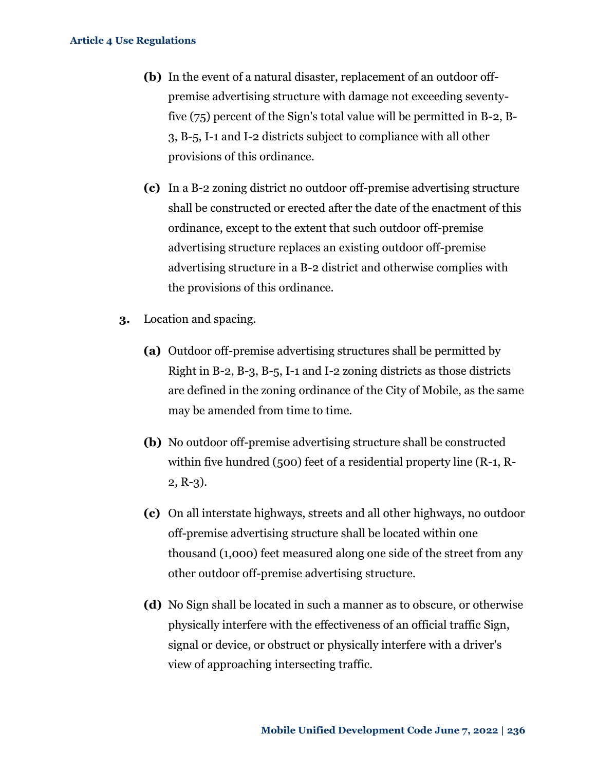- **(b)** In the event of a natural disaster, replacement of an outdoor offpremise advertising structure with damage not exceeding seventyfive (75) percent of the Sign's total value will be permitted in B-2, B-3, B-5, I-1 and I-2 districts subject to compliance with all other provisions of this ordinance.
- **(c)** In a B-2 zoning district no outdoor off-premise advertising structure shall be constructed or erected after the date of the enactment of this ordinance, except to the extent that such outdoor off-premise advertising structure replaces an existing outdoor off-premise advertising structure in a B-2 district and otherwise complies with the provisions of this ordinance.
- **3.** Location and spacing.
	- **(a)** Outdoor off-premise advertising structures shall be permitted by Right in B-2, B-3, B-5, I-1 and I-2 zoning districts as those districts are defined in the zoning ordinance of the City of Mobile, as the same may be amended from time to time.
	- **(b)** No outdoor off-premise advertising structure shall be constructed within five hundred (500) feet of a residential property line (R-1, R-2, R-3).
	- **(c)** On all interstate highways, streets and all other highways, no outdoor off-premise advertising structure shall be located within one thousand (1,000) feet measured along one side of the street from any other outdoor off-premise advertising structure.
	- **(d)** No Sign shall be located in such a manner as to obscure, or otherwise physically interfere with the effectiveness of an official traffic Sign, signal or device, or obstruct or physically interfere with a driver's view of approaching intersecting traffic.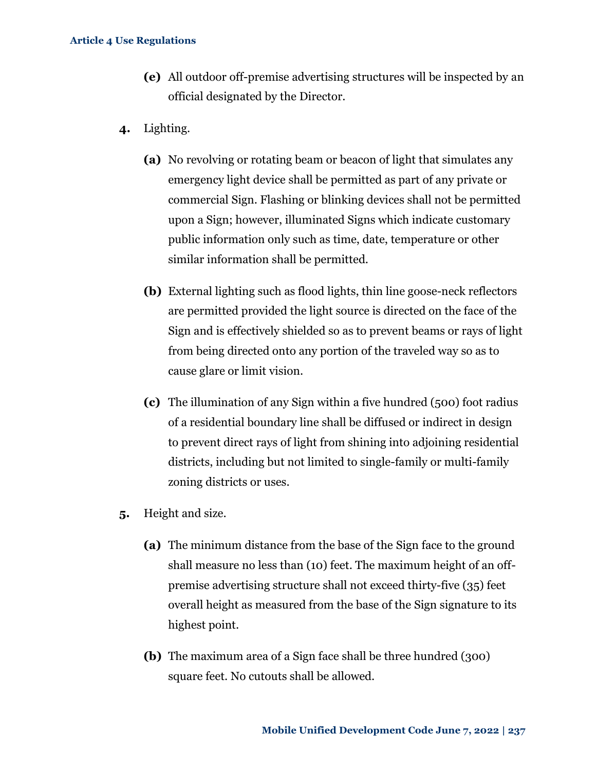- **(e)** All outdoor off-premise advertising structures will be inspected by an official designated by the Director.
- **4.** Lighting.
	- **(a)** No revolving or rotating beam or beacon of light that simulates any emergency light device shall be permitted as part of any private or commercial Sign. Flashing or blinking devices shall not be permitted upon a Sign; however, illuminated Signs which indicate customary public information only such as time, date, temperature or other similar information shall be permitted.
	- **(b)** External lighting such as flood lights, thin line goose-neck reflectors are permitted provided the light source is directed on the face of the Sign and is effectively shielded so as to prevent beams or rays of light from being directed onto any portion of the traveled way so as to cause glare or limit vision.
	- **(c)** The illumination of any Sign within a five hundred (500) foot radius of a residential boundary line shall be diffused or indirect in design to prevent direct rays of light from shining into adjoining residential districts, including but not limited to single-family or multi-family zoning districts or uses.
- **5.** Height and size.
	- **(a)** The minimum distance from the base of the Sign face to the ground shall measure no less than (10) feet. The maximum height of an offpremise advertising structure shall not exceed thirty-five (35) feet overall height as measured from the base of the Sign signature to its highest point.
	- **(b)** The maximum area of a Sign face shall be three hundred (300) square feet. No cutouts shall be allowed.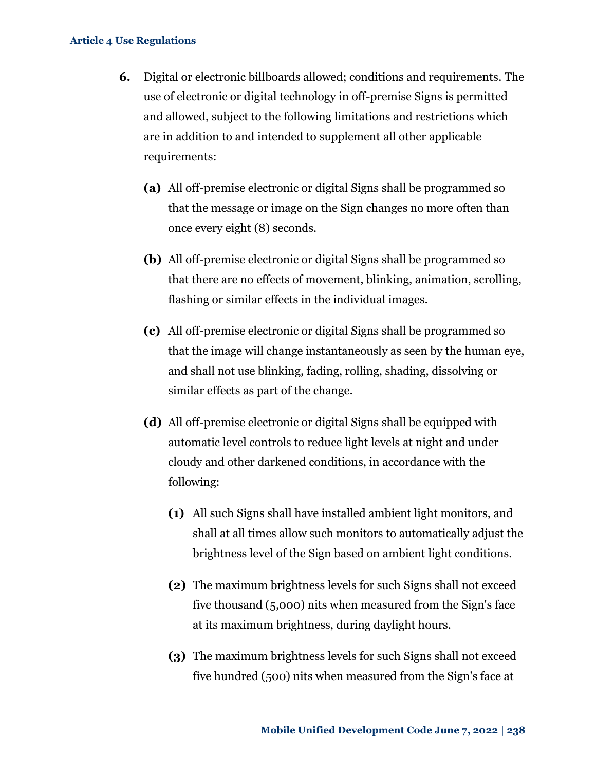- **6.** Digital or electronic billboards allowed; conditions and requirements. The use of electronic or digital technology in off-premise Signs is permitted and allowed, subject to the following limitations and restrictions which are in addition to and intended to supplement all other applicable requirements:
	- **(a)** All off-premise electronic or digital Signs shall be programmed so that the message or image on the Sign changes no more often than once every eight (8) seconds.
	- **(b)** All off-premise electronic or digital Signs shall be programmed so that there are no effects of movement, blinking, animation, scrolling, flashing or similar effects in the individual images.
	- **(c)** All off-premise electronic or digital Signs shall be programmed so that the image will change instantaneously as seen by the human eye, and shall not use blinking, fading, rolling, shading, dissolving or similar effects as part of the change.
	- **(d)** All off-premise electronic or digital Signs shall be equipped with automatic level controls to reduce light levels at night and under cloudy and other darkened conditions, in accordance with the following:
		- **(1)** All such Signs shall have installed ambient light monitors, and shall at all times allow such monitors to automatically adjust the brightness level of the Sign based on ambient light conditions.
		- **(2)** The maximum brightness levels for such Signs shall not exceed five thousand (5,000) nits when measured from the Sign's face at its maximum brightness, during daylight hours.
		- **(3)** The maximum brightness levels for such Signs shall not exceed five hundred (500) nits when measured from the Sign's face at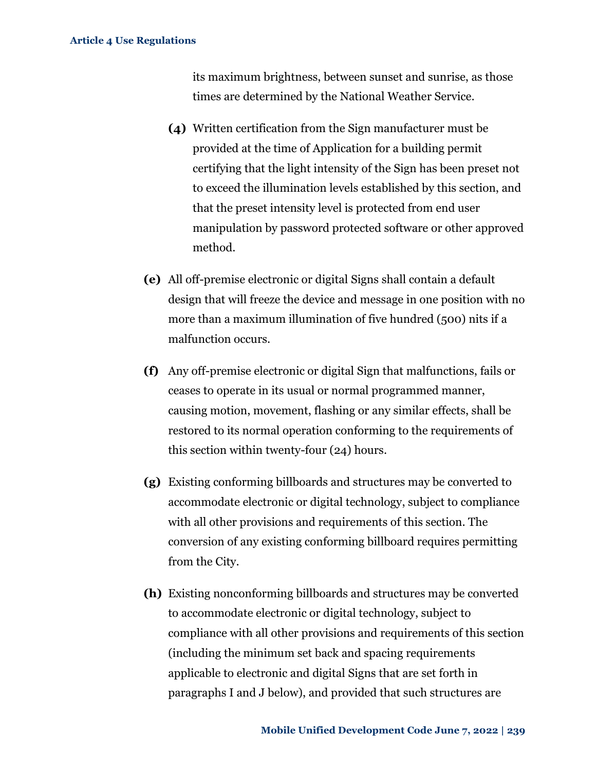its maximum brightness, between sunset and sunrise, as those times are determined by the National Weather Service.

- **(4)** Written certification from the Sign manufacturer must be provided at the time of Application for a building permit certifying that the light intensity of the Sign has been preset not to exceed the illumination levels established by this section, and that the preset intensity level is protected from end user manipulation by password protected software or other approved method.
- **(e)** All off-premise electronic or digital Signs shall contain a default design that will freeze the device and message in one position with no more than a maximum illumination of five hundred (500) nits if a malfunction occurs.
- **(f)** Any off-premise electronic or digital Sign that malfunctions, fails or ceases to operate in its usual or normal programmed manner, causing motion, movement, flashing or any similar effects, shall be restored to its normal operation conforming to the requirements of this section within twenty-four (24) hours.
- **(g)** Existing conforming billboards and structures may be converted to accommodate electronic or digital technology, subject to compliance with all other provisions and requirements of this section. The conversion of any existing conforming billboard requires permitting from the City.
- **(h)** Existing nonconforming billboards and structures may be converted to accommodate electronic or digital technology, subject to compliance with all other provisions and requirements of this section (including the minimum set back and spacing requirements applicable to electronic and digital Signs that are set forth in paragraphs I and J below), and provided that such structures are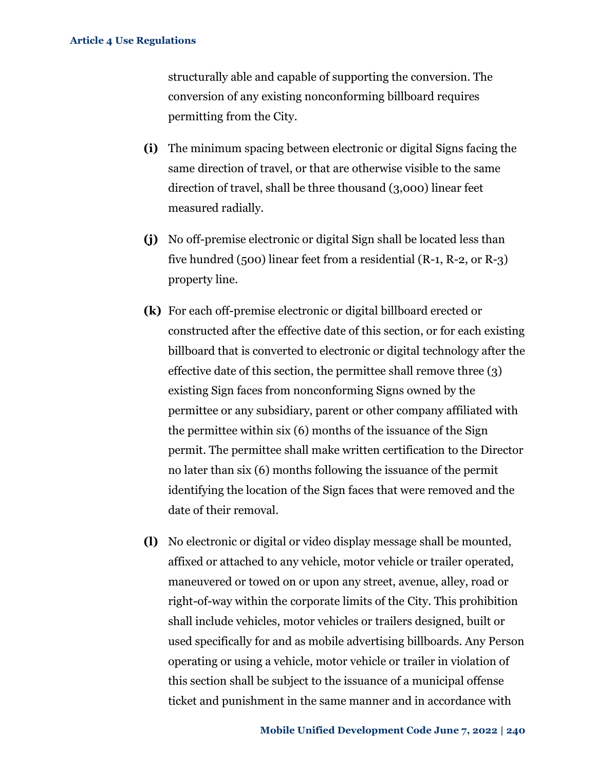structurally able and capable of supporting the conversion. The conversion of any existing nonconforming billboard requires permitting from the City.

- **(i)** The minimum spacing between electronic or digital Signs facing the same direction of travel, or that are otherwise visible to the same direction of travel, shall be three thousand (3,000) linear feet measured radially.
- **(j)** No off-premise electronic or digital Sign shall be located less than five hundred (500) linear feet from a residential (R-1, R-2, or R-3) property line.
- **(k)** For each off-premise electronic or digital billboard erected or constructed after the effective date of this section, or for each existing billboard that is converted to electronic or digital technology after the effective date of this section, the permittee shall remove three (3) existing Sign faces from nonconforming Signs owned by the permittee or any subsidiary, parent or other company affiliated with the permittee within six (6) months of the issuance of the Sign permit. The permittee shall make written certification to the Director no later than six (6) months following the issuance of the permit identifying the location of the Sign faces that were removed and the date of their removal.
- **(l)** No electronic or digital or video display message shall be mounted, affixed or attached to any vehicle, motor vehicle or trailer operated, maneuvered or towed on or upon any street, avenue, alley, road or right-of-way within the corporate limits of the City. This prohibition shall include vehicles, motor vehicles or trailers designed, built or used specifically for and as mobile advertising billboards. Any Person operating or using a vehicle, motor vehicle or trailer in violation of this section shall be subject to the issuance of a municipal offense ticket and punishment in the same manner and in accordance with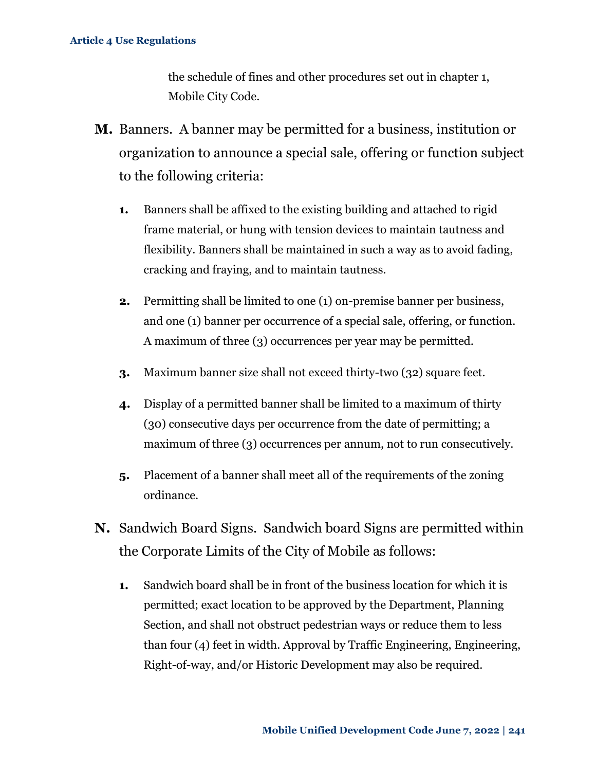the schedule of fines and other procedures set out in chapter 1, Mobile City Code.

- **M.** Banners. A banner may be permitted for a business, institution or organization to announce a special sale, offering or function subject to the following criteria:
	- **1.** Banners shall be affixed to the existing building and attached to rigid frame material, or hung with tension devices to maintain tautness and flexibility. Banners shall be maintained in such a way as to avoid fading, cracking and fraying, and to maintain tautness.
	- **2.** Permitting shall be limited to one (1) on-premise banner per business, and one (1) banner per occurrence of a special sale, offering, or function. A maximum of three (3) occurrences per year may be permitted.
	- **3.** Maximum banner size shall not exceed thirty-two (32) square feet.
	- **4.** Display of a permitted banner shall be limited to a maximum of thirty (30) consecutive days per occurrence from the date of permitting; a maximum of three (3) occurrences per annum, not to run consecutively.
	- **5.** Placement of a banner shall meet all of the requirements of the zoning ordinance.
- **N.** Sandwich Board Signs. Sandwich board Signs are permitted within the Corporate Limits of the City of Mobile as follows:
	- **1.** Sandwich board shall be in front of the business location for which it is permitted; exact location to be approved by the Department, Planning Section, and shall not obstruct pedestrian ways or reduce them to less than four (4) feet in width. Approval by Traffic Engineering, Engineering, Right-of-way, and/or Historic Development may also be required.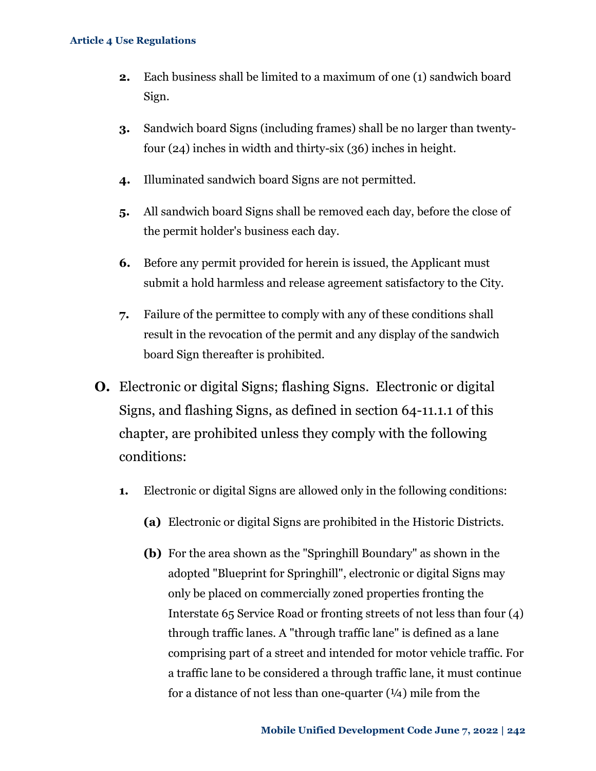- **2.** Each business shall be limited to a maximum of one (1) sandwich board Sign.
- **3.** Sandwich board Signs (including frames) shall be no larger than twentyfour (24) inches in width and thirty-six (36) inches in height.
- **4.** Illuminated sandwich board Signs are not permitted.
- **5.** All sandwich board Signs shall be removed each day, before the close of the permit holder's business each day.
- **6.** Before any permit provided for herein is issued, the Applicant must submit a hold harmless and release agreement satisfactory to the City.
- **7.** Failure of the permittee to comply with any of these conditions shall result in the revocation of the permit and any display of the sandwich board Sign thereafter is prohibited.
- **O.** Electronic or digital Signs; flashing Signs. Electronic or digital Signs, and flashing Signs, as defined in section 64-11.1.1 of this chapter, are prohibited unless they comply with the following conditions:
	- **1.** Electronic or digital Signs are allowed only in the following conditions:
		- **(a)** Electronic or digital Signs are prohibited in the Historic Districts.
		- **(b)** For the area shown as the "Springhill Boundary" as shown in the adopted "Blueprint for Springhill", electronic or digital Signs may only be placed on commercially zoned properties fronting the Interstate 65 Service Road or fronting streets of not less than four (4) through traffic lanes. A "through traffic lane" is defined as a lane comprising part of a street and intended for motor vehicle traffic. For a traffic lane to be considered a through traffic lane, it must continue for a distance of not less than one-quarter  $(1/4)$  mile from the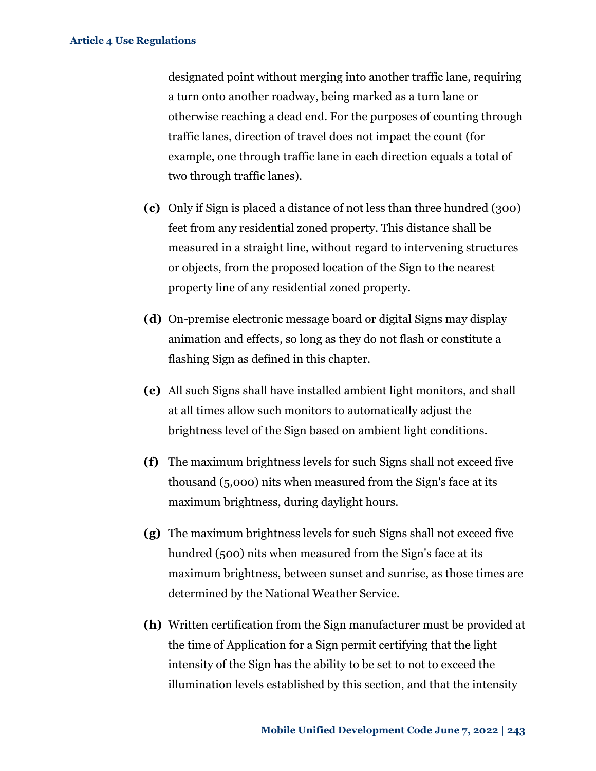designated point without merging into another traffic lane, requiring a turn onto another roadway, being marked as a turn lane or otherwise reaching a dead end. For the purposes of counting through traffic lanes, direction of travel does not impact the count (for example, one through traffic lane in each direction equals a total of two through traffic lanes).

- **(c)** Only if Sign is placed a distance of not less than three hundred (300) feet from any residential zoned property. This distance shall be measured in a straight line, without regard to intervening structures or objects, from the proposed location of the Sign to the nearest property line of any residential zoned property.
- **(d)** On-premise electronic message board or digital Signs may display animation and effects, so long as they do not flash or constitute a flashing Sign as defined in this chapter.
- **(e)** All such Signs shall have installed ambient light monitors, and shall at all times allow such monitors to automatically adjust the brightness level of the Sign based on ambient light conditions.
- **(f)** The maximum brightness levels for such Signs shall not exceed five thousand (5,000) nits when measured from the Sign's face at its maximum brightness, during daylight hours.
- **(g)** The maximum brightness levels for such Signs shall not exceed five hundred (500) nits when measured from the Sign's face at its maximum brightness, between sunset and sunrise, as those times are determined by the National Weather Service.
- **(h)** Written certification from the Sign manufacturer must be provided at the time of Application for a Sign permit certifying that the light intensity of the Sign has the ability to be set to not to exceed the illumination levels established by this section, and that the intensity